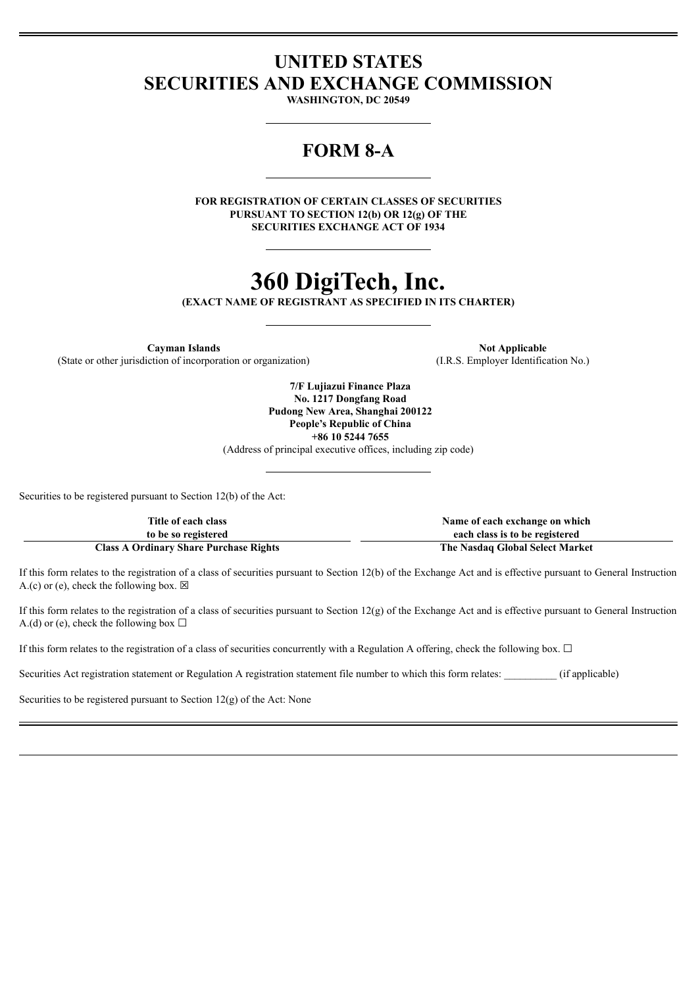# **UNITED STATES SECURITIES AND EXCHANGE COMMISSION**

**WASHINGTON, DC 20549**

# **FORM 8-A**

**FOR REGISTRATION OF CERTAIN CLASSES OF SECURITIES PURSUANT TO SECTION 12(b) OR 12(g) OF THE SECURITIES EXCHANGE ACT OF 1934**

# **360 DigiTech, Inc.**

**(EXACT NAME OF REGISTRANT AS SPECIFIED IN ITS CHARTER)**

**Cayman Islands Not Applicable Not Applicable** (State or other jurisdiction of incorporation or organization) (I.R.S. Employer Identification No.)

**7/F Lujiazui Finance Plaza No. 1217 Dongfang Road Pudong New Area, Shanghai 200122 People's Republic of China +86 10 5244 7655** (Address of principal executive offices, including zip code)

Securities to be registered pursuant to Section 12(b) of the Act:

| Title of each class                           | Name of each exchange on which  |
|-----------------------------------------------|---------------------------------|
| to be so registered                           | each class is to be registered  |
| <b>Class A Ordinary Share Purchase Rights</b> | The Nasdag Global Select Market |

If this form relates to the registration of a class of securities pursuant to Section 12(b) of the Exchange Act and is effective pursuant to General Instruction A.(c) or (e), check the following box.  $\boxtimes$ 

If this form relates to the registration of a class of securities pursuant to Section 12(g) of the Exchange Act and is effective pursuant to General Instruction A.(d) or (e), check the following box  $\Box$ 

If this form relates to the registration of a class of securities concurrently with a Regulation A offering, check the following box.  $\Box$ 

Securities Act registration statement or Regulation A registration statement file number to which this form relates:  $(if$  applicable)

Securities to be registered pursuant to Section 12(g) of the Act: None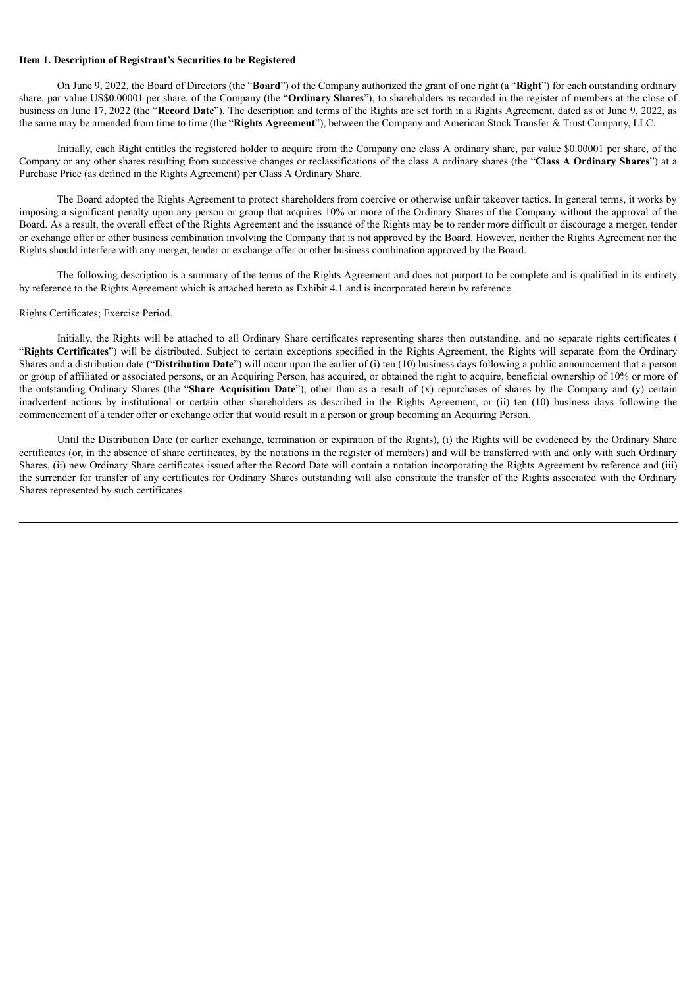#### **Item 1. Description of Registrant's Securities to be Registered**

On June 9, 2022, the Board of Directors (the "**Board**") of the Company authorized the grant of one right (a "**Right**") for each outstanding ordinary share, par value US\$0.00001 per share, of the Company (the "**Ordinary Shares**"), to shareholders as recorded in the register of members at the close of business on June 17, 2022 (the "**Record Date**"). The description and terms of the Rights are set forth in a Rights Agreement, dated as of June 9, 2022, as the same may be amended from time to time (the "**Rights Agreement**"), between the Company and American Stock Transfer & Trust Company, LLC.

Initially, each Right entitles the registered holder to acquire from the Company one class A ordinary share, par value \$0.00001 per share, of the Company or any other shares resulting from successive changes or reclassifications of the class A ordinary shares (the "**Class A Ordinary Shares**") at a Purchase Price (as defined in the Rights Agreement) per Class A Ordinary Share.

The Board adopted the Rights Agreement to protect shareholders from coercive or otherwise unfair takeover tactics. In general terms, it works by imposing a significant penalty upon any person or group that acquires 10% or more of the Ordinary Shares of the Company without the approval of the Board. As a result, the overall effect of the Rights Agreement and the issuance of the Rights may be to render more difficult or discourage a merger, tender or exchange offer or other business combination involving the Company that is not approved by the Board. However, neither the Rights Agreement nor the Rights should interfere with any merger, tender or exchange offer or other business combination approved by the Board.

The following description is a summary of the terms of the Rights Agreement and does not purport to be complete and is qualified in its entirety by reference to the Rights Agreement which is attached hereto as Exhibit 4.1 and is incorporated herein by reference.

#### Rights Certificates; Exercise Period.

Initially, the Rights will be attached to all Ordinary Share certificates representing shares then outstanding, and no separate rights certificates ( "**Rights Certificates**") will be distributed. Subject to certain exceptions specified in the Rights Agreement, the Rights will separate from the Ordinary Shares and a distribution date ("**Distribution Date**") will occur upon the earlier of (i) ten (10) business days following a public announcement that a person or group of affiliated or associated persons, or an Acquiring Person, has acquired, or obtained the right to acquire, beneficial ownership of 10% or more of the outstanding Ordinary Shares (the "**Share Acquisition Date**"), other than as a result of (x) repurchases of shares by the Company and (y) certain inadvertent actions by institutional or certain other shareholders as described in the Rights Agreement, or (ii) ten (10) business days following the commencement of a tender offer or exchange offer that would result in a person or group becoming an Acquiring Person.

Until the Distribution Date (or earlier exchange, termination or expiration of the Rights), (i) the Rights will be evidenced by the Ordinary Share certificates (or, in the absence of share certificates, by the notations in the register of members) and will be transferred with and only with such Ordinary Shares, (ii) new Ordinary Share certificates issued after the Record Date will contain a notation incorporating the Rights Agreement by reference and (iii) the surrender for transfer of any certificates for Ordinary Shares outstanding will also constitute the transfer of the Rights associated with the Ordinary Shares represented by such certificates.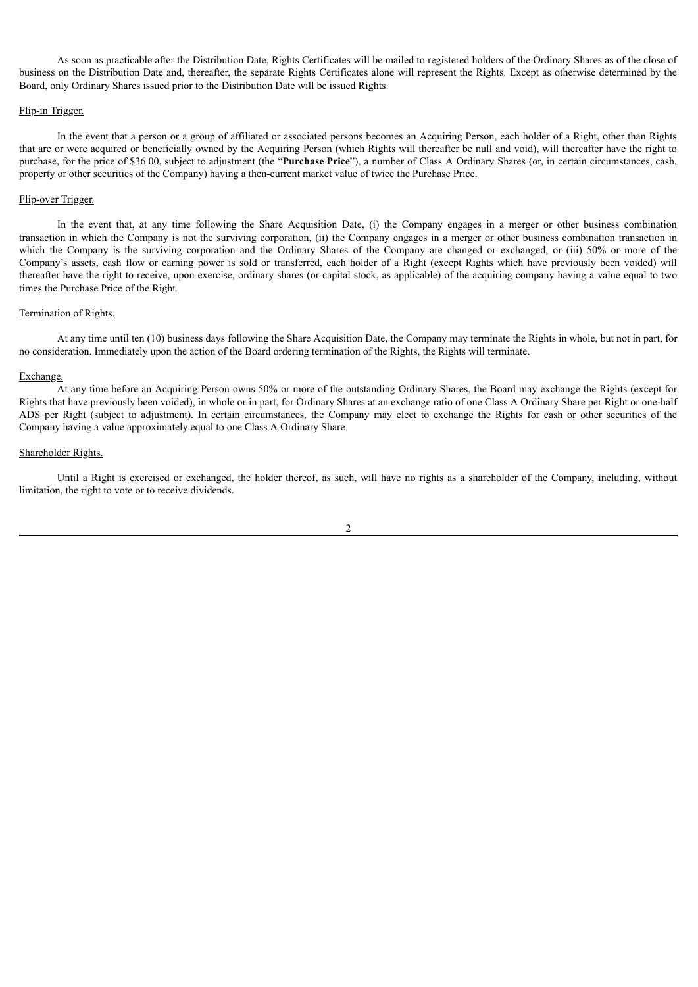As soon as practicable after the Distribution Date, Rights Certificates will be mailed to registered holders of the Ordinary Shares as of the close of business on the Distribution Date and, thereafter, the separate Rights Certificates alone will represent the Rights. Except as otherwise determined by the Board, only Ordinary Shares issued prior to the Distribution Date will be issued Rights.

#### Flip-in Trigger.

In the event that a person or a group of affiliated or associated persons becomes an Acquiring Person, each holder of a Right, other than Rights that are or were acquired or beneficially owned by the Acquiring Person (which Rights will thereafter be null and void), will thereafter have the right to purchase, for the price of \$36.00, subject to adjustment (the "**Purchase Price**"), a number of Class A Ordinary Shares (or, in certain circumstances, cash, property or other securities of the Company) having a then-current market value of twice the Purchase Price.

#### Flip-over Trigger.

In the event that, at any time following the Share Acquisition Date, (i) the Company engages in a merger or other business combination transaction in which the Company is not the surviving corporation, (ii) the Company engages in a merger or other business combination transaction in which the Company is the surviving corporation and the Ordinary Shares of the Company are changed or exchanged, or (iii) 50% or more of the Company's assets, cash flow or earning power is sold or transferred, each holder of a Right (except Rights which have previously been voided) will thereafter have the right to receive, upon exercise, ordinary shares (or capital stock, as applicable) of the acquiring company having a value equal to two times the Purchase Price of the Right.

# Termination of Rights.

At any time until ten (10) business days following the Share Acquisition Date, the Company may terminate the Rights in whole, but not in part, for no consideration. Immediately upon the action of the Board ordering termination of the Rights, the Rights will terminate.

#### Exchange.

At any time before an Acquiring Person owns 50% or more of the outstanding Ordinary Shares, the Board may exchange the Rights (except for Rights that have previously been voided), in whole or in part, for Ordinary Shares at an exchange ratio of one Class A Ordinary Share per Right or one-half ADS per Right (subject to adjustment). In certain circumstances, the Company may elect to exchange the Rights for cash or other securities of the Company having a value approximately equal to one Class A Ordinary Share.

#### Shareholder Rights.

Until a Right is exercised or exchanged, the holder thereof, as such, will have no rights as a shareholder of the Company, including, without limitation, the right to vote or to receive dividends.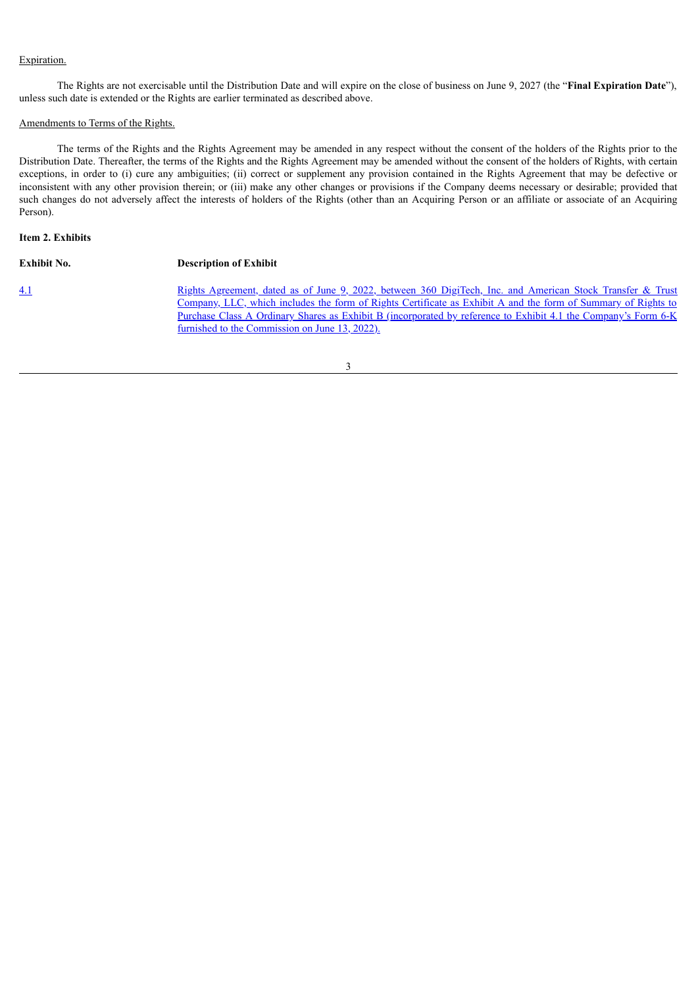# Expiration.

The Rights are not exercisable until the Distribution Date and will expire on the close of business on June 9, 2027 (the "**Final Expiration Date**"), unless such date is extended or the Rights are earlier terminated as described above.

# Amendments to Terms of the Rights.

The terms of the Rights and the Rights Agreement may be amended in any respect without the consent of the holders of the Rights prior to the Distribution Date. Thereafter, the terms of the Rights and the Rights Agreement may be amended without the consent of the holders of Rights, with certain exceptions, in order to (i) cure any ambiguities; (ii) correct or supplement any provision contained in the Rights Agreement that may be defective or inconsistent with any other provision therein; or (iii) make any other changes or provisions if the Company deems necessary or desirable; provided that such changes do not adversely affect the interests of holders of the Rights (other than an Acquiring Person or an affiliate or associate of an Acquiring Person).

# **Item 2. Exhibits**

| <b>Exhibit No.</b> | <b>Description of Exhibit</b>                                                                                                                                                                                                                                                                                                                                                                   |
|--------------------|-------------------------------------------------------------------------------------------------------------------------------------------------------------------------------------------------------------------------------------------------------------------------------------------------------------------------------------------------------------------------------------------------|
| 4.1                | Rights Agreement, dated as of June 9, 2022, between 360 DigiTech, Inc. and American Stock Transfer & Trust<br>Company, LLC, which includes the form of Rights Certificate as Exhibit A and the form of Summary of Rights to<br>Purchase Class A Ordinary Shares as Exhibit B (incorporated by reference to Exhibit 4.1 the Company's Form 6-K<br>furnished to the Commission on June 13, 2022). |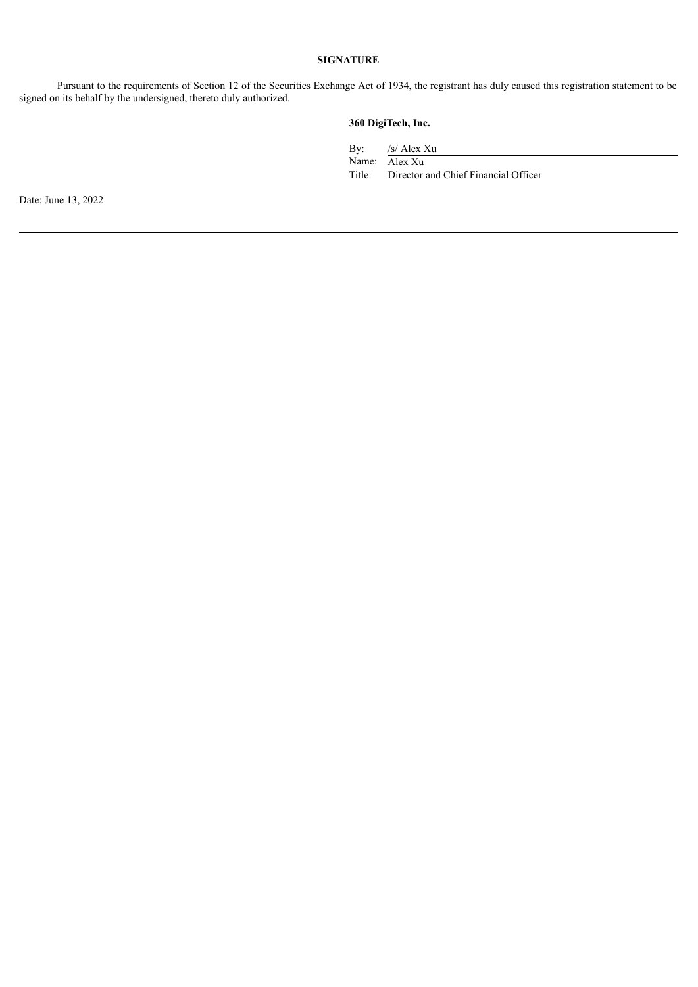# **SIGNATURE**

Pursuant to the requirements of Section 12 of the Securities Exchange Act of 1934, the registrant has duly caused this registration statement to be signed on its behalf by the undersigned, thereto duly authorized.

# **360 DigiTech, Inc.**

By: /s/ Alex Xu

Name: Alex Xu

Title: Director and Chief Financial Officer

Date: June 13, 2022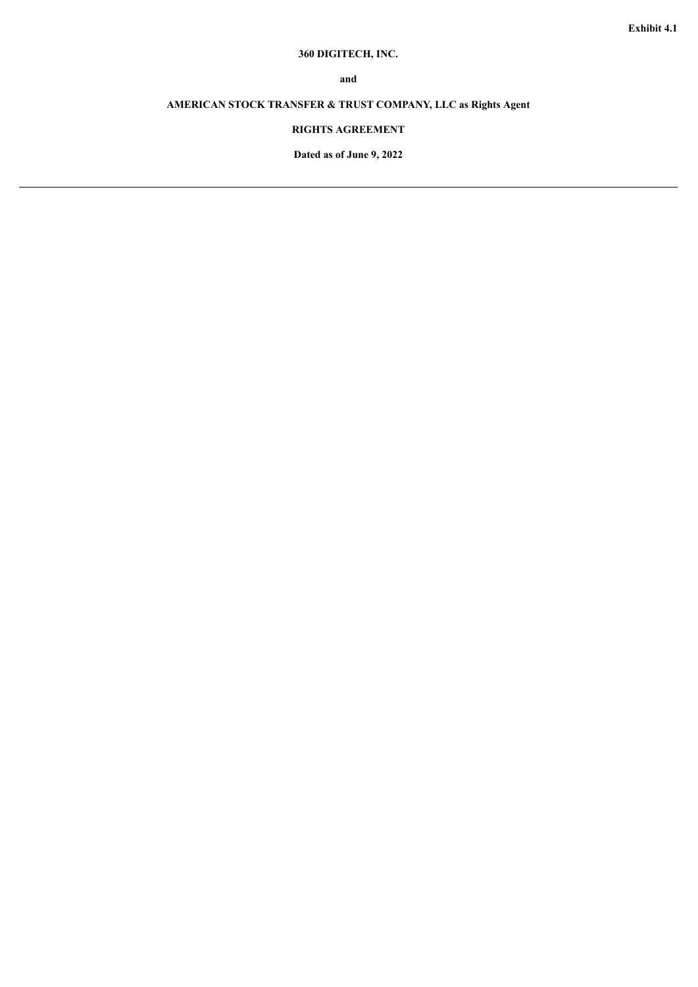# **360 DIGITECH, INC.**

**and**

# <span id="page-5-0"></span>**AMERICAN STOCK TRANSFER & TRUST COMPANY, LLC as Rights Agent**

# **RIGHTS AGREEMENT**

**Dated as of June 9, 2022**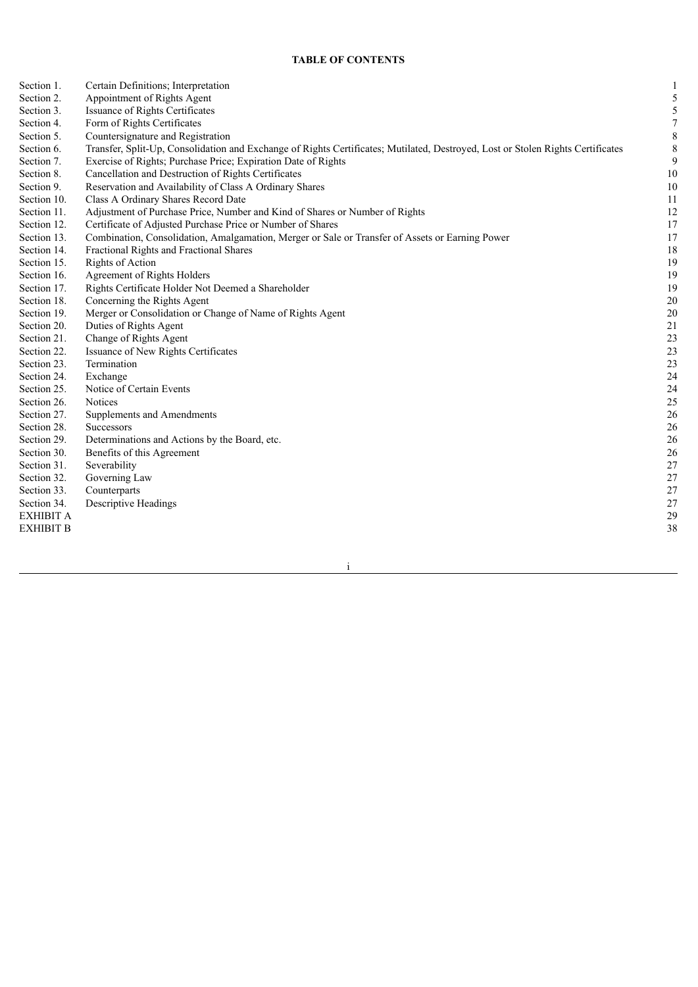# **TABLE OF CONTENTS**

| Section 1.       | Certain Definitions; Interpretation                                                                                             |             |
|------------------|---------------------------------------------------------------------------------------------------------------------------------|-------------|
| Section 2.       | Appointment of Rights Agent                                                                                                     | 5           |
| Section 3.       | Issuance of Rights Certificates                                                                                                 | 5           |
| Section 4.       | Form of Rights Certificates                                                                                                     | $\tau$      |
| Section 5.       | Countersignature and Registration                                                                                               | 8           |
| Section 6.       | Transfer, Split-Up, Consolidation and Exchange of Rights Certificates; Mutilated, Destroyed, Lost or Stolen Rights Certificates | $\,$ 8 $\,$ |
| Section 7.       | Exercise of Rights; Purchase Price; Expiration Date of Rights                                                                   | 9           |
| Section 8.       | Cancellation and Destruction of Rights Certificates                                                                             | 10          |
| Section 9.       | Reservation and Availability of Class A Ordinary Shares                                                                         | $10\,$      |
| Section 10.      | Class A Ordinary Shares Record Date                                                                                             | 11          |
| Section 11.      | Adjustment of Purchase Price, Number and Kind of Shares or Number of Rights                                                     | $12\,$      |
| Section 12.      | Certificate of Adjusted Purchase Price or Number of Shares                                                                      | 17          |
| Section 13.      | Combination, Consolidation, Amalgamation, Merger or Sale or Transfer of Assets or Earning Power                                 | 17          |
| Section 14.      | Fractional Rights and Fractional Shares                                                                                         | 18          |
| Section 15.      | Rights of Action                                                                                                                | 19          |
| Section 16.      | Agreement of Rights Holders                                                                                                     | 19          |
| Section 17.      | Rights Certificate Holder Not Deemed a Shareholder                                                                              | 19          |
| Section 18.      | Concerning the Rights Agent                                                                                                     | 20          |
| Section 19.      | Merger or Consolidation or Change of Name of Rights Agent                                                                       | 20          |
| Section 20.      | Duties of Rights Agent                                                                                                          | 21          |
| Section 21.      | Change of Rights Agent                                                                                                          | 23          |
| Section 22.      | Issuance of New Rights Certificates                                                                                             | 23          |
| Section 23.      | Termination                                                                                                                     | 23          |
| Section 24.      | Exchange                                                                                                                        | 24          |
| Section 25.      | Notice of Certain Events                                                                                                        | 24          |
| Section 26.      | <b>Notices</b>                                                                                                                  | 25          |
| Section 27.      | Supplements and Amendments                                                                                                      | 26          |
| Section 28.      | <b>Successors</b>                                                                                                               | 26          |
| Section 29.      | Determinations and Actions by the Board, etc.                                                                                   | 26          |
| Section 30.      | Benefits of this Agreement                                                                                                      | 26          |
| Section 31.      | Severability                                                                                                                    | 27          |
| Section 32.      | Governing Law                                                                                                                   | $27\,$      |
| Section 33.      | Counterparts                                                                                                                    | $27\,$      |
| Section 34.      | Descriptive Headings                                                                                                            | $27\,$      |
| <b>EXHIBIT A</b> |                                                                                                                                 | 29          |
| <b>EXHIBIT B</b> |                                                                                                                                 | 38          |
|                  |                                                                                                                                 |             |

i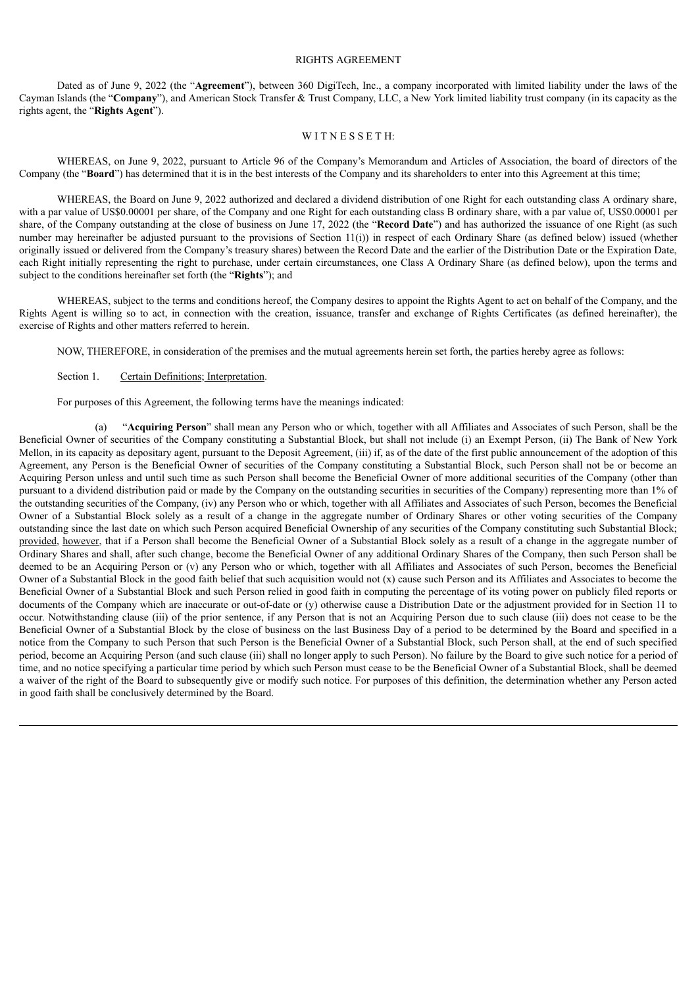# RIGHTS AGREEMENT

Dated as of June 9, 2022 (the "**Agreement**"), between 360 DigiTech, Inc., a company incorporated with limited liability under the laws of the Cayman Islands (the "**Company**"), and American Stock Transfer & Trust Company, LLC, a New York limited liability trust company (in its capacity as the rights agent, the "**Rights Agent**").

# WITNESSETH:

WHEREAS, on June 9, 2022, pursuant to Article 96 of the Company's Memorandum and Articles of Association, the board of directors of the Company (the "**Board**") has determined that it is in the best interests of the Company and its shareholders to enter into this Agreement at this time;

WHEREAS, the Board on June 9, 2022 authorized and declared a dividend distribution of one Right for each outstanding class A ordinary share, with a par value of US\$0.00001 per share, of the Company and one Right for each outstanding class B ordinary share, with a par value of, US\$0.00001 per share, of the Company outstanding at the close of business on June 17, 2022 (the "**Record Date**") and has authorized the issuance of one Right (as such number may hereinafter be adjusted pursuant to the provisions of Section 11(i)) in respect of each Ordinary Share (as defined below) issued (whether originally issued or delivered from the Company's treasury shares) between the Record Date and the earlier of the Distribution Date or the Expiration Date, each Right initially representing the right to purchase, under certain circumstances, one Class A Ordinary Share (as defined below), upon the terms and subject to the conditions hereinafter set forth (the "**Rights**"); and

WHEREAS, subject to the terms and conditions hereof, the Company desires to appoint the Rights Agent to act on behalf of the Company, and the Rights Agent is willing so to act, in connection with the creation, issuance, transfer and exchange of Rights Certificates (as defined hereinafter), the exercise of Rights and other matters referred to herein.

NOW, THEREFORE, in consideration of the premises and the mutual agreements herein set forth, the parties hereby agree as follows:

# Section 1. Certain Definitions; Interpretation.

For purposes of this Agreement, the following terms have the meanings indicated:

(a) "**Acquiring Person**" shall mean any Person who or which, together with all Affiliates and Associates of such Person, shall be the Beneficial Owner of securities of the Company constituting a Substantial Block, but shall not include (i) an Exempt Person, (ii) The Bank of New York Mellon, in its capacity as depositary agent, pursuant to the Deposit Agreement, (iii) if, as of the date of the first public announcement of the adoption of this Agreement, any Person is the Beneficial Owner of securities of the Company constituting a Substantial Block, such Person shall not be or become an Acquiring Person unless and until such time as such Person shall become the Beneficial Owner of more additional securities of the Company (other than pursuant to a dividend distribution paid or made by the Company on the outstanding securities in securities of the Company) representing more than 1% of the outstanding securities of the Company, (iv) any Person who or which, together with all Affiliates and Associates of such Person, becomes the Beneficial Owner of a Substantial Block solely as a result of a change in the aggregate number of Ordinary Shares or other voting securities of the Company outstanding since the last date on which such Person acquired Beneficial Ownership of any securities of the Company constituting such Substantial Block; provided, however, that if a Person shall become the Beneficial Owner of a Substantial Block solely as a result of a change in the aggregate number of Ordinary Shares and shall, after such change, become the Beneficial Owner of any additional Ordinary Shares of the Company, then such Person shall be deemed to be an Acquiring Person or (v) any Person who or which, together with all Affiliates and Associates of such Person, becomes the Beneficial Owner of a Substantial Block in the good faith belief that such acquisition would not  $(x)$  cause such Person and its Affiliates and Associates to become the Beneficial Owner of a Substantial Block and such Person relied in good faith in computing the percentage of its voting power on publicly filed reports or documents of the Company which are inaccurate or out-of-date or (y) otherwise cause a Distribution Date or the adjustment provided for in Section 11 to occur. Notwithstanding clause (iii) of the prior sentence, if any Person that is not an Acquiring Person due to such clause (iii) does not cease to be the Beneficial Owner of a Substantial Block by the close of business on the last Business Day of a period to be determined by the Board and specified in a notice from the Company to such Person that such Person is the Beneficial Owner of a Substantial Block, such Person shall, at the end of such specified period, become an Acquiring Person (and such clause (iii) shall no longer apply to such Person). No failure by the Board to give such notice for a period of time, and no notice specifying a particular time period by which such Person must cease to be the Beneficial Owner of a Substantial Block, shall be deemed a waiver of the right of the Board to subsequently give or modify such notice. For purposes of this definition, the determination whether any Person acted in good faith shall be conclusively determined by the Board.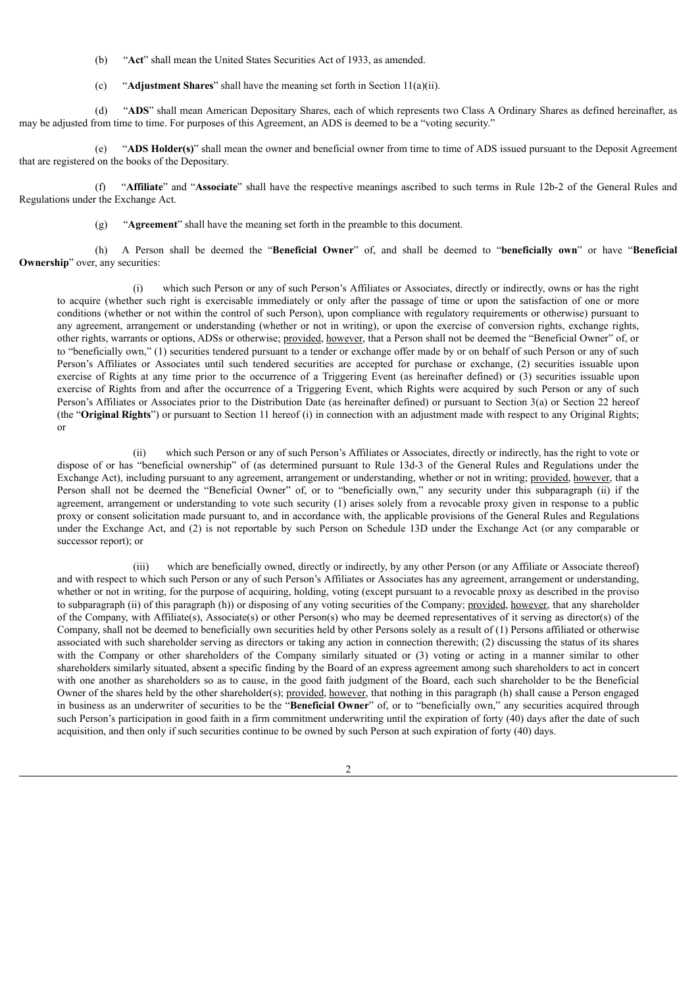(b) "**Act**" shall mean the United States Securities Act of 1933, as amended.

(c) "**Adjustment Shares**" shall have the meaning set forth in Section 11(a)(ii).

(d) "**ADS**" shall mean American Depositary Shares, each of which represents two Class A Ordinary Shares as defined hereinafter, as may be adjusted from time to time. For purposes of this Agreement, an ADS is deemed to be a "voting security."

(e) "**ADS Holder(s)**" shall mean the owner and beneficial owner from time to time of ADS issued pursuant to the Deposit Agreement that are registered on the books of the Depositary.

(f) "**Affiliate**" and "**Associate**" shall have the respective meanings ascribed to such terms in Rule 12b-2 of the General Rules and Regulations under the Exchange Act.

(g) "**Agreement**" shall have the meaning set forth in the preamble to this document.

(h) A Person shall be deemed the "**Beneficial Owner**" of, and shall be deemed to "**beneficially own**" or have "**Beneficial Ownership**" over, any securities:

(i) which such Person or any of such Person's Affiliates or Associates, directly or indirectly, owns or has the right to acquire (whether such right is exercisable immediately or only after the passage of time or upon the satisfaction of one or more conditions (whether or not within the control of such Person), upon compliance with regulatory requirements or otherwise) pursuant to any agreement, arrangement or understanding (whether or not in writing), or upon the exercise of conversion rights, exchange rights, other rights, warrants or options, ADSs or otherwise; provided, however, that a Person shall not be deemed the "Beneficial Owner" of, or to "beneficially own," (1) securities tendered pursuant to a tender or exchange offer made by or on behalf of such Person or any of such Person's Affiliates or Associates until such tendered securities are accepted for purchase or exchange, (2) securities issuable upon exercise of Rights at any time prior to the occurrence of a Triggering Event (as hereinafter defined) or (3) securities issuable upon exercise of Rights from and after the occurrence of a Triggering Event, which Rights were acquired by such Person or any of such Person's Affiliates or Associates prior to the Distribution Date (as hereinafter defined) or pursuant to Section 3(a) or Section 22 hereof (the "**Original Rights**") or pursuant to Section 11 hereof (i) in connection with an adjustment made with respect to any Original Rights; or

(ii) which such Person or any of such Person's Affiliates or Associates, directly or indirectly, has the right to vote or dispose of or has "beneficial ownership" of (as determined pursuant to Rule 13d-3 of the General Rules and Regulations under the Exchange Act), including pursuant to any agreement, arrangement or understanding, whether or not in writing; provided, however, that a Person shall not be deemed the "Beneficial Owner" of, or to "beneficially own," any security under this subparagraph (ii) if the agreement, arrangement or understanding to vote such security (1) arises solely from a revocable proxy given in response to a public proxy or consent solicitation made pursuant to, and in accordance with, the applicable provisions of the General Rules and Regulations under the Exchange Act, and (2) is not reportable by such Person on Schedule 13D under the Exchange Act (or any comparable or successor report); or

(iii) which are beneficially owned, directly or indirectly, by any other Person (or any Affiliate or Associate thereof) and with respect to which such Person or any of such Person's Affiliates or Associates has any agreement, arrangement or understanding, whether or not in writing, for the purpose of acquiring, holding, voting (except pursuant to a revocable proxy as described in the proviso to subparagraph (ii) of this paragraph (h)) or disposing of any voting securities of the Company; provided, however, that any shareholder of the Company, with Affiliate(s), Associate(s) or other Person(s) who may be deemed representatives of it serving as director(s) of the Company, shall not be deemed to beneficially own securities held by other Persons solely as a result of (1) Persons affiliated or otherwise associated with such shareholder serving as directors or taking any action in connection therewith; (2) discussing the status of its shares with the Company or other shareholders of the Company similarly situated or (3) voting or acting in a manner similar to other shareholders similarly situated, absent a specific finding by the Board of an express agreement among such shareholders to act in concert with one another as shareholders so as to cause, in the good faith judgment of the Board, each such shareholder to be the Beneficial Owner of the shares held by the other shareholder(s); provided, however, that nothing in this paragraph (h) shall cause a Person engaged in business as an underwriter of securities to be the "**Beneficial Owner**" of, or to "beneficially own," any securities acquired through such Person's participation in good faith in a firm commitment underwriting until the expiration of forty (40) days after the date of such acquisition, and then only if such securities continue to be owned by such Person at such expiration of forty (40) days.

 $\mathfrak{D}$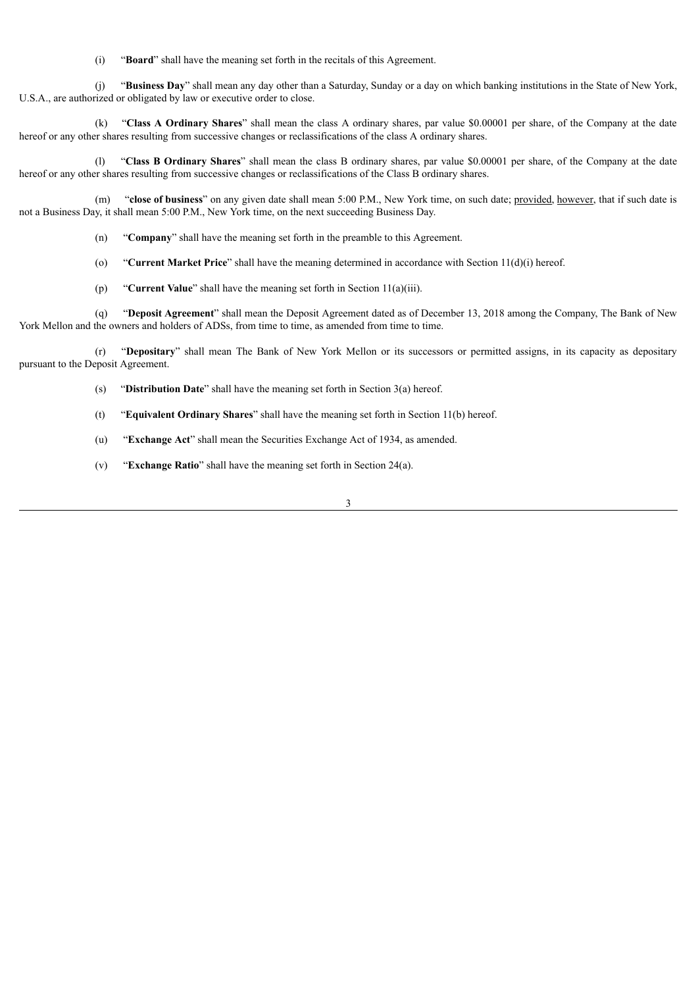(i) "**Board**" shall have the meaning set forth in the recitals of this Agreement.

(j) "**Business Day**" shall mean any day other than a Saturday, Sunday or a day on which banking institutions in the State of New York, U.S.A., are authorized or obligated by law or executive order to close.

(k) "**Class A Ordinary Shares**" shall mean the class A ordinary shares, par value \$0.00001 per share, of the Company at the date hereof or any other shares resulting from successive changes or reclassifications of the class A ordinary shares.

(l) "**Class B Ordinary Shares**" shall mean the class B ordinary shares, par value \$0.00001 per share, of the Company at the date hereof or any other shares resulting from successive changes or reclassifications of the Class B ordinary shares.

(m) "**close of business**" on any given date shall mean 5:00 P.M., New York time, on such date; provided, however, that if such date is not a Business Day, it shall mean 5:00 P.M., New York time, on the next succeeding Business Day.

- (n) "**Company**" shall have the meaning set forth in the preamble to this Agreement.
- (o) "**Current Market Price**" shall have the meaning determined in accordance with Section 11(d)(i) hereof.
- (p) "**Current Value**" shall have the meaning set forth in Section 11(a)(iii).

(q) "**Deposit Agreement**" shall mean the Deposit Agreement dated as of December 13, 2018 among the Company, The Bank of New York Mellon and the owners and holders of ADSs, from time to time, as amended from time to time.

(r) "**Depositary**" shall mean The Bank of New York Mellon or its successors or permitted assigns, in its capacity as depositary pursuant to the Deposit Agreement.

- (s) "**Distribution Date**" shall have the meaning set forth in Section 3(a) hereof.
- (t) "**Equivalent Ordinary Shares**" shall have the meaning set forth in Section 11(b) hereof.
- (u) "**Exchange Act**" shall mean the Securities Exchange Act of 1934, as amended.
- (v) "**Exchange Ratio**" shall have the meaning set forth in Section 24(a).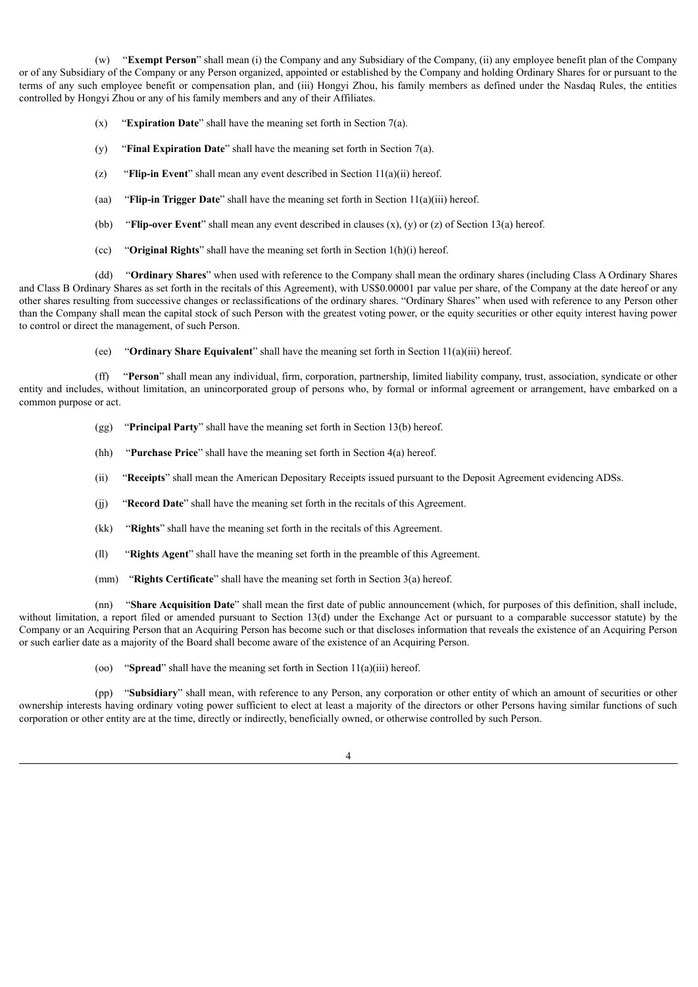(w) "**Exempt Person**" shall mean (i) the Company and any Subsidiary of the Company, (ii) any employee benefit plan of the Company or of any Subsidiary of the Company or any Person organized, appointed or established by the Company and holding Ordinary Shares for or pursuant to the terms of any such employee benefit or compensation plan, and (iii) Hongyi Zhou, his family members as defined under the Nasdaq Rules, the entities controlled by Hongyi Zhou or any of his family members and any of their Affiliates.

- (x) "**Expiration Date**" shall have the meaning set forth in Section 7(a).
- (y) "**Final Expiration Date**" shall have the meaning set forth in Section 7(a).
- (z) "**Flip-in Event**" shall mean any event described in Section 11(a)(ii) hereof.
- (aa) "**Flip-in Trigger Date**" shall have the meaning set forth in Section 11(a)(iii) hereof.
- (bb) "**Flip-over Event**" shall mean any event described in clauses (x), (y) or (z) of Section 13(a) hereof.
- (cc) "**Original Rights**" shall have the meaning set forth in Section 1(h)(i) hereof.

(dd) "**Ordinary Shares**" when used with reference to the Company shall mean the ordinary shares (including Class A Ordinary Shares and Class B Ordinary Shares as set forth in the recitals of this Agreement), with US\$0.00001 par value per share, of the Company at the date hereof or any other shares resulting from successive changes or reclassifications of the ordinary shares. "Ordinary Shares" when used with reference to any Person other than the Company shall mean the capital stock of such Person with the greatest voting power, or the equity securities or other equity interest having power to control or direct the management, of such Person.

(ee) "**Ordinary Share Equivalent**" shall have the meaning set forth in Section 11(a)(iii) hereof.

(ff) "**Person**" shall mean any individual, firm, corporation, partnership, limited liability company, trust, association, syndicate or other entity and includes, without limitation, an unincorporated group of persons who, by formal or informal agreement or arrangement, have embarked on a common purpose or act.

- (gg) "**Principal Party**" shall have the meaning set forth in Section 13(b) hereof.
- (hh) "**Purchase Price**" shall have the meaning set forth in Section 4(a) hereof.
- (ii) "**Receipts**" shall mean the American Depositary Receipts issued pursuant to the Deposit Agreement evidencing ADSs.
- (jj) "**Record Date**" shall have the meaning set forth in the recitals of this Agreement.
- (kk) "**Rights**" shall have the meaning set forth in the recitals of this Agreement.
- (ll) "**Rights Agent**" shall have the meaning set forth in the preamble of this Agreement.
- (mm) "**Rights Certificate**" shall have the meaning set forth in Section 3(a) hereof.

(nn) "**Share Acquisition Date**" shall mean the first date of public announcement (which, for purposes of this definition, shall include, without limitation, a report filed or amended pursuant to Section 13(d) under the Exchange Act or pursuant to a comparable successor statute) by the Company or an Acquiring Person that an Acquiring Person has become such or that discloses information that reveals the existence of an Acquiring Person or such earlier date as a majority of the Board shall become aware of the existence of an Acquiring Person.

(oo) "**Spread**" shall have the meaning set forth in Section 11(a)(iii) hereof.

(pp) "**Subsidiary**" shall mean, with reference to any Person, any corporation or other entity of which an amount of securities or other ownership interests having ordinary voting power sufficient to elect at least a majority of the directors or other Persons having similar functions of such corporation or other entity are at the time, directly or indirectly, beneficially owned, or otherwise controlled by such Person.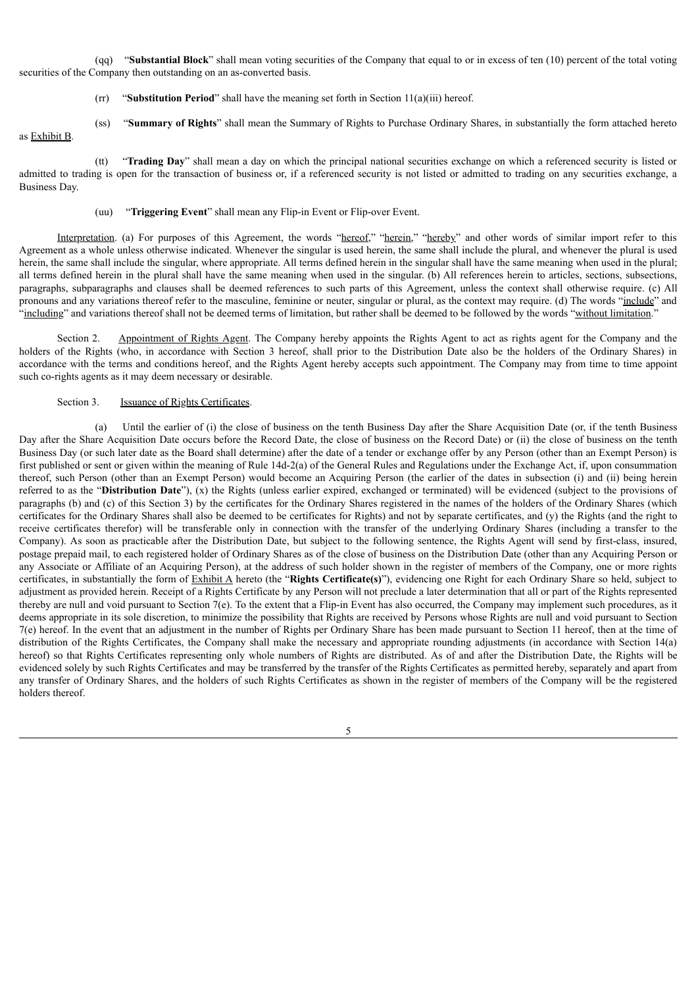(qq) "**Substantial Block**" shall mean voting securities of the Company that equal to or in excess of ten (10) percent of the total voting securities of the Company then outstanding on an as-converted basis.

- $(rr)$  "**Substitution Period**" shall have the meaning set forth in Section 11(a)(iii) hereof.
- (ss) "**Summary of Rights**" shall mean the Summary of Rights to Purchase Ordinary Shares, in substantially the form attached hereto

# as Exhibit B.

(tt) "**Trading Day**" shall mean a day on which the principal national securities exchange on which a referenced security is listed or admitted to trading is open for the transaction of business or, if a referenced security is not listed or admitted to trading on any securities exchange, a Business Day.

(uu) "**Triggering Event**" shall mean any Flip-in Event or Flip-over Event.

Interpretation. (a) For purposes of this Agreement, the words "hereof," "herein," "hereby" and other words of similar import refer to this Agreement as a whole unless otherwise indicated. Whenever the singular is used herein, the same shall include the plural, and whenever the plural is used herein, the same shall include the singular, where appropriate. All terms defined herein in the singular shall have the same meaning when used in the plural; all terms defined herein in the plural shall have the same meaning when used in the singular. (b) All references herein to articles, sections, subsections, paragraphs, subparagraphs and clauses shall be deemed references to such parts of this Agreement, unless the context shall otherwise require. (c) All pronouns and any variations thereof refer to the masculine, feminine or neuter, singular or plural, as the context may require. (d) The words "include" and "including" and variations thereof shall not be deemed terms of limitation, but rather shall be deemed to be followed by the words "without limitation."

Section 2. Appointment of Rights Agent. The Company hereby appoints the Rights Agent to act as rights agent for the Company and the holders of the Rights (who, in accordance with Section 3 hereof, shall prior to the Distribution Date also be the holders of the Ordinary Shares) in accordance with the terms and conditions hereof, and the Rights Agent hereby accepts such appointment. The Company may from time to time appoint such co-rights agents as it may deem necessary or desirable.

#### Section 3. Issuance of Rights Certificates.

(a) Until the earlier of (i) the close of business on the tenth Business Day after the Share Acquisition Date (or, if the tenth Business Day after the Share Acquisition Date occurs before the Record Date, the close of business on the Record Date) or (ii) the close of business on the tenth Business Day (or such later date as the Board shall determine) after the date of a tender or exchange offer by any Person (other than an Exempt Person) is first published or sent or given within the meaning of Rule 14d-2(a) of the General Rules and Regulations under the Exchange Act, if, upon consummation thereof, such Person (other than an Exempt Person) would become an Acquiring Person (the earlier of the dates in subsection (i) and (ii) being herein referred to as the "**Distribution Date**"), (x) the Rights (unless earlier expired, exchanged or terminated) will be evidenced (subject to the provisions of paragraphs (b) and (c) of this Section 3) by the certificates for the Ordinary Shares registered in the names of the holders of the Ordinary Shares (which certificates for the Ordinary Shares shall also be deemed to be certificates for Rights) and not by separate certificates, and (y) the Rights (and the right to receive certificates therefor) will be transferable only in connection with the transfer of the underlying Ordinary Shares (including a transfer to the Company). As soon as practicable after the Distribution Date, but subject to the following sentence, the Rights Agent will send by first-class, insured, postage prepaid mail, to each registered holder of Ordinary Shares as of the close of business on the Distribution Date (other than any Acquiring Person or any Associate or Affiliate of an Acquiring Person), at the address of such holder shown in the register of members of the Company, one or more rights certificates, in substantially the form of Exhibit A hereto (the "**Rights Certificate(s)**"), evidencing one Right for each Ordinary Share so held, subject to adjustment as provided herein. Receipt of a Rights Certificate by any Person will not preclude a later determination that all or part of the Rights represented thereby are null and void pursuant to Section 7(e). To the extent that a Flip-in Event has also occurred, the Company may implement such procedures, as it deems appropriate in its sole discretion, to minimize the possibility that Rights are received by Persons whose Rights are null and void pursuant to Section 7(e) hereof. In the event that an adjustment in the number of Rights per Ordinary Share has been made pursuant to Section 11 hereof, then at the time of distribution of the Rights Certificates, the Company shall make the necessary and appropriate rounding adjustments (in accordance with Section 14(a) hereof) so that Rights Certificates representing only whole numbers of Rights are distributed. As of and after the Distribution Date, the Rights will be evidenced solely by such Rights Certificates and may be transferred by the transfer of the Rights Certificates as permitted hereby, separately and apart from any transfer of Ordinary Shares, and the holders of such Rights Certificates as shown in the register of members of the Company will be the registered holders thereof.

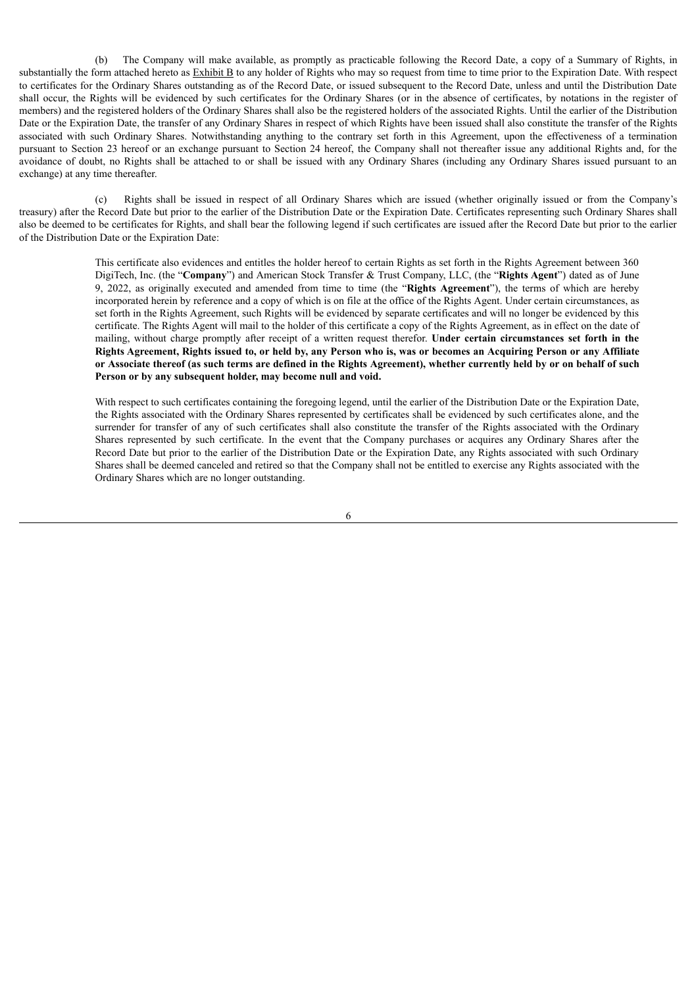(b) The Company will make available, as promptly as practicable following the Record Date, a copy of a Summary of Rights, in substantially the form attached hereto as Exhibit B to any holder of Rights who may so request from time to time prior to the Expiration Date. With respect to certificates for the Ordinary Shares outstanding as of the Record Date, or issued subsequent to the Record Date, unless and until the Distribution Date shall occur, the Rights will be evidenced by such certificates for the Ordinary Shares (or in the absence of certificates, by notations in the register of members) and the registered holders of the Ordinary Shares shall also be the registered holders of the associated Rights. Until the earlier of the Distribution Date or the Expiration Date, the transfer of any Ordinary Shares in respect of which Rights have been issued shall also constitute the transfer of the Rights associated with such Ordinary Shares. Notwithstanding anything to the contrary set forth in this Agreement, upon the effectiveness of a termination pursuant to Section 23 hereof or an exchange pursuant to Section 24 hereof, the Company shall not thereafter issue any additional Rights and, for the avoidance of doubt, no Rights shall be attached to or shall be issued with any Ordinary Shares (including any Ordinary Shares issued pursuant to an exchange) at any time thereafter.

(c) Rights shall be issued in respect of all Ordinary Shares which are issued (whether originally issued or from the Company's treasury) after the Record Date but prior to the earlier of the Distribution Date or the Expiration Date. Certificates representing such Ordinary Shares shall also be deemed to be certificates for Rights, and shall bear the following legend if such certificates are issued after the Record Date but prior to the earlier of the Distribution Date or the Expiration Date:

> This certificate also evidences and entitles the holder hereof to certain Rights as set forth in the Rights Agreement between 360 DigiTech, Inc. (the "**Company**") and American Stock Transfer & Trust Company, LLC, (the "**Rights Agent**") dated as of June 9, 2022, as originally executed and amended from time to time (the "**Rights Agreement**"), the terms of which are hereby incorporated herein by reference and a copy of which is on file at the office of the Rights Agent. Under certain circumstances, as set forth in the Rights Agreement, such Rights will be evidenced by separate certificates and will no longer be evidenced by this certificate. The Rights Agent will mail to the holder of this certificate a copy of the Rights Agreement, as in effect on the date of mailing, without charge promptly after receipt of a written request therefor. **Under certain circumstances set forth in the** Rights Agreement, Rights issued to, or held by, any Person who is, was or becomes an Acquiring Person or any Affiliate or Associate thereof (as such terms are defined in the Rights Agreement), whether currently held by or on behalf of such **Person or by any subsequent holder, may become null and void.**

> With respect to such certificates containing the foregoing legend, until the earlier of the Distribution Date or the Expiration Date. the Rights associated with the Ordinary Shares represented by certificates shall be evidenced by such certificates alone, and the surrender for transfer of any of such certificates shall also constitute the transfer of the Rights associated with the Ordinary Shares represented by such certificate. In the event that the Company purchases or acquires any Ordinary Shares after the Record Date but prior to the earlier of the Distribution Date or the Expiration Date, any Rights associated with such Ordinary Shares shall be deemed canceled and retired so that the Company shall not be entitled to exercise any Rights associated with the Ordinary Shares which are no longer outstanding.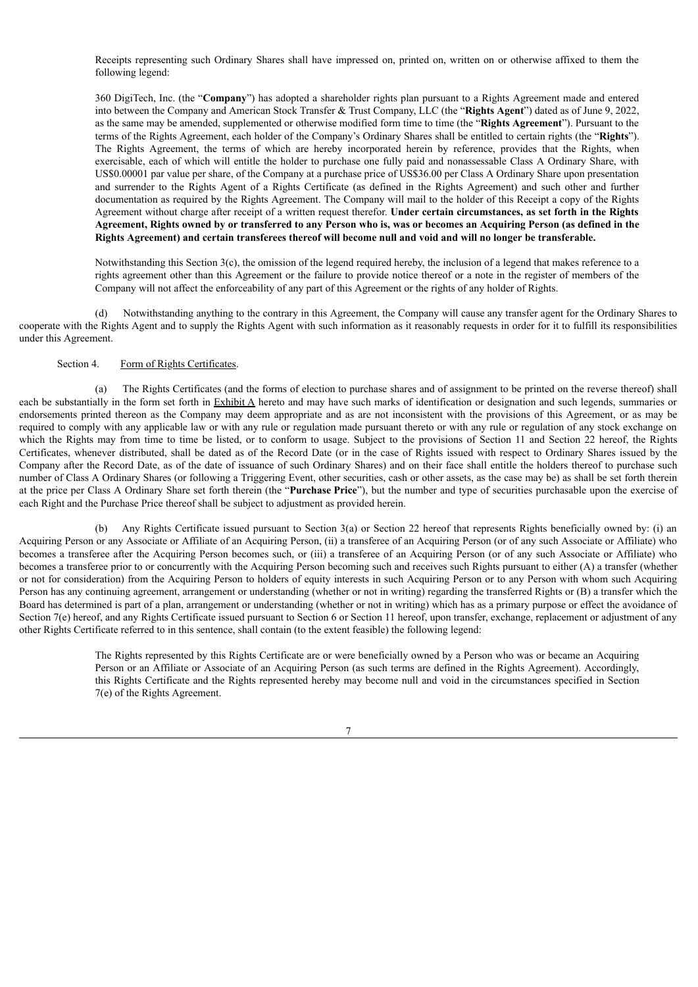Receipts representing such Ordinary Shares shall have impressed on, printed on, written on or otherwise affixed to them the following legend:

360 DigiTech, Inc. (the "**Company**") has adopted a shareholder rights plan pursuant to a Rights Agreement made and entered into between the Company and American Stock Transfer & Trust Company, LLC (the "**Rights Agent**") dated as of June 9, 2022, as the same may be amended, supplemented or otherwise modified form time to time (the "**Rights Agreement**"). Pursuant to the terms of the Rights Agreement, each holder of the Company's Ordinary Shares shall be entitled to certain rights (the "**Rights**"). The Rights Agreement, the terms of which are hereby incorporated herein by reference, provides that the Rights, when exercisable, each of which will entitle the holder to purchase one fully paid and nonassessable Class A Ordinary Share, with US\$0.00001 par value per share, of the Company at a purchase price of US\$36.00 per Class A Ordinary Share upon presentation and surrender to the Rights Agent of a Rights Certificate (as defined in the Rights Agreement) and such other and further documentation as required by the Rights Agreement. The Company will mail to the holder of this Receipt a copy of the Rights Agreement without charge after receipt of a written request therefor. **Under certain circumstances, as set forth in the Rights** Agreement, Rights owned by or transferred to any Person who is, was or becomes an Acquiring Person (as defined in the Rights Agreement) and certain transferees thereof will become null and void and will no longer be transferable.

Notwithstanding this Section 3(c), the omission of the legend required hereby, the inclusion of a legend that makes reference to a rights agreement other than this Agreement or the failure to provide notice thereof or a note in the register of members of the Company will not affect the enforceability of any part of this Agreement or the rights of any holder of Rights.

(d) Notwithstanding anything to the contrary in this Agreement, the Company will cause any transfer agent for the Ordinary Shares to cooperate with the Rights Agent and to supply the Rights Agent with such information as it reasonably requests in order for it to fulfill its responsibilities under this Agreement.

# Section 4. Form of Rights Certificates.

(a) The Rights Certificates (and the forms of election to purchase shares and of assignment to be printed on the reverse thereof) shall each be substantially in the form set forth in Exhibit A hereto and may have such marks of identification or designation and such legends, summaries or endorsements printed thereon as the Company may deem appropriate and as are not inconsistent with the provisions of this Agreement, or as may be required to comply with any applicable law or with any rule or regulation made pursuant thereto or with any rule or regulation of any stock exchange on which the Rights may from time to time be listed, or to conform to usage. Subject to the provisions of Section 11 and Section 22 hereof, the Rights Certificates, whenever distributed, shall be dated as of the Record Date (or in the case of Rights issued with respect to Ordinary Shares issued by the Company after the Record Date, as of the date of issuance of such Ordinary Shares) and on their face shall entitle the holders thereof to purchase such number of Class A Ordinary Shares (or following a Triggering Event, other securities, cash or other assets, as the case may be) as shall be set forth therein at the price per Class A Ordinary Share set forth therein (the "**Purchase Price**"), but the number and type of securities purchasable upon the exercise of each Right and the Purchase Price thereof shall be subject to adjustment as provided herein.

(b) Any Rights Certificate issued pursuant to Section 3(a) or Section 22 hereof that represents Rights beneficially owned by: (i) an Acquiring Person or any Associate or Affiliate of an Acquiring Person, (ii) a transferee of an Acquiring Person (or of any such Associate or Affiliate) who becomes a transferee after the Acquiring Person becomes such, or (iii) a transferee of an Acquiring Person (or of any such Associate or Affiliate) who becomes a transferee prior to or concurrently with the Acquiring Person becoming such and receives such Rights pursuant to either (A) a transfer (whether or not for consideration) from the Acquiring Person to holders of equity interests in such Acquiring Person or to any Person with whom such Acquiring Person has any continuing agreement, arrangement or understanding (whether or not in writing) regarding the transferred Rights or (B) a transfer which the Board has determined is part of a plan, arrangement or understanding (whether or not in writing) which has as a primary purpose or effect the avoidance of Section 7(e) hereof, and any Rights Certificate issued pursuant to Section 6 or Section 11 hereof, upon transfer, exchange, replacement or adjustment of any other Rights Certificate referred to in this sentence, shall contain (to the extent feasible) the following legend:

> The Rights represented by this Rights Certificate are or were beneficially owned by a Person who was or became an Acquiring Person or an Affiliate or Associate of an Acquiring Person (as such terms are defined in the Rights Agreement). Accordingly, this Rights Certificate and the Rights represented hereby may become null and void in the circumstances specified in Section 7(e) of the Rights Agreement.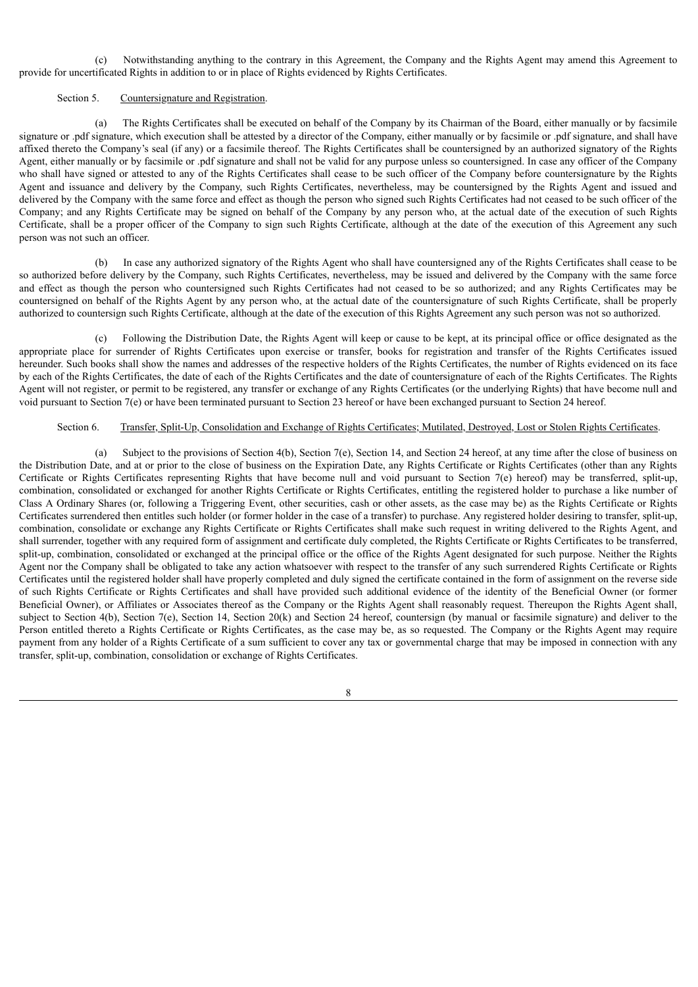(c) Notwithstanding anything to the contrary in this Agreement, the Company and the Rights Agent may amend this Agreement to provide for uncertificated Rights in addition to or in place of Rights evidenced by Rights Certificates.

#### Section 5. Countersignature and Registration.

(a) The Rights Certificates shall be executed on behalf of the Company by its Chairman of the Board, either manually or by facsimile signature or .pdf signature, which execution shall be attested by a director of the Company, either manually or by facsimile or .pdf signature, and shall have affixed thereto the Company's seal (if any) or a facsimile thereof. The Rights Certificates shall be countersigned by an authorized signatory of the Rights Agent, either manually or by facsimile or .pdf signature and shall not be valid for any purpose unless so countersigned. In case any officer of the Company who shall have signed or attested to any of the Rights Certificates shall cease to be such officer of the Company before countersignature by the Rights Agent and issuance and delivery by the Company, such Rights Certificates, nevertheless, may be countersigned by the Rights Agent and issued and delivered by the Company with the same force and effect as though the person who signed such Rights Certificates had not ceased to be such officer of the Company; and any Rights Certificate may be signed on behalf of the Company by any person who, at the actual date of the execution of such Rights Certificate, shall be a proper officer of the Company to sign such Rights Certificate, although at the date of the execution of this Agreement any such person was not such an officer.

(b) In case any authorized signatory of the Rights Agent who shall have countersigned any of the Rights Certificates shall cease to be so authorized before delivery by the Company, such Rights Certificates, nevertheless, may be issued and delivered by the Company with the same force and effect as though the person who countersigned such Rights Certificates had not ceased to be so authorized; and any Rights Certificates may be countersigned on behalf of the Rights Agent by any person who, at the actual date of the countersignature of such Rights Certificate, shall be properly authorized to countersign such Rights Certificate, although at the date of the execution of this Rights Agreement any such person was not so authorized.

(c) Following the Distribution Date, the Rights Agent will keep or cause to be kept, at its principal office or office designated as the appropriate place for surrender of Rights Certificates upon exercise or transfer, books for registration and transfer of the Rights Certificates issued hereunder. Such books shall show the names and addresses of the respective holders of the Rights Certificates, the number of Rights evidenced on its face by each of the Rights Certificates, the date of each of the Rights Certificates and the date of countersignature of each of the Rights Certificates. The Rights Agent will not register, or permit to be registered, any transfer or exchange of any Rights Certificates (or the underlying Rights) that have become null and void pursuant to Section 7(e) or have been terminated pursuant to Section 23 hereof or have been exchanged pursuant to Section 24 hereof.

# Section 6. Transfer, Split-Up, Consolidation and Exchange of Rights Certificates; Mutilated, Destroyed, Lost or Stolen Rights Certificates.

(a) Subject to the provisions of Section 4(b), Section 7(e), Section 14, and Section 24 hereof, at any time after the close of business on the Distribution Date, and at or prior to the close of business on the Expiration Date, any Rights Certificate or Rights Certificates (other than any Rights Certificate or Rights Certificates representing Rights that have become null and void pursuant to Section 7(e) hereof) may be transferred, split-up, combination, consolidated or exchanged for another Rights Certificate or Rights Certificates, entitling the registered holder to purchase a like number of Class A Ordinary Shares (or, following a Triggering Event, other securities, cash or other assets, as the case may be) as the Rights Certificate or Rights Certificates surrendered then entitles such holder (or former holder in the case of a transfer) to purchase. Any registered holder desiring to transfer, split-up, combination, consolidate or exchange any Rights Certificate or Rights Certificates shall make such request in writing delivered to the Rights Agent, and shall surrender, together with any required form of assignment and certificate duly completed, the Rights Certificate or Rights Certificates to be transferred, split-up, combination, consolidated or exchanged at the principal office or the office of the Rights Agent designated for such purpose. Neither the Rights Agent nor the Company shall be obligated to take any action whatsoever with respect to the transfer of any such surrendered Rights Certificate or Rights Certificates until the registered holder shall have properly completed and duly signed the certificate contained in the form of assignment on the reverse side of such Rights Certificate or Rights Certificates and shall have provided such additional evidence of the identity of the Beneficial Owner (or former Beneficial Owner), or Affiliates or Associates thereof as the Company or the Rights Agent shall reasonably request. Thereupon the Rights Agent shall, subject to Section 4(b), Section 7(e), Section 14, Section 20(k) and Section 24 hereof, countersign (by manual or facsimile signature) and deliver to the Person entitled thereto a Rights Certificate or Rights Certificates, as the case may be, as so requested. The Company or the Rights Agent may require payment from any holder of a Rights Certificate of a sum sufficient to cover any tax or governmental charge that may be imposed in connection with any transfer, split-up, combination, consolidation or exchange of Rights Certificates.

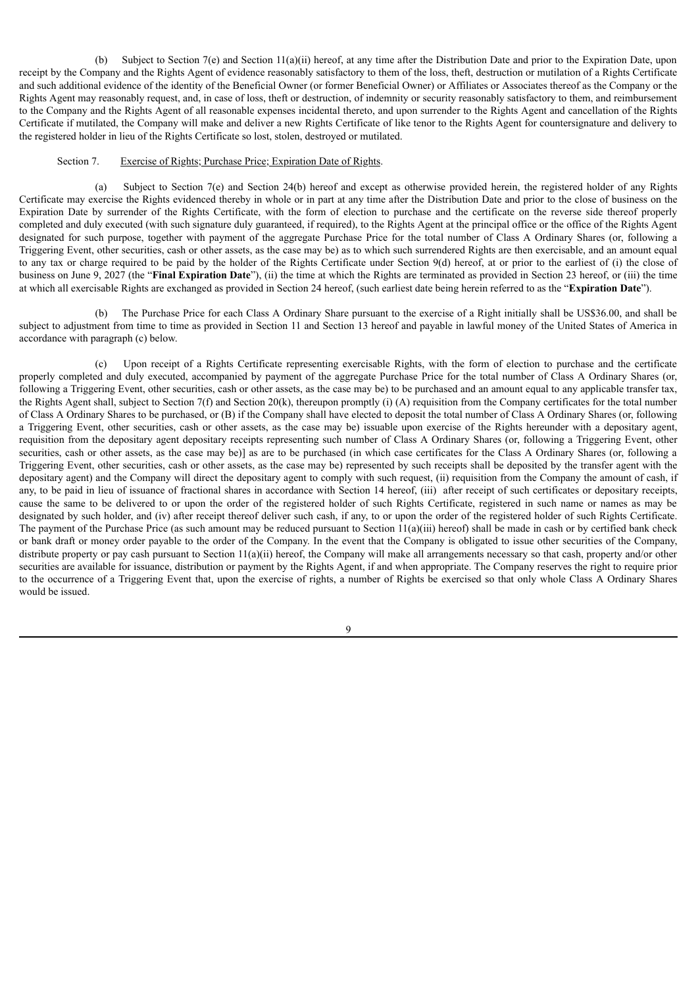(b) Subject to Section 7(e) and Section 11(a)(ii) hereof, at any time after the Distribution Date and prior to the Expiration Date, upon receipt by the Company and the Rights Agent of evidence reasonably satisfactory to them of the loss, theft, destruction or mutilation of a Rights Certificate and such additional evidence of the identity of the Beneficial Owner (or former Beneficial Owner) or Affiliates or Associates thereof as the Company or the Rights Agent may reasonably request, and, in case of loss, theft or destruction, of indemnity or security reasonably satisfactory to them, and reimbursement to the Company and the Rights Agent of all reasonable expenses incidental thereto, and upon surrender to the Rights Agent and cancellation of the Rights Certificate if mutilated, the Company will make and deliver a new Rights Certificate of like tenor to the Rights Agent for countersignature and delivery to the registered holder in lieu of the Rights Certificate so lost, stolen, destroyed or mutilated.

# Section 7. Exercise of Rights; Purchase Price; Expiration Date of Rights.

(a) Subject to Section 7(e) and Section 24(b) hereof and except as otherwise provided herein, the registered holder of any Rights Certificate may exercise the Rights evidenced thereby in whole or in part at any time after the Distribution Date and prior to the close of business on the Expiration Date by surrender of the Rights Certificate, with the form of election to purchase and the certificate on the reverse side thereof properly completed and duly executed (with such signature duly guaranteed, if required), to the Rights Agent at the principal office or the office of the Rights Agent designated for such purpose, together with payment of the aggregate Purchase Price for the total number of Class A Ordinary Shares (or, following a Triggering Event, other securities, cash or other assets, as the case may be) as to which such surrendered Rights are then exercisable, and an amount equal to any tax or charge required to be paid by the holder of the Rights Certificate under Section 9(d) hereof, at or prior to the earliest of (i) the close of business on June 9, 2027 (the "**Final Expiration Date**"), (ii) the time at which the Rights are terminated as provided in Section 23 hereof, or (iii) the time at which all exercisable Rights are exchanged as provided in Section 24 hereof, (such earliest date being herein referred to as the "**Expiration Date**").

(b) The Purchase Price for each Class A Ordinary Share pursuant to the exercise of a Right initially shall be US\$36.00, and shall be subject to adjustment from time to time as provided in Section 11 and Section 13 hereof and payable in lawful money of the United States of America in accordance with paragraph (c) below.

(c) Upon receipt of a Rights Certificate representing exercisable Rights, with the form of election to purchase and the certificate properly completed and duly executed, accompanied by payment of the aggregate Purchase Price for the total number of Class A Ordinary Shares (or, following a Triggering Event, other securities, cash or other assets, as the case may be) to be purchased and an amount equal to any applicable transfer tax, the Rights Agent shall, subject to Section 7(f) and Section 20(k), thereupon promptly (i) (A) requisition from the Company certificates for the total number of Class A Ordinary Shares to be purchased, or (B) if the Company shall have elected to deposit the total number of Class A Ordinary Shares (or, following a Triggering Event, other securities, cash or other assets, as the case may be) issuable upon exercise of the Rights hereunder with a depositary agent, requisition from the depositary agent depositary receipts representing such number of Class A Ordinary Shares (or, following a Triggering Event, other securities, cash or other assets, as the case may be)] as are to be purchased (in which case certificates for the Class A Ordinary Shares (or, following a Triggering Event, other securities, cash or other assets, as the case may be) represented by such receipts shall be deposited by the transfer agent with the depositary agent) and the Company will direct the depositary agent to comply with such request, (ii) requisition from the Company the amount of cash, if any, to be paid in lieu of issuance of fractional shares in accordance with Section 14 hereof, (iii) after receipt of such certificates or depositary receipts, cause the same to be delivered to or upon the order of the registered holder of such Rights Certificate, registered in such name or names as may be designated by such holder, and (iv) after receipt thereof deliver such cash, if any, to or upon the order of the registered holder of such Rights Certificate. The payment of the Purchase Price (as such amount may be reduced pursuant to Section  $11(a)(iii)$  hereof) shall be made in cash or by certified bank check or bank draft or money order payable to the order of the Company. In the event that the Company is obligated to issue other securities of the Company, distribute property or pay cash pursuant to Section 11(a)(ii) hereof, the Company will make all arrangements necessary so that cash, property and/or other securities are available for issuance, distribution or payment by the Rights Agent, if and when appropriate. The Company reserves the right to require prior to the occurrence of a Triggering Event that, upon the exercise of rights, a number of Rights be exercised so that only whole Class A Ordinary Shares would be issued.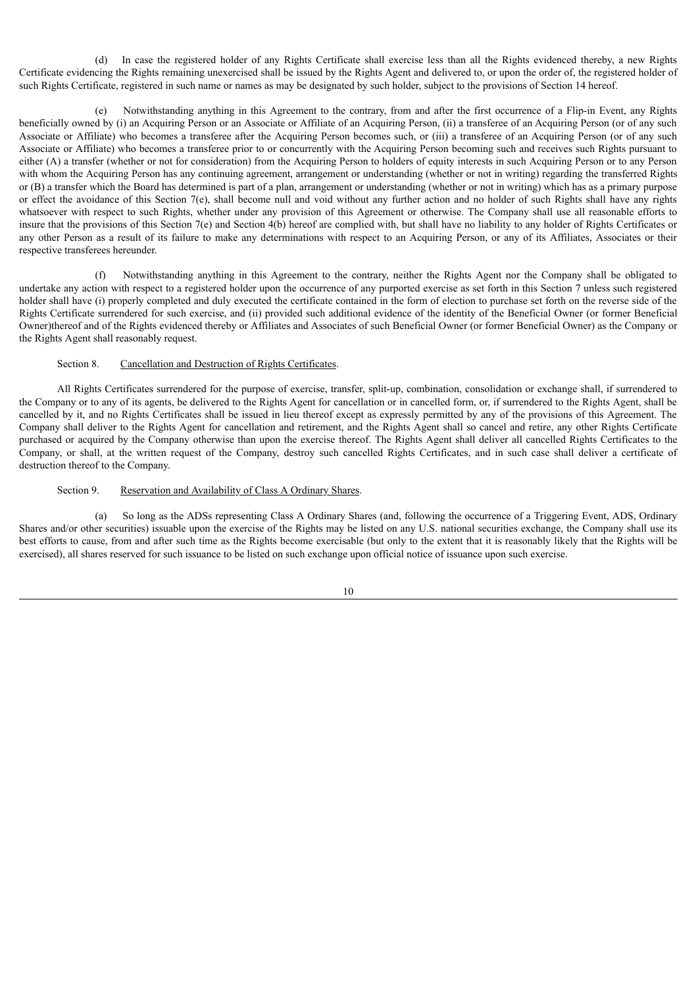(d) In case the registered holder of any Rights Certificate shall exercise less than all the Rights evidenced thereby, a new Rights Certificate evidencing the Rights remaining unexercised shall be issued by the Rights Agent and delivered to, or upon the order of, the registered holder of such Rights Certificate, registered in such name or names as may be designated by such holder, subject to the provisions of Section 14 hereof.

(e) Notwithstanding anything in this Agreement to the contrary, from and after the first occurrence of a Flip-in Event, any Rights beneficially owned by (i) an Acquiring Person or an Associate or Affiliate of an Acquiring Person, (ii) a transferee of an Acquiring Person (or of any such Associate or Affiliate) who becomes a transferee after the Acquiring Person becomes such, or (iii) a transferee of an Acquiring Person (or of any such Associate or Affiliate) who becomes a transferee prior to or concurrently with the Acquiring Person becoming such and receives such Rights pursuant to either (A) a transfer (whether or not for consideration) from the Acquiring Person to holders of equity interests in such Acquiring Person or to any Person with whom the Acquiring Person has any continuing agreement, arrangement or understanding (whether or not in writing) regarding the transferred Rights or (B) a transfer which the Board has determined is part of a plan, arrangement or understanding (whether or not in writing) which has as a primary purpose or effect the avoidance of this Section 7(e), shall become null and void without any further action and no holder of such Rights shall have any rights whatsoever with respect to such Rights, whether under any provision of this Agreement or otherwise. The Company shall use all reasonable efforts to insure that the provisions of this Section 7(e) and Section 4(b) hereof are complied with, but shall have no liability to any holder of Rights Certificates or any other Person as a result of its failure to make any determinations with respect to an Acquiring Person, or any of its Affiliates, Associates or their respective transferees hereunder.

(f) Notwithstanding anything in this Agreement to the contrary, neither the Rights Agent nor the Company shall be obligated to undertake any action with respect to a registered holder upon the occurrence of any purported exercise as set forth in this Section 7 unless such registered holder shall have (i) properly completed and duly executed the certificate contained in the form of election to purchase set forth on the reverse side of the Rights Certificate surrendered for such exercise, and (ii) provided such additional evidence of the identity of the Beneficial Owner (or former Beneficial Owner)thereof and of the Rights evidenced thereby or Affiliates and Associates of such Beneficial Owner (or former Beneficial Owner) as the Company or the Rights Agent shall reasonably request.

# Section 8. Cancellation and Destruction of Rights Certificates.

All Rights Certificates surrendered for the purpose of exercise, transfer, split-up, combination, consolidation or exchange shall, if surrendered to the Company or to any of its agents, be delivered to the Rights Agent for cancellation or in cancelled form, or, if surrendered to the Rights Agent, shall be cancelled by it, and no Rights Certificates shall be issued in lieu thereof except as expressly permitted by any of the provisions of this Agreement. The Company shall deliver to the Rights Agent for cancellation and retirement, and the Rights Agent shall so cancel and retire, any other Rights Certificate purchased or acquired by the Company otherwise than upon the exercise thereof. The Rights Agent shall deliver all cancelled Rights Certificates to the Company, or shall, at the written request of the Company, destroy such cancelled Rights Certificates, and in such case shall deliver a certificate of destruction thereof to the Company.

### Section 9. Reservation and Availability of Class A Ordinary Shares.

(a) So long as the ADSs representing Class A Ordinary Shares (and, following the occurrence of a Triggering Event, ADS, Ordinary Shares and/or other securities) issuable upon the exercise of the Rights may be listed on any U.S. national securities exchange, the Company shall use its best efforts to cause, from and after such time as the Rights become exercisable (but only to the extent that it is reasonably likely that the Rights will be exercised), all shares reserved for such issuance to be listed on such exchange upon official notice of issuance upon such exercise.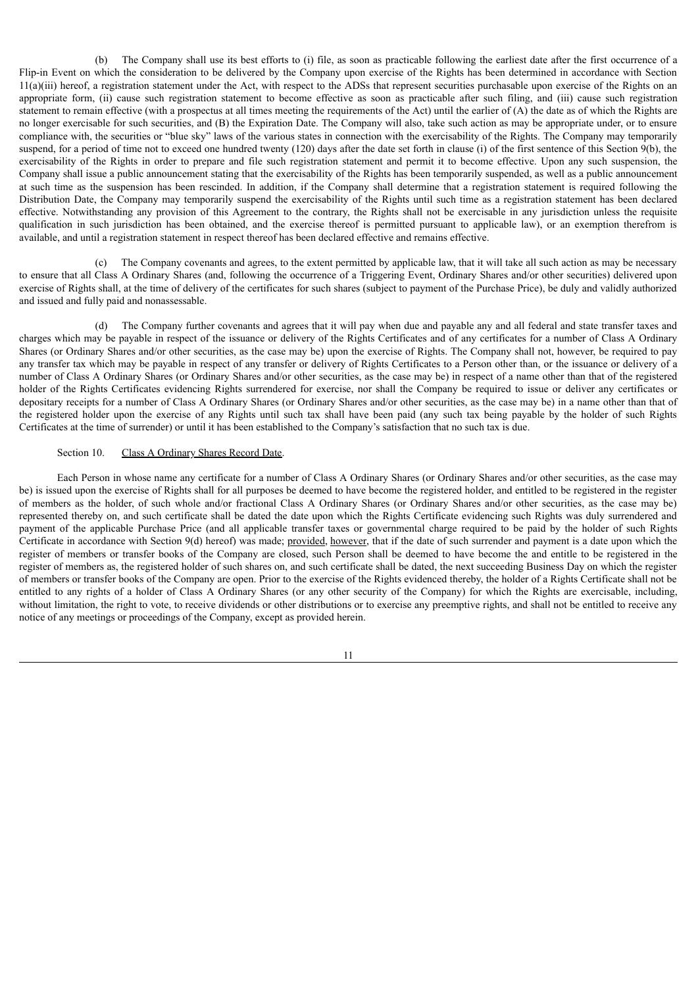(b) The Company shall use its best efforts to (i) file, as soon as practicable following the earliest date after the first occurrence of a Flip-in Event on which the consideration to be delivered by the Company upon exercise of the Rights has been determined in accordance with Section 11(a)(iii) hereof, a registration statement under the Act, with respect to the ADSs that represent securities purchasable upon exercise of the Rights on an appropriate form, (ii) cause such registration statement to become effective as soon as practicable after such filing, and (iii) cause such registration statement to remain effective (with a prospectus at all times meeting the requirements of the Act) until the earlier of (A) the date as of which the Rights are no longer exercisable for such securities, and (B) the Expiration Date. The Company will also, take such action as may be appropriate under, or to ensure compliance with, the securities or "blue sky" laws of the various states in connection with the exercisability of the Rights. The Company may temporarily suspend, for a period of time not to exceed one hundred twenty (120) days after the date set forth in clause (i) of the first sentence of this Section 9(b), the exercisability of the Rights in order to prepare and file such registration statement and permit it to become effective. Upon any such suspension, the Company shall issue a public announcement stating that the exercisability of the Rights has been temporarily suspended, as well as a public announcement at such time as the suspension has been rescinded. In addition, if the Company shall determine that a registration statement is required following the Distribution Date, the Company may temporarily suspend the exercisability of the Rights until such time as a registration statement has been declared effective. Notwithstanding any provision of this Agreement to the contrary, the Rights shall not be exercisable in any jurisdiction unless the requisite qualification in such jurisdiction has been obtained, and the exercise thereof is permitted pursuant to applicable law), or an exemption therefrom is available, and until a registration statement in respect thereof has been declared effective and remains effective.

(c) The Company covenants and agrees, to the extent permitted by applicable law, that it will take all such action as may be necessary to ensure that all Class A Ordinary Shares (and, following the occurrence of a Triggering Event, Ordinary Shares and/or other securities) delivered upon exercise of Rights shall, at the time of delivery of the certificates for such shares (subject to payment of the Purchase Price), be duly and validly authorized and issued and fully paid and nonassessable.

(d) The Company further covenants and agrees that it will pay when due and payable any and all federal and state transfer taxes and charges which may be payable in respect of the issuance or delivery of the Rights Certificates and of any certificates for a number of Class A Ordinary Shares (or Ordinary Shares and/or other securities, as the case may be) upon the exercise of Rights. The Company shall not, however, be required to pay any transfer tax which may be payable in respect of any transfer or delivery of Rights Certificates to a Person other than, or the issuance or delivery of a number of Class A Ordinary Shares (or Ordinary Shares and/or other securities, as the case may be) in respect of a name other than that of the registered holder of the Rights Certificates evidencing Rights surrendered for exercise, nor shall the Company be required to issue or deliver any certificates or depositary receipts for a number of Class A Ordinary Shares (or Ordinary Shares and/or other securities, as the case may be) in a name other than that of the registered holder upon the exercise of any Rights until such tax shall have been paid (any such tax being payable by the holder of such Rights Certificates at the time of surrender) or until it has been established to the Company's satisfaction that no such tax is due.

# Section 10. Class A Ordinary Shares Record Date.

Each Person in whose name any certificate for a number of Class A Ordinary Shares (or Ordinary Shares and/or other securities, as the case may be) is issued upon the exercise of Rights shall for all purposes be deemed to have become the registered holder, and entitled to be registered in the register of members as the holder, of such whole and/or fractional Class A Ordinary Shares (or Ordinary Shares and/or other securities, as the case may be) represented thereby on, and such certificate shall be dated the date upon which the Rights Certificate evidencing such Rights was duly surrendered and payment of the applicable Purchase Price (and all applicable transfer taxes or governmental charge required to be paid by the holder of such Rights Certificate in accordance with Section 9(d) hereof) was made; provided, however, that if the date of such surrender and payment is a date upon which the register of members or transfer books of the Company are closed, such Person shall be deemed to have become the and entitle to be registered in the register of members as, the registered holder of such shares on, and such certificate shall be dated, the next succeeding Business Day on which the register of members or transfer books of the Company are open. Prior to the exercise of the Rights evidenced thereby, the holder of a Rights Certificate shall not be entitled to any rights of a holder of Class A Ordinary Shares (or any other security of the Company) for which the Rights are exercisable, including, without limitation, the right to vote, to receive dividends or other distributions or to exercise any preemptive rights, and shall not be entitled to receive any notice of any meetings or proceedings of the Company, except as provided herein.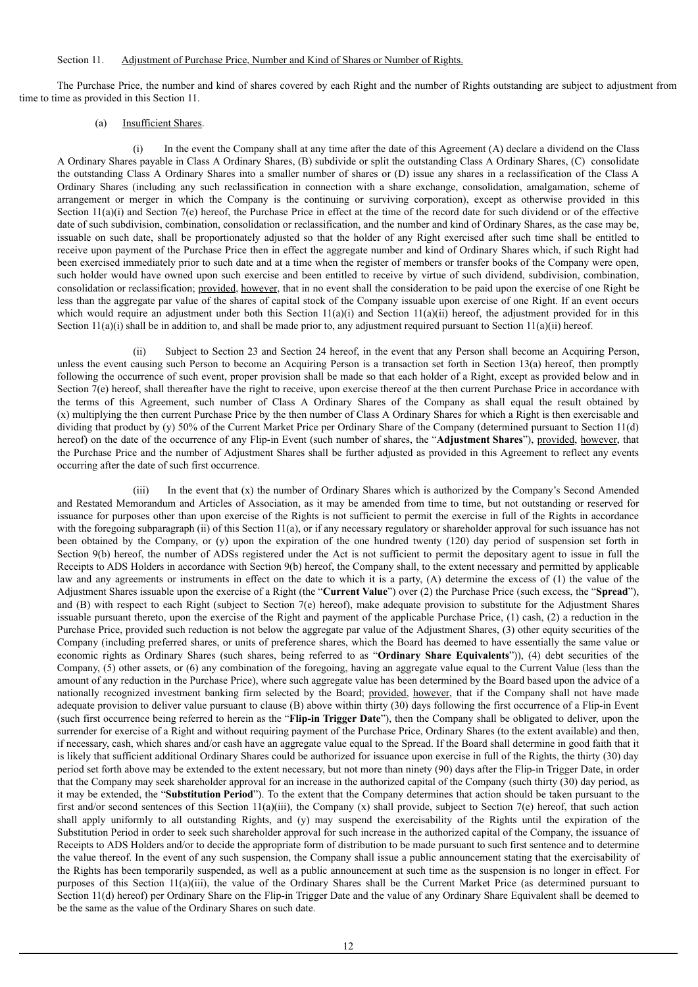#### Section 11. Adjustment of Purchase Price, Number and Kind of Shares or Number of Rights.

The Purchase Price, the number and kind of shares covered by each Right and the number of Rights outstanding are subject to adjustment from time to time as provided in this Section 11.

## (a) Insufficient Shares.

(i) In the event the Company shall at any time after the date of this Agreement (A) declare a dividend on the Class A Ordinary Shares payable in Class A Ordinary Shares, (B) subdivide or split the outstanding Class A Ordinary Shares, (C) consolidate the outstanding Class A Ordinary Shares into a smaller number of shares or (D) issue any shares in a reclassification of the Class A Ordinary Shares (including any such reclassification in connection with a share exchange, consolidation, amalgamation, scheme of arrangement or merger in which the Company is the continuing or surviving corporation), except as otherwise provided in this Section 11(a)(i) and Section 7(e) hereof, the Purchase Price in effect at the time of the record date for such dividend or of the effective date of such subdivision, combination, consolidation or reclassification, and the number and kind of Ordinary Shares, as the case may be, issuable on such date, shall be proportionately adjusted so that the holder of any Right exercised after such time shall be entitled to receive upon payment of the Purchase Price then in effect the aggregate number and kind of Ordinary Shares which, if such Right had been exercised immediately prior to such date and at a time when the register of members or transfer books of the Company were open, such holder would have owned upon such exercise and been entitled to receive by virtue of such dividend, subdivision, combination, consolidation or reclassification; provided, however, that in no event shall the consideration to be paid upon the exercise of one Right be less than the aggregate par value of the shares of capital stock of the Company issuable upon exercise of one Right. If an event occurs which would require an adjustment under both this Section  $11(a)(i)$  and Section  $11(a)(ii)$  hereof, the adjustment provided for in this Section  $11(a)(i)$  shall be in addition to, and shall be made prior to, any adjustment required pursuant to Section  $11(a)(ii)$  hereof.

(ii) Subject to Section 23 and Section 24 hereof, in the event that any Person shall become an Acquiring Person, unless the event causing such Person to become an Acquiring Person is a transaction set forth in Section 13(a) hereof, then promptly following the occurrence of such event, proper provision shall be made so that each holder of a Right, except as provided below and in Section 7(e) hereof, shall thereafter have the right to receive, upon exercise thereof at the then current Purchase Price in accordance with the terms of this Agreement, such number of Class A Ordinary Shares of the Company as shall equal the result obtained by (x) multiplying the then current Purchase Price by the then number of Class A Ordinary Shares for which a Right is then exercisable and dividing that product by (y) 50% of the Current Market Price per Ordinary Share of the Company (determined pursuant to Section 11(d) hereof) on the date of the occurrence of any Flip-in Event (such number of shares, the "**Adjustment Shares**"), provided, however, that the Purchase Price and the number of Adjustment Shares shall be further adjusted as provided in this Agreement to reflect any events occurring after the date of such first occurrence.

(iii) In the event that (x) the number of Ordinary Shares which is authorized by the Company's Second Amended and Restated Memorandum and Articles of Association, as it may be amended from time to time, but not outstanding or reserved for issuance for purposes other than upon exercise of the Rights is not sufficient to permit the exercise in full of the Rights in accordance with the foregoing subparagraph (ii) of this Section 11(a), or if any necessary regulatory or shareholder approval for such issuance has not been obtained by the Company, or (y) upon the expiration of the one hundred twenty (120) day period of suspension set forth in Section 9(b) hereof, the number of ADSs registered under the Act is not sufficient to permit the depositary agent to issue in full the Receipts to ADS Holders in accordance with Section 9(b) hereof, the Company shall, to the extent necessary and permitted by applicable law and any agreements or instruments in effect on the date to which it is a party, (A) determine the excess of (1) the value of the Adjustment Shares issuable upon the exercise of a Right (the "**Current Value**") over (2) the Purchase Price (such excess, the "**Spread**"), and (B) with respect to each Right (subject to Section 7(e) hereof), make adequate provision to substitute for the Adjustment Shares issuable pursuant thereto, upon the exercise of the Right and payment of the applicable Purchase Price, (1) cash, (2) a reduction in the Purchase Price, provided such reduction is not below the aggregate par value of the Adjustment Shares, (3) other equity securities of the Company (including preferred shares, or units of preference shares, which the Board has deemed to have essentially the same value or economic rights as Ordinary Shares (such shares, being referred to as "**Ordinary Share Equivalents**")), (4) debt securities of the Company, (5) other assets, or (6) any combination of the foregoing, having an aggregate value equal to the Current Value (less than the amount of any reduction in the Purchase Price), where such aggregate value has been determined by the Board based upon the advice of a nationally recognized investment banking firm selected by the Board; provided, however, that if the Company shall not have made adequate provision to deliver value pursuant to clause (B) above within thirty (30) days following the first occurrence of a Flip-in Event (such first occurrence being referred to herein as the "**Flip-in Trigger Date**"), then the Company shall be obligated to deliver, upon the surrender for exercise of a Right and without requiring payment of the Purchase Price, Ordinary Shares (to the extent available) and then, if necessary, cash, which shares and/or cash have an aggregate value equal to the Spread. If the Board shall determine in good faith that it is likely that sufficient additional Ordinary Shares could be authorized for issuance upon exercise in full of the Rights, the thirty (30) day period set forth above may be extended to the extent necessary, but not more than ninety (90) days after the Flip-in Trigger Date, in order that the Company may seek shareholder approval for an increase in the authorized capital of the Company (such thirty (30) day period, as it may be extended, the "**Substitution Period**"). To the extent that the Company determines that action should be taken pursuant to the first and/or second sentences of this Section 11(a)(iii), the Company (x) shall provide, subject to Section 7(e) hereof, that such action shall apply uniformly to all outstanding Rights, and (y) may suspend the exercisability of the Rights until the expiration of the Substitution Period in order to seek such shareholder approval for such increase in the authorized capital of the Company, the issuance of Receipts to ADS Holders and/or to decide the appropriate form of distribution to be made pursuant to such first sentence and to determine the value thereof. In the event of any such suspension, the Company shall issue a public announcement stating that the exercisability of the Rights has been temporarily suspended, as well as a public announcement at such time as the suspension is no longer in effect. For purposes of this Section 11(a)(iii), the value of the Ordinary Shares shall be the Current Market Price (as determined pursuant to Section 11(d) hereof) per Ordinary Share on the Flip-in Trigger Date and the value of any Ordinary Share Equivalent shall be deemed to be the same as the value of the Ordinary Shares on such date.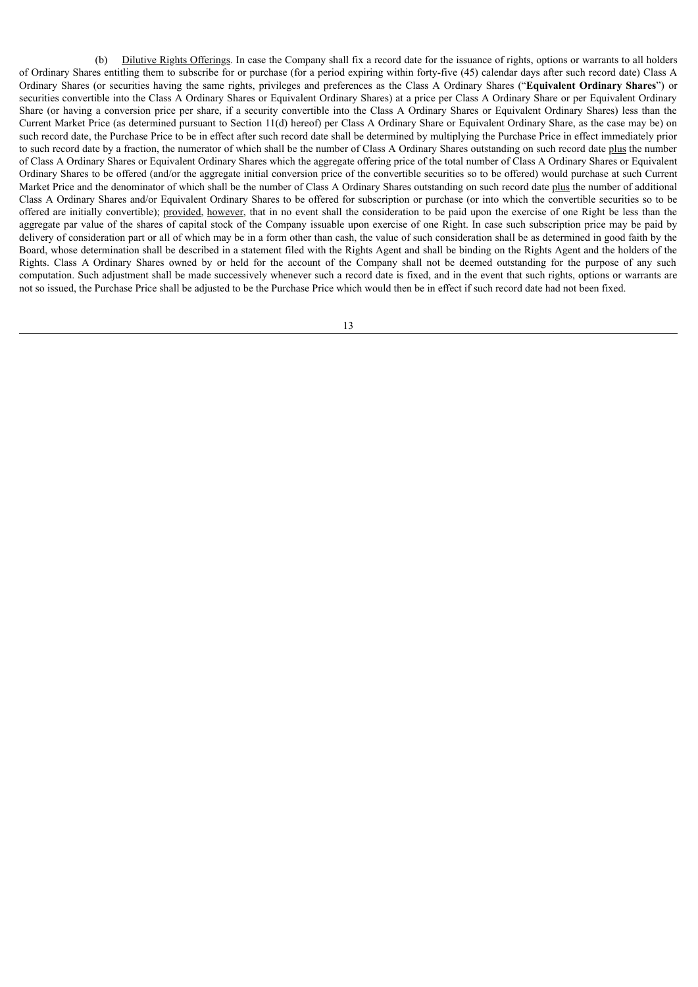(b) Dilutive Rights Offerings. In case the Company shall fix a record date for the issuance of rights, options or warrants to all holders of Ordinary Shares entitling them to subscribe for or purchase (for a period expiring within forty-five (45) calendar days after such record date) Class A Ordinary Shares (or securities having the same rights, privileges and preferences as the Class A Ordinary Shares ("**Equivalent Ordinary Shares**") or securities convertible into the Class A Ordinary Shares or Equivalent Ordinary Shares) at a price per Class A Ordinary Share or per Equivalent Ordinary Share (or having a conversion price per share, if a security convertible into the Class A Ordinary Shares or Equivalent Ordinary Shares) less than the Current Market Price (as determined pursuant to Section 11(d) hereof) per Class A Ordinary Share or Equivalent Ordinary Share, as the case may be) on such record date, the Purchase Price to be in effect after such record date shall be determined by multiplying the Purchase Price in effect immediately prior to such record date by a fraction, the numerator of which shall be the number of Class A Ordinary Shares outstanding on such record date plus the number of Class A Ordinary Shares or Equivalent Ordinary Shares which the aggregate offering price of the total number of Class A Ordinary Shares or Equivalent Ordinary Shares to be offered (and/or the aggregate initial conversion price of the convertible securities so to be offered) would purchase at such Current Market Price and the denominator of which shall be the number of Class A Ordinary Shares outstanding on such record date plus the number of additional Class A Ordinary Shares and/or Equivalent Ordinary Shares to be offered for subscription or purchase (or into which the convertible securities so to be offered are initially convertible); provided, however, that in no event shall the consideration to be paid upon the exercise of one Right be less than the aggregate par value of the shares of capital stock of the Company issuable upon exercise of one Right. In case such subscription price may be paid by delivery of consideration part or all of which may be in a form other than cash, the value of such consideration shall be as determined in good faith by the Board, whose determination shall be described in a statement filed with the Rights Agent and shall be binding on the Rights Agent and the holders of the Rights. Class A Ordinary Shares owned by or held for the account of the Company shall not be deemed outstanding for the purpose of any such computation. Such adjustment shall be made successively whenever such a record date is fixed, and in the event that such rights, options or warrants are not so issued, the Purchase Price shall be adjusted to be the Purchase Price which would then be in effect if such record date had not been fixed.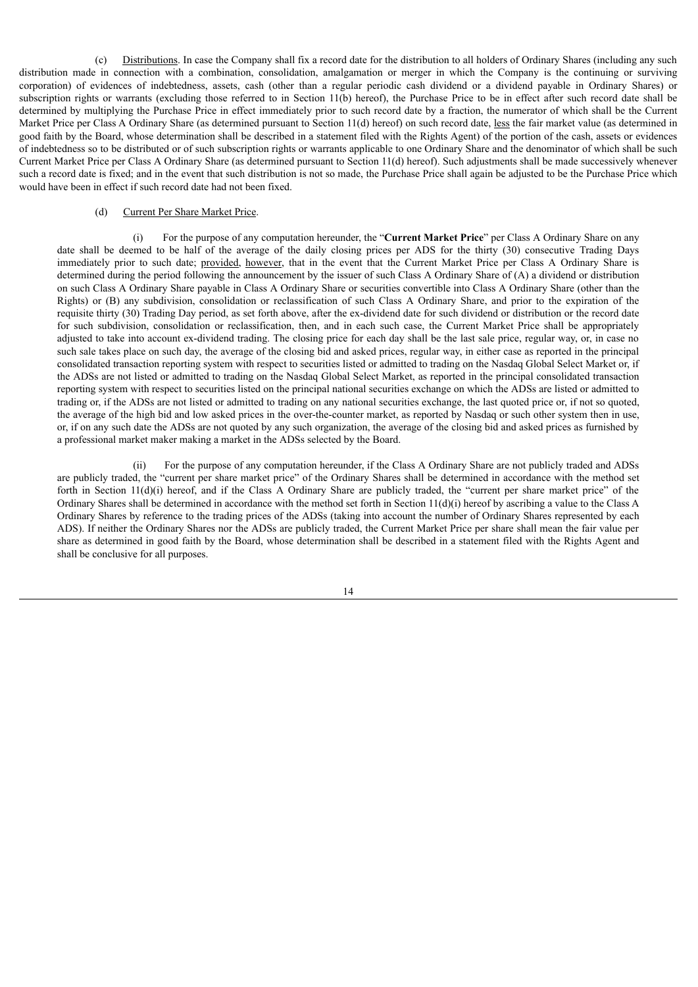(c) Distributions. In case the Company shall fix a record date for the distribution to all holders of Ordinary Shares (including any such distribution made in connection with a combination, consolidation, amalgamation or merger in which the Company is the continuing or surviving corporation) of evidences of indebtedness, assets, cash (other than a regular periodic cash dividend or a dividend payable in Ordinary Shares) or subscription rights or warrants (excluding those referred to in Section 11(b) hereof), the Purchase Price to be in effect after such record date shall be determined by multiplying the Purchase Price in effect immediately prior to such record date by a fraction, the numerator of which shall be the Current Market Price per Class A Ordinary Share (as determined pursuant to Section 11(d) hereof) on such record date, less the fair market value (as determined in good faith by the Board, whose determination shall be described in a statement filed with the Rights Agent) of the portion of the cash, assets or evidences of indebtedness so to be distributed or of such subscription rights or warrants applicable to one Ordinary Share and the denominator of which shall be such Current Market Price per Class A Ordinary Share (as determined pursuant to Section 11(d) hereof). Such adjustments shall be made successively whenever such a record date is fixed; and in the event that such distribution is not so made, the Purchase Price shall again be adjusted to be the Purchase Price which would have been in effect if such record date had not been fixed.

# (d) Current Per Share Market Price.

(i) For the purpose of any computation hereunder, the "**Current Market Price**" per Class A Ordinary Share on any date shall be deemed to be half of the average of the daily closing prices per ADS for the thirty (30) consecutive Trading Days immediately prior to such date; provided, however, that in the event that the Current Market Price per Class A Ordinary Share is determined during the period following the announcement by the issuer of such Class A Ordinary Share of (A) a dividend or distribution on such Class A Ordinary Share payable in Class A Ordinary Share or securities convertible into Class A Ordinary Share (other than the Rights) or (B) any subdivision, consolidation or reclassification of such Class A Ordinary Share, and prior to the expiration of the requisite thirty (30) Trading Day period, as set forth above, after the ex-dividend date for such dividend or distribution or the record date for such subdivision, consolidation or reclassification, then, and in each such case, the Current Market Price shall be appropriately adjusted to take into account ex-dividend trading. The closing price for each day shall be the last sale price, regular way, or, in case no such sale takes place on such day, the average of the closing bid and asked prices, regular way, in either case as reported in the principal consolidated transaction reporting system with respect to securities listed or admitted to trading on the Nasdaq Global Select Market or, if the ADSs are not listed or admitted to trading on the Nasdaq Global Select Market, as reported in the principal consolidated transaction reporting system with respect to securities listed on the principal national securities exchange on which the ADSs are listed or admitted to trading or, if the ADSs are not listed or admitted to trading on any national securities exchange, the last quoted price or, if not so quoted, the average of the high bid and low asked prices in the over-the-counter market, as reported by Nasdaq or such other system then in use, or, if on any such date the ADSs are not quoted by any such organization, the average of the closing bid and asked prices as furnished by a professional market maker making a market in the ADSs selected by the Board.

(ii) For the purpose of any computation hereunder, if the Class A Ordinary Share are not publicly traded and ADSs are publicly traded, the "current per share market price" of the Ordinary Shares shall be determined in accordance with the method set forth in Section 11(d)(i) hereof, and if the Class A Ordinary Share are publicly traded, the "current per share market price" of the Ordinary Shares shall be determined in accordance with the method set forth in Section  $11(d)(i)$  hereof by ascribing a value to the Class A Ordinary Shares by reference to the trading prices of the ADSs (taking into account the number of Ordinary Shares represented by each ADS). If neither the Ordinary Shares nor the ADSs are publicly traded, the Current Market Price per share shall mean the fair value per share as determined in good faith by the Board, whose determination shall be described in a statement filed with the Rights Agent and shall be conclusive for all purposes.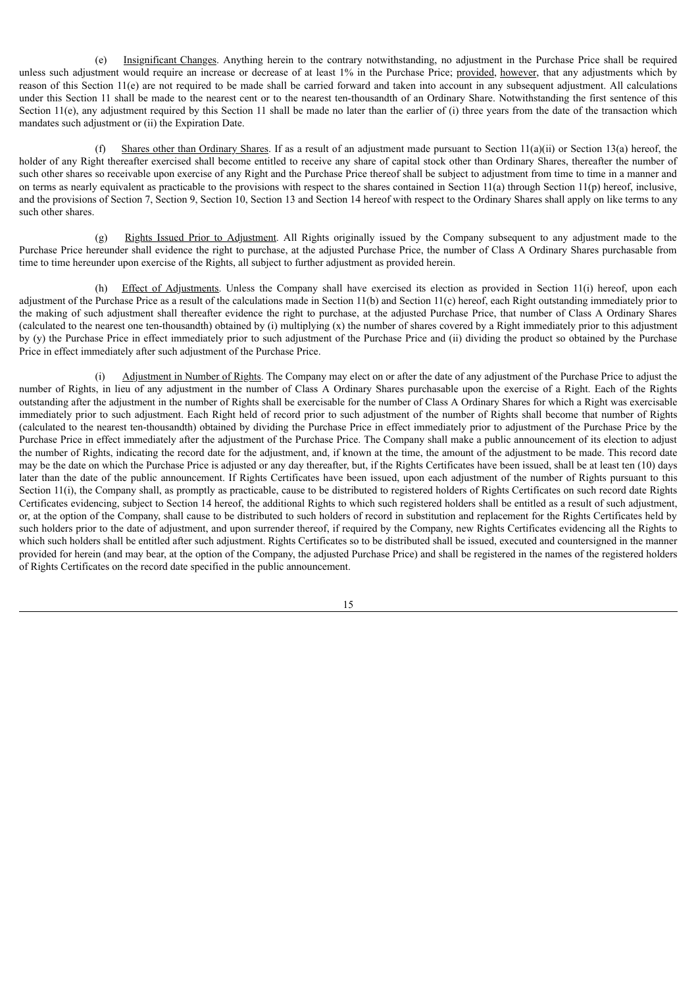(e) Insignificant Changes. Anything herein to the contrary notwithstanding, no adjustment in the Purchase Price shall be required unless such adjustment would require an increase or decrease of at least 1% in the Purchase Price; provided, however, that any adjustments which by reason of this Section 11(e) are not required to be made shall be carried forward and taken into account in any subsequent adjustment. All calculations under this Section 11 shall be made to the nearest cent or to the nearest ten-thousandth of an Ordinary Share. Notwithstanding the first sentence of this Section 11(e), any adjustment required by this Section 11 shall be made no later than the earlier of (i) three years from the date of the transaction which mandates such adjustment or (ii) the Expiration Date.

(f) Shares other than Ordinary Shares. If as a result of an adjustment made pursuant to Section 11(a)(ii) or Section 13(a) hereof, the holder of any Right thereafter exercised shall become entitled to receive any share of capital stock other than Ordinary Shares, thereafter the number of such other shares so receivable upon exercise of any Right and the Purchase Price thereof shall be subject to adjustment from time to time in a manner and on terms as nearly equivalent as practicable to the provisions with respect to the shares contained in Section  $11(a)$  through Section  $11(p)$  hereof, inclusive, and the provisions of Section 7, Section 9, Section 10, Section 13 and Section 14 hereof with respect to the Ordinary Shares shall apply on like terms to any such other shares.

(g) Rights Issued Prior to Adjustment. All Rights originally issued by the Company subsequent to any adjustment made to the Purchase Price hereunder shall evidence the right to purchase, at the adjusted Purchase Price, the number of Class A Ordinary Shares purchasable from time to time hereunder upon exercise of the Rights, all subject to further adjustment as provided herein.

(h) Effect of Adjustments. Unless the Company shall have exercised its election as provided in Section 11(i) hereof, upon each adjustment of the Purchase Price as a result of the calculations made in Section 11(b) and Section 11(c) hereof, each Right outstanding immediately prior to the making of such adjustment shall thereafter evidence the right to purchase, at the adjusted Purchase Price, that number of Class A Ordinary Shares (calculated to the nearest one ten-thousandth) obtained by (i) multiplying (x) the number of shares covered by a Right immediately prior to this adjustment by (y) the Purchase Price in effect immediately prior to such adjustment of the Purchase Price and (ii) dividing the product so obtained by the Purchase Price in effect immediately after such adjustment of the Purchase Price.

(i) Adjustment in Number of Rights. The Company may elect on or after the date of any adjustment of the Purchase Price to adjust the number of Rights, in lieu of any adjustment in the number of Class A Ordinary Shares purchasable upon the exercise of a Right. Each of the Rights outstanding after the adjustment in the number of Rights shall be exercisable for the number of Class A Ordinary Shares for which a Right was exercisable immediately prior to such adjustment. Each Right held of record prior to such adjustment of the number of Rights shall become that number of Rights (calculated to the nearest ten-thousandth) obtained by dividing the Purchase Price in effect immediately prior to adjustment of the Purchase Price by the Purchase Price in effect immediately after the adjustment of the Purchase Price. The Company shall make a public announcement of its election to adjust the number of Rights, indicating the record date for the adjustment, and, if known at the time, the amount of the adjustment to be made. This record date may be the date on which the Purchase Price is adjusted or any day thereafter, but, if the Rights Certificates have been issued, shall be at least ten (10) days later than the date of the public announcement. If Rights Certificates have been issued, upon each adjustment of the number of Rights pursuant to this Section 11(i), the Company shall, as promptly as practicable, cause to be distributed to registered holders of Rights Certificates on such record date Rights Certificates evidencing, subject to Section 14 hereof, the additional Rights to which such registered holders shall be entitled as a result of such adjustment, or, at the option of the Company, shall cause to be distributed to such holders of record in substitution and replacement for the Rights Certificates held by such holders prior to the date of adjustment, and upon surrender thereof, if required by the Company, new Rights Certificates evidencing all the Rights to which such holders shall be entitled after such adjustment. Rights Certificates so to be distributed shall be issued, executed and countersigned in the manner provided for herein (and may bear, at the option of the Company, the adjusted Purchase Price) and shall be registered in the names of the registered holders of Rights Certificates on the record date specified in the public announcement.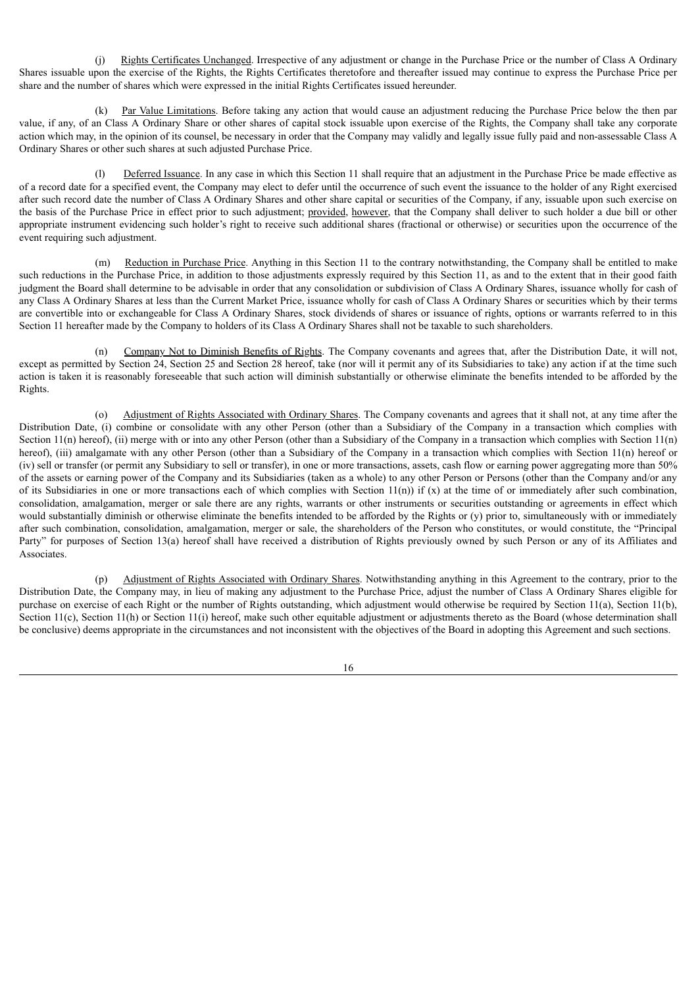(j) Rights Certificates Unchanged. Irrespective of any adjustment or change in the Purchase Price or the number of Class A Ordinary Shares issuable upon the exercise of the Rights, the Rights Certificates theretofore and thereafter issued may continue to express the Purchase Price per share and the number of shares which were expressed in the initial Rights Certificates issued hereunder.

Par Value Limitations. Before taking any action that would cause an adjustment reducing the Purchase Price below the then par value, if any, of an Class A Ordinary Share or other shares of capital stock issuable upon exercise of the Rights, the Company shall take any corporate action which may, in the opinion of its counsel, be necessary in order that the Company may validly and legally issue fully paid and non-assessable Class A Ordinary Shares or other such shares at such adjusted Purchase Price.

(l) Deferred Issuance. In any case in which this Section 11 shall require that an adjustment in the Purchase Price be made effective as of a record date for a specified event, the Company may elect to defer until the occurrence of such event the issuance to the holder of any Right exercised after such record date the number of Class A Ordinary Shares and other share capital or securities of the Company, if any, issuable upon such exercise on the basis of the Purchase Price in effect prior to such adjustment; provided, however, that the Company shall deliver to such holder a due bill or other appropriate instrument evidencing such holder's right to receive such additional shares (fractional or otherwise) or securities upon the occurrence of the event requiring such adjustment.

(m) Reduction in Purchase Price. Anything in this Section 11 to the contrary notwithstanding, the Company shall be entitled to make such reductions in the Purchase Price, in addition to those adjustments expressly required by this Section 11, as and to the extent that in their good faith judgment the Board shall determine to be advisable in order that any consolidation or subdivision of Class A Ordinary Shares, issuance wholly for cash of any Class A Ordinary Shares at less than the Current Market Price, issuance wholly for cash of Class A Ordinary Shares or securities which by their terms are convertible into or exchangeable for Class A Ordinary Shares, stock dividends of shares or issuance of rights, options or warrants referred to in this Section 11 hereafter made by the Company to holders of its Class A Ordinary Shares shall not be taxable to such shareholders.

(n) Company Not to Diminish Benefits of Rights. The Company covenants and agrees that, after the Distribution Date, it will not, except as permitted by Section 24, Section 25 and Section 28 hereof, take (nor will it permit any of its Subsidiaries to take) any action if at the time such action is taken it is reasonably foreseeable that such action will diminish substantially or otherwise eliminate the benefits intended to be afforded by the Rights.

(o) Adjustment of Rights Associated with Ordinary Shares. The Company covenants and agrees that it shall not, at any time after the Distribution Date, (i) combine or consolidate with any other Person (other than a Subsidiary of the Company in a transaction which complies with Section 11(n) hereof), (ii) merge with or into any other Person (other than a Subsidiary of the Company in a transaction which complies with Section 11(n) hereof), (iii) amalgamate with any other Person (other than a Subsidiary of the Company in a transaction which complies with Section 11(n) hereof or (iv) sell or transfer (or permit any Subsidiary to sell or transfer), in one or more transactions, assets, cash flow or earning power aggregating more than 50% of the assets or earning power of the Company and its Subsidiaries (taken as a whole) to any other Person or Persons (other than the Company and/or any of its Subsidiaries in one or more transactions each of which complies with Section  $11(n)$ ) if (x) at the time of or immediately after such combination, consolidation, amalgamation, merger or sale there are any rights, warrants or other instruments or securities outstanding or agreements in effect which would substantially diminish or otherwise eliminate the benefits intended to be afforded by the Rights or (y) prior to, simultaneously with or immediately after such combination, consolidation, amalgamation, merger or sale, the shareholders of the Person who constitutes, or would constitute, the "Principal Party" for purposes of Section 13(a) hereof shall have received a distribution of Rights previously owned by such Person or any of its Affiliates and Associates.

(p) Adjustment of Rights Associated with Ordinary Shares. Notwithstanding anything in this Agreement to the contrary, prior to the Distribution Date, the Company may, in lieu of making any adjustment to the Purchase Price, adjust the number of Class A Ordinary Shares eligible for purchase on exercise of each Right or the number of Rights outstanding, which adjustment would otherwise be required by Section 11(a), Section 11(b), Section 11(c), Section 11(h) or Section 11(i) hereof, make such other equitable adjustment or adjustments thereto as the Board (whose determination shall be conclusive) deems appropriate in the circumstances and not inconsistent with the objectives of the Board in adopting this Agreement and such sections.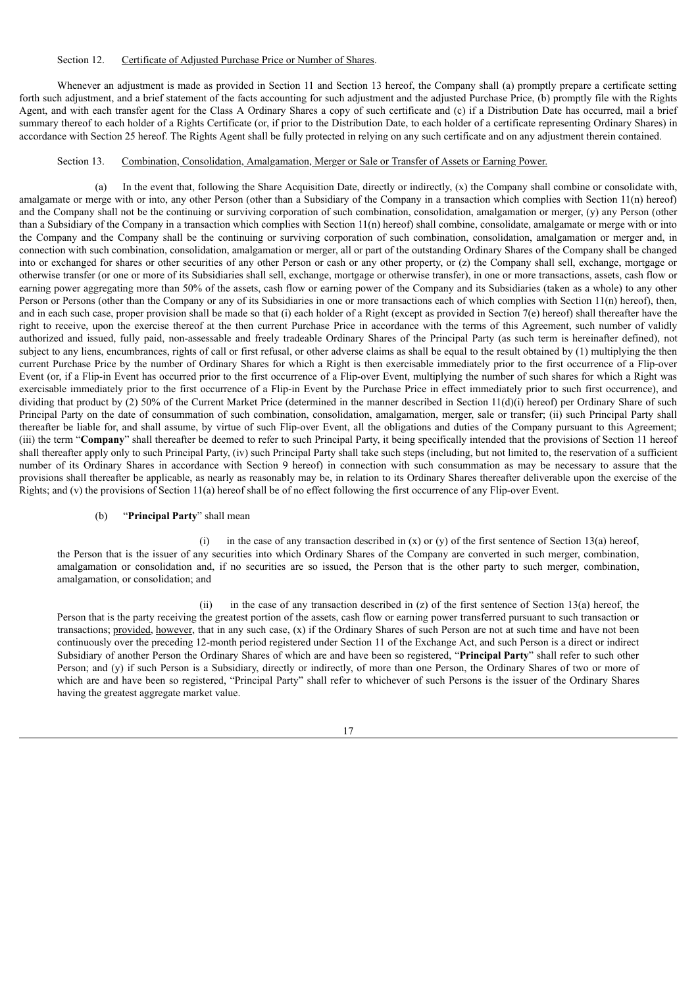#### Section 12. Certificate of Adjusted Purchase Price or Number of Shares.

Whenever an adjustment is made as provided in Section 11 and Section 13 hereof, the Company shall (a) promptly prepare a certificate setting forth such adjustment, and a brief statement of the facts accounting for such adjustment and the adjusted Purchase Price, (b) promptly file with the Rights Agent, and with each transfer agent for the Class A Ordinary Shares a copy of such certificate and (c) if a Distribution Date has occurred, mail a brief summary thereof to each holder of a Rights Certificate (or, if prior to the Distribution Date, to each holder of a certificate representing Ordinary Shares) in accordance with Section 25 hereof. The Rights Agent shall be fully protected in relying on any such certificate and on any adjustment therein contained.

# Section 13. Combination, Consolidation, Amalgamation, Merger or Sale or Transfer of Assets or Earning Power.

(a) In the event that, following the Share Acquisition Date, directly or indirectly, (x) the Company shall combine or consolidate with, amalgamate or merge with or into, any other Person (other than a Subsidiary of the Company in a transaction which complies with Section 11(n) hereof) and the Company shall not be the continuing or surviving corporation of such combination, consolidation, amalgamation or merger, (y) any Person (other than a Subsidiary of the Company in a transaction which complies with Section 11(n) hereof) shall combine, consolidate, amalgamate or merge with or into the Company and the Company shall be the continuing or surviving corporation of such combination, consolidation, amalgamation or merger and, in connection with such combination, consolidation, amalgamation or merger, all or part of the outstanding Ordinary Shares of the Company shall be changed into or exchanged for shares or other securities of any other Person or cash or any other property, or (z) the Company shall sell, exchange, mortgage or otherwise transfer (or one or more of its Subsidiaries shall sell, exchange, mortgage or otherwise transfer), in one or more transactions, assets, cash flow or earning power aggregating more than 50% of the assets, cash flow or earning power of the Company and its Subsidiaries (taken as a whole) to any other Person or Persons (other than the Company or any of its Subsidiaries in one or more transactions each of which complies with Section 11(n) hereof), then, and in each such case, proper provision shall be made so that (i) each holder of a Right (except as provided in Section 7(e) hereof) shall thereafter have the right to receive, upon the exercise thereof at the then current Purchase Price in accordance with the terms of this Agreement, such number of validly authorized and issued, fully paid, non-assessable and freely tradeable Ordinary Shares of the Principal Party (as such term is hereinafter defined), not subject to any liens, encumbrances, rights of call or first refusal, or other adverse claims as shall be equal to the result obtained by (1) multiplying the then current Purchase Price by the number of Ordinary Shares for which a Right is then exercisable immediately prior to the first occurrence of a Flip-over Event (or, if a Flip-in Event has occurred prior to the first occurrence of a Flip-over Event, multiplying the number of such shares for which a Right was exercisable immediately prior to the first occurrence of a Flip-in Event by the Purchase Price in effect immediately prior to such first occurrence), and dividing that product by  $(2)$  50% of the Current Market Price (determined in the manner described in Section  $11(d)(i)$  hereof) per Ordinary Share of such Principal Party on the date of consummation of such combination, consolidation, amalgamation, merger, sale or transfer; (ii) such Principal Party shall thereafter be liable for, and shall assume, by virtue of such Flip-over Event, all the obligations and duties of the Company pursuant to this Agreement; (iii) the term "**Company**" shall thereafter be deemed to refer to such Principal Party, it being specifically intended that the provisions of Section 11 hereof shall thereafter apply only to such Principal Party, (iv) such Principal Party shall take such steps (including, but not limited to, the reservation of a sufficient number of its Ordinary Shares in accordance with Section 9 hereof) in connection with such consummation as may be necessary to assure that the provisions shall thereafter be applicable, as nearly as reasonably may be, in relation to its Ordinary Shares thereafter deliverable upon the exercise of the Rights; and (v) the provisions of Section 11(a) hereof shall be of no effect following the first occurrence of any Flip-over Event.

#### (b) "**Principal Party**" shall mean

(i) in the case of any transaction described in  $(x)$  or  $(y)$  of the first sentence of Section 13(a) hereof, the Person that is the issuer of any securities into which Ordinary Shares of the Company are converted in such merger, combination, amalgamation or consolidation and, if no securities are so issued, the Person that is the other party to such merger, combination, amalgamation, or consolidation; and

(ii) in the case of any transaction described in (z) of the first sentence of Section 13(a) hereof, the Person that is the party receiving the greatest portion of the assets, cash flow or earning power transferred pursuant to such transaction or transactions; provided, however, that in any such case, (x) if the Ordinary Shares of such Person are not at such time and have not been continuously over the preceding 12-month period registered under Section 11 of the Exchange Act, and such Person is a direct or indirect Subsidiary of another Person the Ordinary Shares of which are and have been so registered, "**Principal Party**" shall refer to such other Person; and (y) if such Person is a Subsidiary, directly or indirectly, of more than one Person, the Ordinary Shares of two or more of which are and have been so registered, "Principal Party" shall refer to whichever of such Persons is the issuer of the Ordinary Shares having the greatest aggregate market value.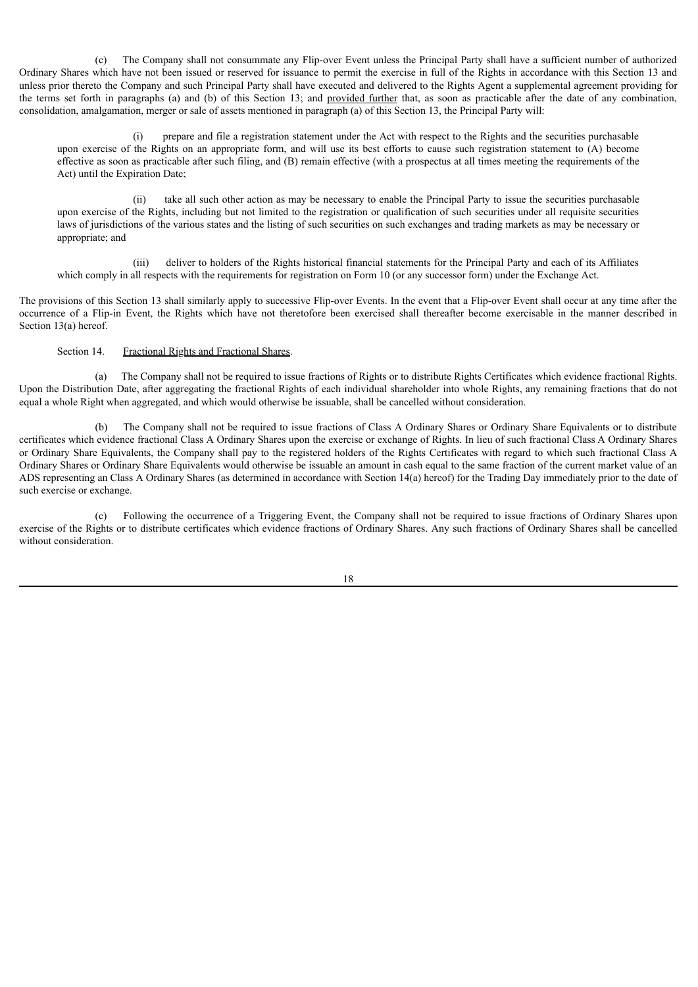(c) The Company shall not consummate any Flip-over Event unless the Principal Party shall have a sufficient number of authorized Ordinary Shares which have not been issued or reserved for issuance to permit the exercise in full of the Rights in accordance with this Section 13 and unless prior thereto the Company and such Principal Party shall have executed and delivered to the Rights Agent a supplemental agreement providing for the terms set forth in paragraphs (a) and (b) of this Section 13; and provided further that, as soon as practicable after the date of any combination, consolidation, amalgamation, merger or sale of assets mentioned in paragraph (a) of this Section 13, the Principal Party will:

(i) prepare and file a registration statement under the Act with respect to the Rights and the securities purchasable upon exercise of the Rights on an appropriate form, and will use its best efforts to cause such registration statement to (A) become effective as soon as practicable after such filing, and (B) remain effective (with a prospectus at all times meeting the requirements of the Act) until the Expiration Date;

(ii) take all such other action as may be necessary to enable the Principal Party to issue the securities purchasable upon exercise of the Rights, including but not limited to the registration or qualification of such securities under all requisite securities laws of jurisdictions of the various states and the listing of such securities on such exchanges and trading markets as may be necessary or appropriate; and

(iii) deliver to holders of the Rights historical financial statements for the Principal Party and each of its Affiliates which comply in all respects with the requirements for registration on Form 10 (or any successor form) under the Exchange Act.

The provisions of this Section 13 shall similarly apply to successive Flip-over Events. In the event that a Flip-over Event shall occur at any time after the occurrence of a Flip-in Event, the Rights which have not theretofore been exercised shall thereafter become exercisable in the manner described in Section 13(a) hereof.

## Section 14. Fractional Rights and Fractional Shares.

(a) The Company shall not be required to issue fractions of Rights or to distribute Rights Certificates which evidence fractional Rights. Upon the Distribution Date, after aggregating the fractional Rights of each individual shareholder into whole Rights, any remaining fractions that do not equal a whole Right when aggregated, and which would otherwise be issuable, shall be cancelled without consideration.

(b) The Company shall not be required to issue fractions of Class A Ordinary Shares or Ordinary Share Equivalents or to distribute certificates which evidence fractional Class A Ordinary Shares upon the exercise or exchange of Rights. In lieu of such fractional Class A Ordinary Shares or Ordinary Share Equivalents, the Company shall pay to the registered holders of the Rights Certificates with regard to which such fractional Class A Ordinary Shares or Ordinary Share Equivalents would otherwise be issuable an amount in cash equal to the same fraction of the current market value of an ADS representing an Class A Ordinary Shares (as determined in accordance with Section 14(a) hereof) for the Trading Day immediately prior to the date of such exercise or exchange.

(c) Following the occurrence of a Triggering Event, the Company shall not be required to issue fractions of Ordinary Shares upon exercise of the Rights or to distribute certificates which evidence fractions of Ordinary Shares. Any such fractions of Ordinary Shares shall be cancelled without consideration.

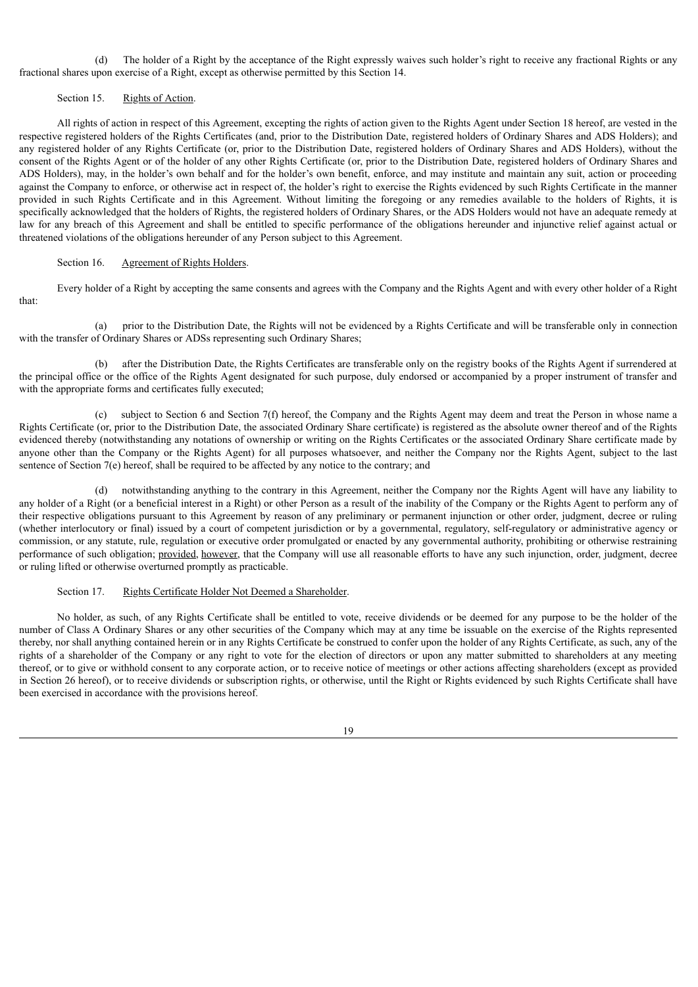(d) The holder of a Right by the acceptance of the Right expressly waives such holder's right to receive any fractional Rights or any fractional shares upon exercise of a Right, except as otherwise permitted by this Section 14.

## Section 15. Rights of Action.

All rights of action in respect of this Agreement, excepting the rights of action given to the Rights Agent under Section 18 hereof, are vested in the respective registered holders of the Rights Certificates (and, prior to the Distribution Date, registered holders of Ordinary Shares and ADS Holders); and any registered holder of any Rights Certificate (or, prior to the Distribution Date, registered holders of Ordinary Shares and ADS Holders), without the consent of the Rights Agent or of the holder of any other Rights Certificate (or, prior to the Distribution Date, registered holders of Ordinary Shares and ADS Holders), may, in the holder's own behalf and for the holder's own benefit, enforce, and may institute and maintain any suit, action or proceeding against the Company to enforce, or otherwise act in respect of, the holder's right to exercise the Rights evidenced by such Rights Certificate in the manner provided in such Rights Certificate and in this Agreement. Without limiting the foregoing or any remedies available to the holders of Rights, it is specifically acknowledged that the holders of Rights, the registered holders of Ordinary Shares, or the ADS Holders would not have an adequate remedy at law for any breach of this Agreement and shall be entitled to specific performance of the obligations hereunder and injunctive relief against actual or threatened violations of the obligations hereunder of any Person subject to this Agreement.

# Section 16. Agreement of Rights Holders.

Every holder of a Right by accepting the same consents and agrees with the Company and the Rights Agent and with every other holder of a Right that:

(a) prior to the Distribution Date, the Rights will not be evidenced by a Rights Certificate and will be transferable only in connection with the transfer of Ordinary Shares or ADSs representing such Ordinary Shares;

(b) after the Distribution Date, the Rights Certificates are transferable only on the registry books of the Rights Agent if surrendered at the principal office or the office of the Rights Agent designated for such purpose, duly endorsed or accompanied by a proper instrument of transfer and with the appropriate forms and certificates fully executed;

(c) subject to Section 6 and Section 7(f) hereof, the Company and the Rights Agent may deem and treat the Person in whose name a Rights Certificate (or, prior to the Distribution Date, the associated Ordinary Share certificate) is registered as the absolute owner thereof and of the Rights evidenced thereby (notwithstanding any notations of ownership or writing on the Rights Certificates or the associated Ordinary Share certificate made by anyone other than the Company or the Rights Agent) for all purposes whatsoever, and neither the Company nor the Rights Agent, subject to the last sentence of Section  $7(e)$  hereof, shall be required to be affected by any notice to the contrary; and

(d) notwithstanding anything to the contrary in this Agreement, neither the Company nor the Rights Agent will have any liability to any holder of a Right (or a beneficial interest in a Right) or other Person as a result of the inability of the Company or the Rights Agent to perform any of their respective obligations pursuant to this Agreement by reason of any preliminary or permanent injunction or other order, judgment, decree or ruling (whether interlocutory or final) issued by a court of competent jurisdiction or by a governmental, regulatory, self-regulatory or administrative agency or commission, or any statute, rule, regulation or executive order promulgated or enacted by any governmental authority, prohibiting or otherwise restraining performance of such obligation; provided, however, that the Company will use all reasonable efforts to have any such injunction, order, judgment, decree or ruling lifted or otherwise overturned promptly as practicable.

#### Section 17. Rights Certificate Holder Not Deemed a Shareholder.

No holder, as such, of any Rights Certificate shall be entitled to vote, receive dividends or be deemed for any purpose to be the holder of the number of Class A Ordinary Shares or any other securities of the Company which may at any time be issuable on the exercise of the Rights represented thereby, nor shall anything contained herein or in any Rights Certificate be construed to confer upon the holder of any Rights Certificate, as such, any of the rights of a shareholder of the Company or any right to vote for the election of directors or upon any matter submitted to shareholders at any meeting thereof, or to give or withhold consent to any corporate action, or to receive notice of meetings or other actions affecting shareholders (except as provided in Section 26 hereof), or to receive dividends or subscription rights, or otherwise, until the Right or Rights evidenced by such Rights Certificate shall have been exercised in accordance with the provisions hereof.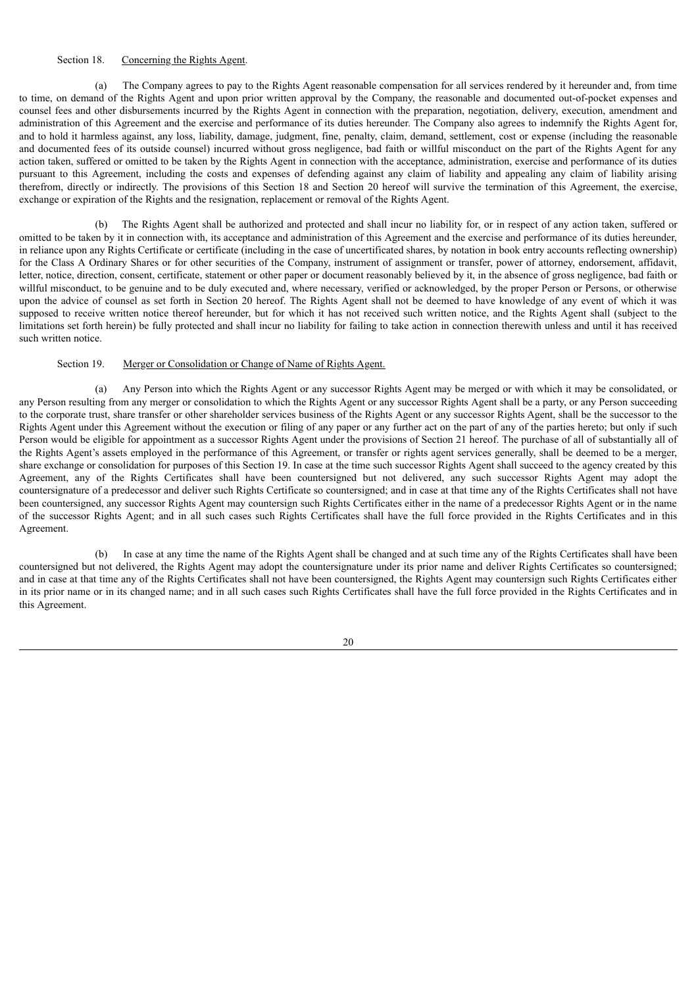# Section 18. Concerning the Rights Agent.

(a) The Company agrees to pay to the Rights Agent reasonable compensation for all services rendered by it hereunder and, from time to time, on demand of the Rights Agent and upon prior written approval by the Company, the reasonable and documented out-of-pocket expenses and counsel fees and other disbursements incurred by the Rights Agent in connection with the preparation, negotiation, delivery, execution, amendment and administration of this Agreement and the exercise and performance of its duties hereunder. The Company also agrees to indemnify the Rights Agent for, and to hold it harmless against, any loss, liability, damage, judgment, fine, penalty, claim, demand, settlement, cost or expense (including the reasonable and documented fees of its outside counsel) incurred without gross negligence, bad faith or willful misconduct on the part of the Rights Agent for any action taken, suffered or omitted to be taken by the Rights Agent in connection with the acceptance, administration, exercise and performance of its duties pursuant to this Agreement, including the costs and expenses of defending against any claim of liability and appealing any claim of liability arising therefrom, directly or indirectly. The provisions of this Section 18 and Section 20 hereof will survive the termination of this Agreement, the exercise, exchange or expiration of the Rights and the resignation, replacement or removal of the Rights Agent.

(b) The Rights Agent shall be authorized and protected and shall incur no liability for, or in respect of any action taken, suffered or omitted to be taken by it in connection with, its acceptance and administration of this Agreement and the exercise and performance of its duties hereunder, in reliance upon any Rights Certificate or certificate (including in the case of uncertificated shares, by notation in book entry accounts reflecting ownership) for the Class A Ordinary Shares or for other securities of the Company, instrument of assignment or transfer, power of attorney, endorsement, affidavit, letter, notice, direction, consent, certificate, statement or other paper or document reasonably believed by it, in the absence of gross negligence, bad faith or willful misconduct, to be genuine and to be duly executed and, where necessary, verified or acknowledged, by the proper Person or Persons, or otherwise upon the advice of counsel as set forth in Section 20 hereof. The Rights Agent shall not be deemed to have knowledge of any event of which it was supposed to receive written notice thereof hereunder, but for which it has not received such written notice, and the Rights Agent shall (subject to the limitations set forth herein) be fully protected and shall incur no liability for failing to take action in connection therewith unless and until it has received such written notice.

## Section 19. Merger or Consolidation or Change of Name of Rights Agent.

(a) Any Person into which the Rights Agent or any successor Rights Agent may be merged or with which it may be consolidated, or any Person resulting from any merger or consolidation to which the Rights Agent or any successor Rights Agent shall be a party, or any Person succeeding to the corporate trust, share transfer or other shareholder services business of the Rights Agent or any successor Rights Agent, shall be the successor to the Rights Agent under this Agreement without the execution or filing of any paper or any further act on the part of any of the parties hereto; but only if such Person would be eligible for appointment as a successor Rights Agent under the provisions of Section 21 hereof. The purchase of all of substantially all of the Rights Agent's assets employed in the performance of this Agreement, or transfer or rights agent services generally, shall be deemed to be a merger, share exchange or consolidation for purposes of this Section 19. In case at the time such successor Rights Agent shall succeed to the agency created by this Agreement, any of the Rights Certificates shall have been countersigned but not delivered, any such successor Rights Agent may adopt the countersignature of a predecessor and deliver such Rights Certificate so countersigned; and in case at that time any of the Rights Certificates shall not have been countersigned, any successor Rights Agent may countersign such Rights Certificates either in the name of a predecessor Rights Agent or in the name of the successor Rights Agent; and in all such cases such Rights Certificates shall have the full force provided in the Rights Certificates and in this Agreement.

(b) In case at any time the name of the Rights Agent shall be changed and at such time any of the Rights Certificates shall have been countersigned but not delivered, the Rights Agent may adopt the countersignature under its prior name and deliver Rights Certificates so countersigned; and in case at that time any of the Rights Certificates shall not have been countersigned, the Rights Agent may countersign such Rights Certificates either in its prior name or in its changed name; and in all such cases such Rights Certificates shall have the full force provided in the Rights Certificates and in this Agreement.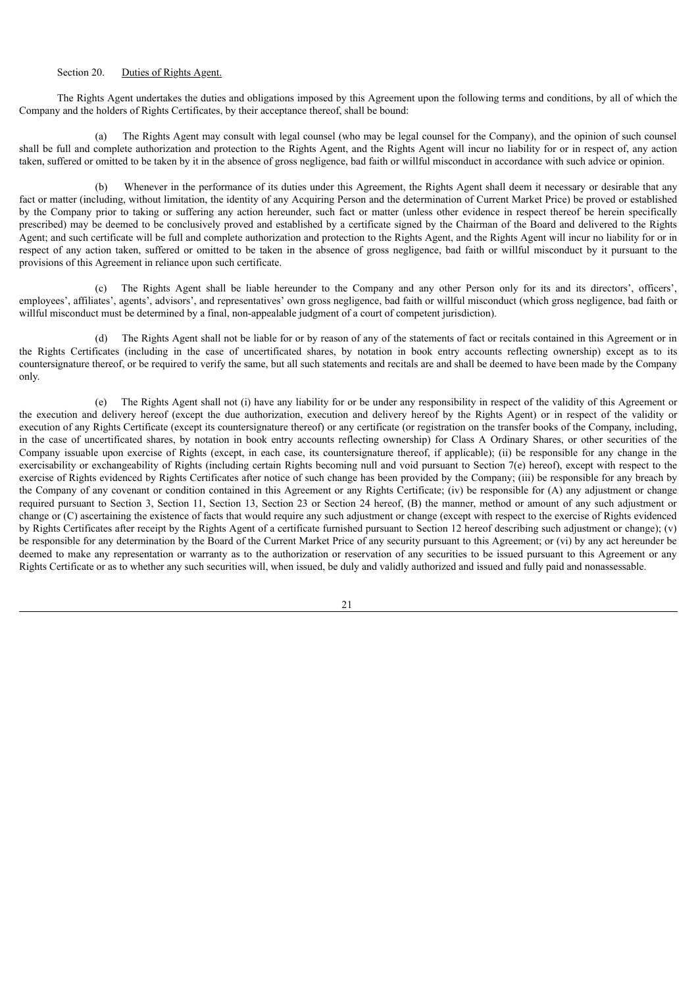# Section 20. Duties of Rights Agent.

The Rights Agent undertakes the duties and obligations imposed by this Agreement upon the following terms and conditions, by all of which the Company and the holders of Rights Certificates, by their acceptance thereof, shall be bound:

(a) The Rights Agent may consult with legal counsel (who may be legal counsel for the Company), and the opinion of such counsel shall be full and complete authorization and protection to the Rights Agent, and the Rights Agent will incur no liability for or in respect of, any action taken, suffered or omitted to be taken by it in the absence of gross negligence, bad faith or willful misconduct in accordance with such advice or opinion.

(b) Whenever in the performance of its duties under this Agreement, the Rights Agent shall deem it necessary or desirable that any fact or matter (including, without limitation, the identity of any Acquiring Person and the determination of Current Market Price) be proved or established by the Company prior to taking or suffering any action hereunder, such fact or matter (unless other evidence in respect thereof be herein specifically prescribed) may be deemed to be conclusively proved and established by a certificate signed by the Chairman of the Board and delivered to the Rights Agent; and such certificate will be full and complete authorization and protection to the Rights Agent, and the Rights Agent will incur no liability for or in respect of any action taken, suffered or omitted to be taken in the absence of gross negligence, bad faith or willful misconduct by it pursuant to the provisions of this Agreement in reliance upon such certificate.

(c) The Rights Agent shall be liable hereunder to the Company and any other Person only for its and its directors', officers', employees', affiliates', agents', advisors', and representatives' own gross negligence, bad faith or willful misconduct (which gross negligence, bad faith or willful misconduct must be determined by a final, non-appealable judgment of a court of competent jurisdiction).

(d) The Rights Agent shall not be liable for or by reason of any of the statements of fact or recitals contained in this Agreement or in the Rights Certificates (including in the case of uncertificated shares, by notation in book entry accounts reflecting ownership) except as to its countersignature thereof, or be required to verify the same, but all such statements and recitals are and shall be deemed to have been made by the Company only.

(e) The Rights Agent shall not (i) have any liability for or be under any responsibility in respect of the validity of this Agreement or the execution and delivery hereof (except the due authorization, execution and delivery hereof by the Rights Agent) or in respect of the validity or execution of any Rights Certificate (except its countersignature thereof) or any certificate (or registration on the transfer books of the Company, including, in the case of uncertificated shares, by notation in book entry accounts reflecting ownership) for Class A Ordinary Shares, or other securities of the Company issuable upon exercise of Rights (except, in each case, its countersignature thereof, if applicable); (ii) be responsible for any change in the exercisability or exchangeability of Rights (including certain Rights becoming null and void pursuant to Section 7(e) hereof), except with respect to the exercise of Rights evidenced by Rights Certificates after notice of such change has been provided by the Company; (iii) be responsible for any breach by the Company of any covenant or condition contained in this Agreement or any Rights Certificate; (iv) be responsible for (A) any adjustment or change required pursuant to Section 3, Section 11, Section 13, Section 23 or Section 24 hereof, (B) the manner, method or amount of any such adjustment or change or (C) ascertaining the existence of facts that would require any such adjustment or change (except with respect to the exercise of Rights evidenced by Rights Certificates after receipt by the Rights Agent of a certificate furnished pursuant to Section 12 hereof describing such adjustment or change); (v) be responsible for any determination by the Board of the Current Market Price of any security pursuant to this Agreement; or (vi) by any act hereunder be deemed to make any representation or warranty as to the authorization or reservation of any securities to be issued pursuant to this Agreement or any Rights Certificate or as to whether any such securities will, when issued, be duly and validly authorized and issued and fully paid and nonassessable.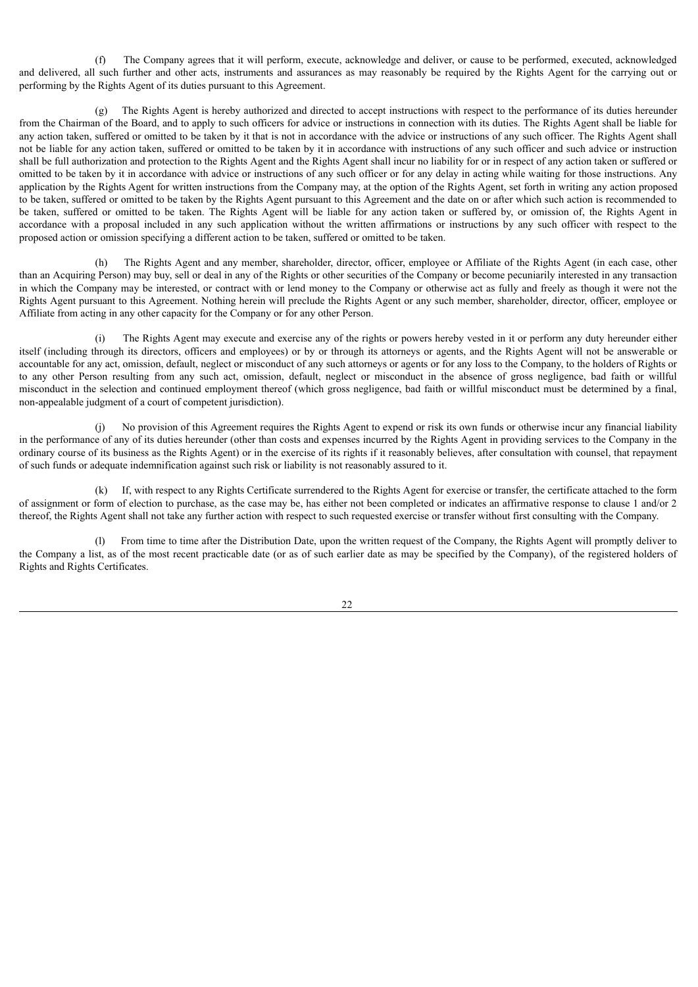(f) The Company agrees that it will perform, execute, acknowledge and deliver, or cause to be performed, executed, acknowledged and delivered, all such further and other acts, instruments and assurances as may reasonably be required by the Rights Agent for the carrying out or performing by the Rights Agent of its duties pursuant to this Agreement.

(g) The Rights Agent is hereby authorized and directed to accept instructions with respect to the performance of its duties hereunder from the Chairman of the Board, and to apply to such officers for advice or instructions in connection with its duties. The Rights Agent shall be liable for any action taken, suffered or omitted to be taken by it that is not in accordance with the advice or instructions of any such officer. The Rights Agent shall not be liable for any action taken, suffered or omitted to be taken by it in accordance with instructions of any such officer and such advice or instruction shall be full authorization and protection to the Rights Agent and the Rights Agent shall incur no liability for or in respect of any action taken or suffered or omitted to be taken by it in accordance with advice or instructions of any such officer or for any delay in acting while waiting for those instructions. Any application by the Rights Agent for written instructions from the Company may, at the option of the Rights Agent, set forth in writing any action proposed to be taken, suffered or omitted to be taken by the Rights Agent pursuant to this Agreement and the date on or after which such action is recommended to be taken, suffered or omitted to be taken. The Rights Agent will be liable for any action taken or suffered by, or omission of, the Rights Agent in accordance with a proposal included in any such application without the written affirmations or instructions by any such officer with respect to the proposed action or omission specifying a different action to be taken, suffered or omitted to be taken.

(h) The Rights Agent and any member, shareholder, director, officer, employee or Affiliate of the Rights Agent (in each case, other than an Acquiring Person) may buy, sell or deal in any of the Rights or other securities of the Company or become pecuniarily interested in any transaction in which the Company may be interested, or contract with or lend money to the Company or otherwise act as fully and freely as though it were not the Rights Agent pursuant to this Agreement. Nothing herein will preclude the Rights Agent or any such member, shareholder, director, officer, employee or Affiliate from acting in any other capacity for the Company or for any other Person.

The Rights Agent may execute and exercise any of the rights or powers hereby vested in it or perform any duty hereunder either itself (including through its directors, officers and employees) or by or through its attorneys or agents, and the Rights Agent will not be answerable or accountable for any act, omission, default, neglect or misconduct of any such attorneys or agents or for any loss to the Company, to the holders of Rights or to any other Person resulting from any such act, omission, default, neglect or misconduct in the absence of gross negligence, bad faith or willful misconduct in the selection and continued employment thereof (which gross negligence, bad faith or willful misconduct must be determined by a final, non-appealable judgment of a court of competent jurisdiction).

(j) No provision of this Agreement requires the Rights Agent to expend or risk its own funds or otherwise incur any financial liability in the performance of any of its duties hereunder (other than costs and expenses incurred by the Rights Agent in providing services to the Company in the ordinary course of its business as the Rights Agent) or in the exercise of its rights if it reasonably believes, after consultation with counsel, that repayment of such funds or adequate indemnification against such risk or liability is not reasonably assured to it.

(k) If, with respect to any Rights Certificate surrendered to the Rights Agent for exercise or transfer, the certificate attached to the form of assignment or form of election to purchase, as the case may be, has either not been completed or indicates an affirmative response to clause 1 and/or 2 thereof, the Rights Agent shall not take any further action with respect to such requested exercise or transfer without first consulting with the Company.

(l) From time to time after the Distribution Date, upon the written request of the Company, the Rights Agent will promptly deliver to the Company a list, as of the most recent practicable date (or as of such earlier date as may be specified by the Company), of the registered holders of Rights and Rights Certificates.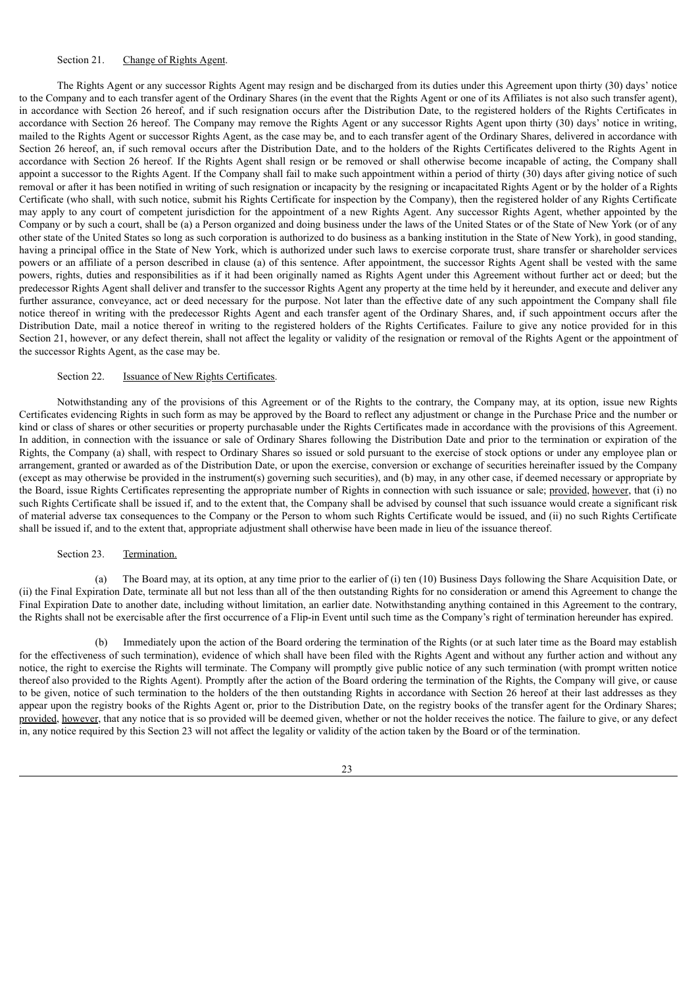# Section 21. Change of Rights Agent.

The Rights Agent or any successor Rights Agent may resign and be discharged from its duties under this Agreement upon thirty (30) days' notice to the Company and to each transfer agent of the Ordinary Shares (in the event that the Rights Agent or one of its Affiliates is not also such transfer agent), in accordance with Section 26 hereof, and if such resignation occurs after the Distribution Date, to the registered holders of the Rights Certificates in accordance with Section 26 hereof. The Company may remove the Rights Agent or any successor Rights Agent upon thirty (30) days' notice in writing, mailed to the Rights Agent or successor Rights Agent, as the case may be, and to each transfer agent of the Ordinary Shares, delivered in accordance with Section 26 hereof, an, if such removal occurs after the Distribution Date, and to the holders of the Rights Certificates delivered to the Rights Agent in accordance with Section 26 hereof. If the Rights Agent shall resign or be removed or shall otherwise become incapable of acting, the Company shall appoint a successor to the Rights Agent. If the Company shall fail to make such appointment within a period of thirty (30) days after giving notice of such removal or after it has been notified in writing of such resignation or incapacity by the resigning or incapacitated Rights Agent or by the holder of a Rights Certificate (who shall, with such notice, submit his Rights Certificate for inspection by the Company), then the registered holder of any Rights Certificate may apply to any court of competent jurisdiction for the appointment of a new Rights Agent. Any successor Rights Agent, whether appointed by the Company or by such a court, shall be (a) a Person organized and doing business under the laws of the United States or of the State of New York (or of any other state of the United States so long as such corporation is authorized to do business as a banking institution in the State of New York), in good standing, having a principal office in the State of New York, which is authorized under such laws to exercise corporate trust, share transfer or shareholder services powers or an affiliate of a person described in clause (a) of this sentence. After appointment, the successor Rights Agent shall be vested with the same powers, rights, duties and responsibilities as if it had been originally named as Rights Agent under this Agreement without further act or deed; but the predecessor Rights Agent shall deliver and transfer to the successor Rights Agent any property at the time held by it hereunder, and execute and deliver any further assurance, conveyance, act or deed necessary for the purpose. Not later than the effective date of any such appointment the Company shall file notice thereof in writing with the predecessor Rights Agent and each transfer agent of the Ordinary Shares, and, if such appointment occurs after the Distribution Date, mail a notice thereof in writing to the registered holders of the Rights Certificates. Failure to give any notice provided for in this Section 21, however, or any defect therein, shall not affect the legality or validity of the resignation or removal of the Rights Agent or the appointment of the successor Rights Agent, as the case may be.

#### Section 22. **Issuance of New Rights Certificates.**

Notwithstanding any of the provisions of this Agreement or of the Rights to the contrary, the Company may, at its option, issue new Rights Certificates evidencing Rights in such form as may be approved by the Board to reflect any adjustment or change in the Purchase Price and the number or kind or class of shares or other securities or property purchasable under the Rights Certificates made in accordance with the provisions of this Agreement. In addition, in connection with the issuance or sale of Ordinary Shares following the Distribution Date and prior to the termination or expiration of the Rights, the Company (a) shall, with respect to Ordinary Shares so issued or sold pursuant to the exercise of stock options or under any employee plan or arrangement, granted or awarded as of the Distribution Date, or upon the exercise, conversion or exchange of securities hereinafter issued by the Company (except as may otherwise be provided in the instrument(s) governing such securities), and (b) may, in any other case, if deemed necessary or appropriate by the Board, issue Rights Certificates representing the appropriate number of Rights in connection with such issuance or sale; provided, however, that (i) no such Rights Certificate shall be issued if, and to the extent that, the Company shall be advised by counsel that such issuance would create a significant risk of material adverse tax consequences to the Company or the Person to whom such Rights Certificate would be issued, and (ii) no such Rights Certificate shall be issued if, and to the extent that, appropriate adjustment shall otherwise have been made in lieu of the issuance thereof.

#### Section 23. Termination.

(a) The Board may, at its option, at any time prior to the earlier of (i) ten (10) Business Days following the Share Acquisition Date, or (ii) the Final Expiration Date, terminate all but not less than all of the then outstanding Rights for no consideration or amend this Agreement to change the Final Expiration Date to another date, including without limitation, an earlier date. Notwithstanding anything contained in this Agreement to the contrary, the Rights shall not be exercisable after the first occurrence of a Flip-in Event until such time as the Company's right of termination hereunder has expired.

(b) Immediately upon the action of the Board ordering the termination of the Rights (or at such later time as the Board may establish for the effectiveness of such termination), evidence of which shall have been filed with the Rights Agent and without any further action and without any notice, the right to exercise the Rights will terminate. The Company will promptly give public notice of any such termination (with prompt written notice thereof also provided to the Rights Agent). Promptly after the action of the Board ordering the termination of the Rights, the Company will give, or cause to be given, notice of such termination to the holders of the then outstanding Rights in accordance with Section 26 hereof at their last addresses as they appear upon the registry books of the Rights Agent or, prior to the Distribution Date, on the registry books of the transfer agent for the Ordinary Shares; provided, however, that any notice that is so provided will be deemed given, whether or not the holder receives the notice. The failure to give, or any defect in, any notice required by this Section 23 will not affect the legality or validity of the action taken by the Board or of the termination.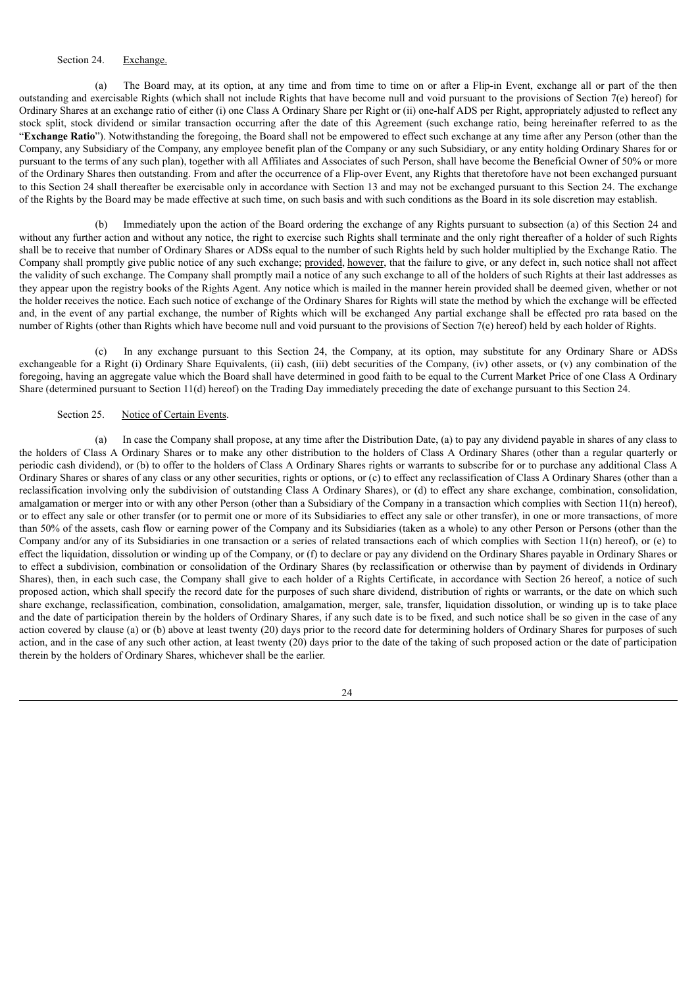# Section 24. Exchange.

(a) The Board may, at its option, at any time and from time to time on or after a Flip-in Event, exchange all or part of the then outstanding and exercisable Rights (which shall not include Rights that have become null and void pursuant to the provisions of Section 7(e) hereof) for Ordinary Shares at an exchange ratio of either (i) one Class A Ordinary Share per Right or (ii) one-half ADS per Right, appropriately adjusted to reflect any stock split, stock dividend or similar transaction occurring after the date of this Agreement (such exchange ratio, being hereinafter referred to as the "**Exchange Ratio**"). Notwithstanding the foregoing, the Board shall not be empowered to effect such exchange at any time after any Person (other than the Company, any Subsidiary of the Company, any employee benefit plan of the Company or any such Subsidiary, or any entity holding Ordinary Shares for or pursuant to the terms of any such plan), together with all Affiliates and Associates of such Person, shall have become the Beneficial Owner of 50% or more of the Ordinary Shares then outstanding. From and after the occurrence of a Flip-over Event, any Rights that theretofore have not been exchanged pursuant to this Section 24 shall thereafter be exercisable only in accordance with Section 13 and may not be exchanged pursuant to this Section 24. The exchange of the Rights by the Board may be made effective at such time, on such basis and with such conditions as the Board in its sole discretion may establish.

(b) Immediately upon the action of the Board ordering the exchange of any Rights pursuant to subsection (a) of this Section 24 and without any further action and without any notice, the right to exercise such Rights shall terminate and the only right thereafter of a holder of such Rights shall be to receive that number of Ordinary Shares or ADSs equal to the number of such Rights held by such holder multiplied by the Exchange Ratio. The Company shall promptly give public notice of any such exchange; provided, however, that the failure to give, or any defect in, such notice shall not affect the validity of such exchange. The Company shall promptly mail a notice of any such exchange to all of the holders of such Rights at their last addresses as they appear upon the registry books of the Rights Agent. Any notice which is mailed in the manner herein provided shall be deemed given, whether or not the holder receives the notice. Each such notice of exchange of the Ordinary Shares for Rights will state the method by which the exchange will be effected and, in the event of any partial exchange, the number of Rights which will be exchanged Any partial exchange shall be effected pro rata based on the number of Rights (other than Rights which have become null and void pursuant to the provisions of Section 7(e) hereof) held by each holder of Rights.

(c) In any exchange pursuant to this Section 24, the Company, at its option, may substitute for any Ordinary Share or ADSs exchangeable for a Right (i) Ordinary Share Equivalents, (ii) cash, (iii) debt securities of the Company, (iv) other assets, or (v) any combination of the foregoing, having an aggregate value which the Board shall have determined in good faith to be equal to the Current Market Price of one Class A Ordinary Share (determined pursuant to Section 11(d) hereof) on the Trading Day immediately preceding the date of exchange pursuant to this Section 24.

# Section 25. Notice of Certain Events.

(a) In case the Company shall propose, at any time after the Distribution Date, (a) to pay any dividend payable in shares of any class to the holders of Class A Ordinary Shares or to make any other distribution to the holders of Class A Ordinary Shares (other than a regular quarterly or periodic cash dividend), or (b) to offer to the holders of Class A Ordinary Shares rights or warrants to subscribe for or to purchase any additional Class A Ordinary Shares or shares of any class or any other securities, rights or options, or (c) to effect any reclassification of Class A Ordinary Shares (other than a reclassification involving only the subdivision of outstanding Class A Ordinary Shares), or (d) to effect any share exchange, combination, consolidation, amalgamation or merger into or with any other Person (other than a Subsidiary of the Company in a transaction which complies with Section 11(n) hereof), or to effect any sale or other transfer (or to permit one or more of its Subsidiaries to effect any sale or other transfer), in one or more transactions, of more than 50% of the assets, cash flow or earning power of the Company and its Subsidiaries (taken as a whole) to any other Person or Persons (other than the Company and/or any of its Subsidiaries in one transaction or a series of related transactions each of which complies with Section 11(n) hereof), or (e) to effect the liquidation, dissolution or winding up of the Company, or (f) to declare or pay any dividend on the Ordinary Shares payable in Ordinary Shares or to effect a subdivision, combination or consolidation of the Ordinary Shares (by reclassification or otherwise than by payment of dividends in Ordinary Shares), then, in each such case, the Company shall give to each holder of a Rights Certificate, in accordance with Section 26 hereof, a notice of such proposed action, which shall specify the record date for the purposes of such share dividend, distribution of rights or warrants, or the date on which such share exchange, reclassification, combination, consolidation, amalgamation, merger, sale, transfer, liquidation dissolution, or winding up is to take place and the date of participation therein by the holders of Ordinary Shares, if any such date is to be fixed, and such notice shall be so given in the case of any action covered by clause (a) or (b) above at least twenty (20) days prior to the record date for determining holders of Ordinary Shares for purposes of such action, and in the case of any such other action, at least twenty (20) days prior to the date of the taking of such proposed action or the date of participation therein by the holders of Ordinary Shares, whichever shall be the earlier.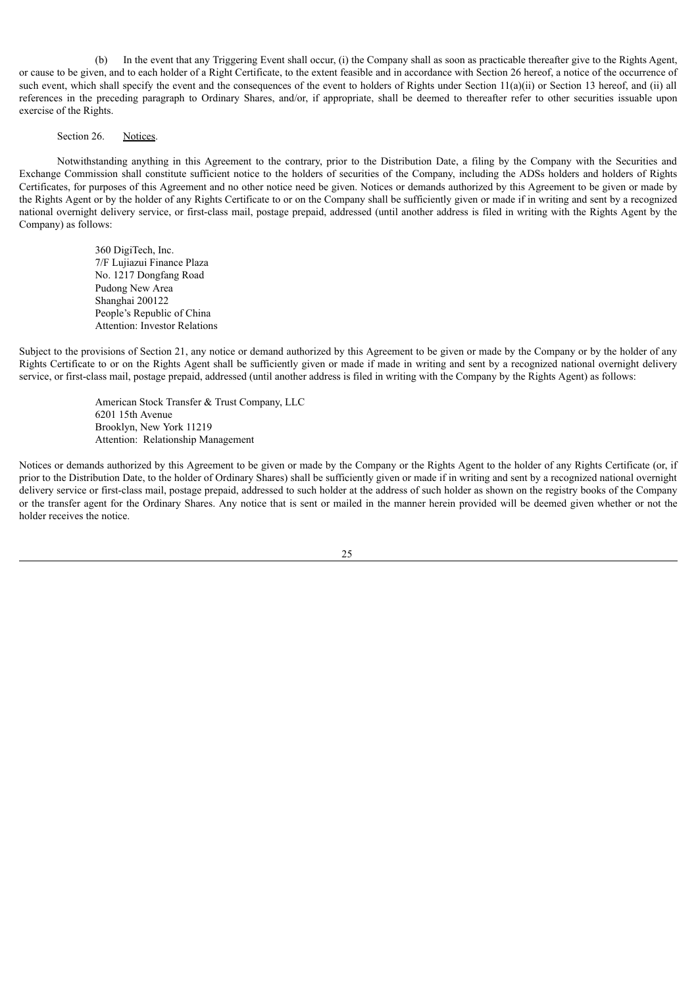(b) In the event that any Triggering Event shall occur, (i) the Company shall as soon as practicable thereafter give to the Rights Agent, or cause to be given, and to each holder of a Right Certificate, to the extent feasible and in accordance with Section 26 hereof, a notice of the occurrence of such event, which shall specify the event and the consequences of the event to holders of Rights under Section  $11(a)(ii)$  or Section 13 hereof, and (ii) all references in the preceding paragraph to Ordinary Shares, and/or, if appropriate, shall be deemed to thereafter refer to other securities issuable upon exercise of the Rights.

# Section 26. Notices.

Notwithstanding anything in this Agreement to the contrary, prior to the Distribution Date, a filing by the Company with the Securities and Exchange Commission shall constitute sufficient notice to the holders of securities of the Company, including the ADSs holders and holders of Rights Certificates, for purposes of this Agreement and no other notice need be given. Notices or demands authorized by this Agreement to be given or made by the Rights Agent or by the holder of any Rights Certificate to or on the Company shall be sufficiently given or made if in writing and sent by a recognized national overnight delivery service, or first-class mail, postage prepaid, addressed (until another address is filed in writing with the Rights Agent by the Company) as follows:

> 360 DigiTech, Inc. 7/F Lujiazui Finance Plaza No. 1217 Dongfang Road Pudong New Area Shanghai 200122 People's Republic of China Attention: Investor Relations

Subject to the provisions of Section 21, any notice or demand authorized by this Agreement to be given or made by the Company or by the holder of any Rights Certificate to or on the Rights Agent shall be sufficiently given or made if made in writing and sent by a recognized national overnight delivery service, or first-class mail, postage prepaid, addressed (until another address is filed in writing with the Company by the Rights Agent) as follows:

> American Stock Transfer & Trust Company, LLC 6201 15th Avenue Brooklyn, New York 11219 Attention: Relationship Management

Notices or demands authorized by this Agreement to be given or made by the Company or the Rights Agent to the holder of any Rights Certificate (or, if prior to the Distribution Date, to the holder of Ordinary Shares) shall be sufficiently given or made if in writing and sent by a recognized national overnight delivery service or first-class mail, postage prepaid, addressed to such holder at the address of such holder as shown on the registry books of the Company or the transfer agent for the Ordinary Shares. Any notice that is sent or mailed in the manner herein provided will be deemed given whether or not the holder receives the notice.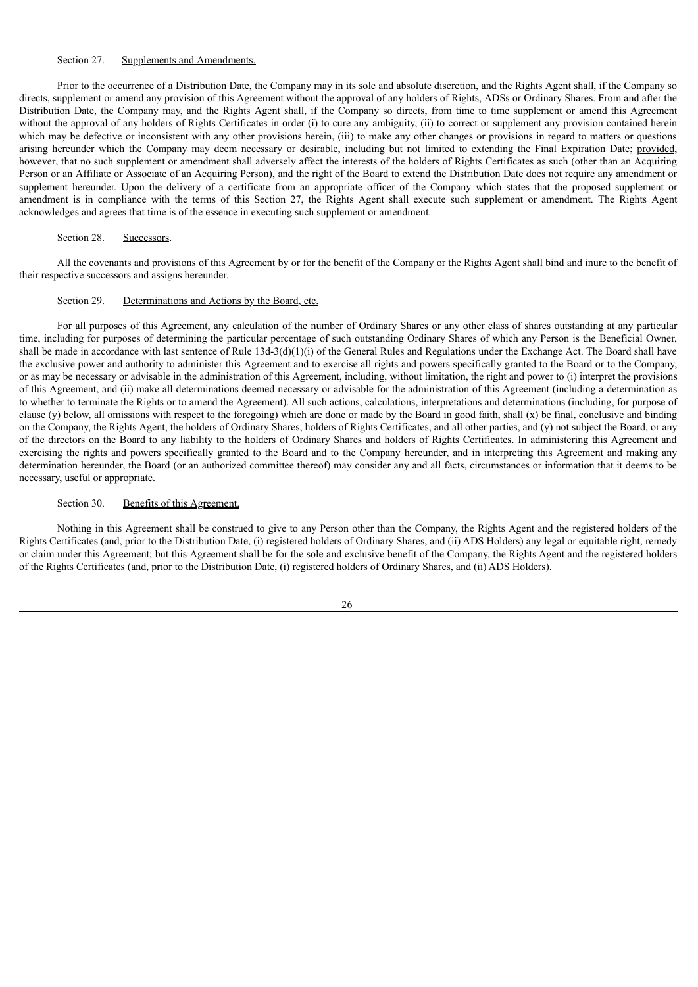## Section 27. Supplements and Amendments.

Prior to the occurrence of a Distribution Date, the Company may in its sole and absolute discretion, and the Rights Agent shall, if the Company so directs, supplement or amend any provision of this Agreement without the approval of any holders of Rights, ADSs or Ordinary Shares. From and after the Distribution Date, the Company may, and the Rights Agent shall, if the Company so directs, from time to time supplement or amend this Agreement without the approval of any holders of Rights Certificates in order (i) to cure any ambiguity, (ii) to correct or supplement any provision contained herein which may be defective or inconsistent with any other provisions herein, (iii) to make any other changes or provisions in regard to matters or questions arising hereunder which the Company may deem necessary or desirable, including but not limited to extending the Final Expiration Date; provided, however, that no such supplement or amendment shall adversely affect the interests of the holders of Rights Certificates as such (other than an Acquiring Person or an Affiliate or Associate of an Acquiring Person), and the right of the Board to extend the Distribution Date does not require any amendment or supplement hereunder. Upon the delivery of a certificate from an appropriate officer of the Company which states that the proposed supplement or amendment is in compliance with the terms of this Section 27, the Rights Agent shall execute such supplement or amendment. The Rights Agent acknowledges and agrees that time is of the essence in executing such supplement or amendment.

# Section 28. Successors.

All the covenants and provisions of this Agreement by or for the benefit of the Company or the Rights Agent shall bind and inure to the benefit of their respective successors and assigns hereunder.

#### Section 29. Determinations and Actions by the Board, etc.

For all purposes of this Agreement, any calculation of the number of Ordinary Shares or any other class of shares outstanding at any particular time, including for purposes of determining the particular percentage of such outstanding Ordinary Shares of which any Person is the Beneficial Owner, shall be made in accordance with last sentence of Rule 13d-3(d)(1)(i) of the General Rules and Regulations under the Exchange Act. The Board shall have the exclusive power and authority to administer this Agreement and to exercise all rights and powers specifically granted to the Board or to the Company, or as may be necessary or advisable in the administration of this Agreement, including, without limitation, the right and power to (i) interpret the provisions of this Agreement, and (ii) make all determinations deemed necessary or advisable for the administration of this Agreement (including a determination as to whether to terminate the Rights or to amend the Agreement). All such actions, calculations, interpretations and determinations (including, for purpose of clause  $(y)$  below, all omissions with respect to the foregoing) which are done or made by the Board in good faith, shall  $(x)$  be final, conclusive and binding on the Company, the Rights Agent, the holders of Ordinary Shares, holders of Rights Certificates, and all other parties, and (y) not subject the Board, or any of the directors on the Board to any liability to the holders of Ordinary Shares and holders of Rights Certificates. In administering this Agreement and exercising the rights and powers specifically granted to the Board and to the Company hereunder, and in interpreting this Agreement and making any determination hereunder, the Board (or an authorized committee thereof) may consider any and all facts, circumstances or information that it deems to be necessary, useful or appropriate.

#### Section 30. Benefits of this Agreement.

Nothing in this Agreement shall be construed to give to any Person other than the Company, the Rights Agent and the registered holders of the Rights Certificates (and, prior to the Distribution Date, (i) registered holders of Ordinary Shares, and (ii) ADS Holders) any legal or equitable right, remedy or claim under this Agreement; but this Agreement shall be for the sole and exclusive benefit of the Company, the Rights Agent and the registered holders of the Rights Certificates (and, prior to the Distribution Date, (i) registered holders of Ordinary Shares, and (ii) ADS Holders).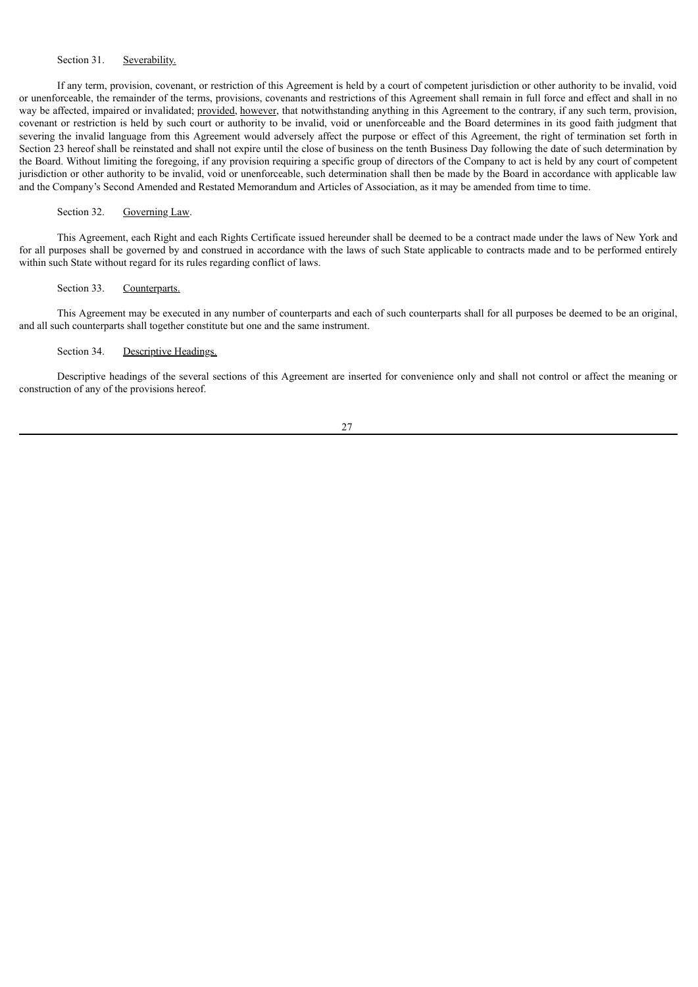# Section 31. Severability.

If any term, provision, covenant, or restriction of this Agreement is held by a court of competent jurisdiction or other authority to be invalid, void or unenforceable, the remainder of the terms, provisions, covenants and restrictions of this Agreement shall remain in full force and effect and shall in no way be affected, impaired or invalidated; **provided**, *however*, that notwithstanding anything in this Agreement to the contrary, if any such term, provision, covenant or restriction is held by such court or authority to be invalid, void or unenforceable and the Board determines in its good faith judgment that severing the invalid language from this Agreement would adversely affect the purpose or effect of this Agreement, the right of termination set forth in Section 23 hereof shall be reinstated and shall not expire until the close of business on the tenth Business Day following the date of such determination by the Board. Without limiting the foregoing, if any provision requiring a specific group of directors of the Company to act is held by any court of competent jurisdiction or other authority to be invalid, void or unenforceable, such determination shall then be made by the Board in accordance with applicable law and the Company's Second Amended and Restated Memorandum and Articles of Association, as it may be amended from time to time.

#### Section 32. Governing Law.

This Agreement, each Right and each Rights Certificate issued hereunder shall be deemed to be a contract made under the laws of New York and for all purposes shall be governed by and construed in accordance with the laws of such State applicable to contracts made and to be performed entirely within such State without regard for its rules regarding conflict of laws.

#### Section 33. Counterparts.

This Agreement may be executed in any number of counterparts and each of such counterparts shall for all purposes be deemed to be an original, and all such counterparts shall together constitute but one and the same instrument.

## Section 34. Descriptive Headings.

Descriptive headings of the several sections of this Agreement are inserted for convenience only and shall not control or affect the meaning or construction of any of the provisions hereof.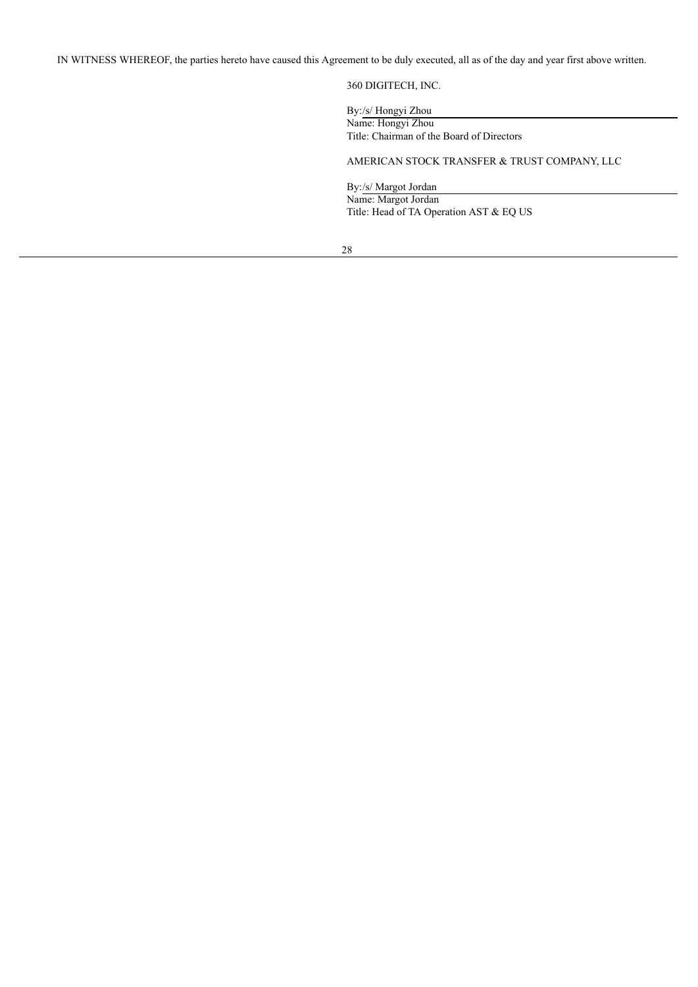IN WITNESS WHEREOF, the parties hereto have caused this Agreement to be duly executed, all as of the day and year first above written.

360 DIGITECH, INC.

By:/s/ Hongyi Zhou Name: Hongyi Zhou Title: Chairman of the Board of Directors

AMERICAN STOCK TRANSFER & TRUST COMPANY, LLC

By:/s/ Margot Jordan Name: Margot Jordan Title: Head of TA Operation AST & EQ US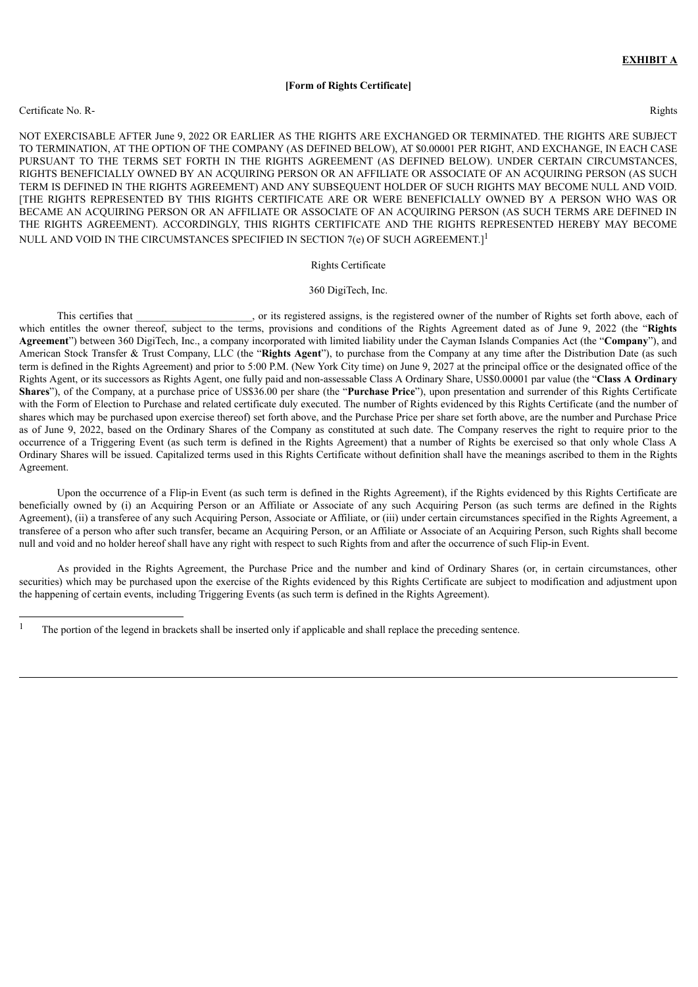#### **[Form of Rights Certificate]**

#### Certificate No. R- Rights

NOT EXERCISABLE AFTER June 9, 2022 OR EARLIER AS THE RIGHTS ARE EXCHANGED OR TERMINATED. THE RIGHTS ARE SUBJECT TO TERMINATION, AT THE OPTION OF THE COMPANY (AS DEFINED BELOW), AT \$0.00001 PER RIGHT, AND EXCHANGE, IN EACH CASE PURSUANT TO THE TERMS SET FORTH IN THE RIGHTS AGREEMENT (AS DEFINED BELOW). UNDER CERTAIN CIRCUMSTANCES, RIGHTS BENEFICIALLY OWNED BY AN ACQUIRING PERSON OR AN AFFILIATE OR ASSOCIATE OF AN ACQUIRING PERSON (AS SUCH TERM IS DEFINED IN THE RIGHTS AGREEMENT) AND ANY SUBSEQUENT HOLDER OF SUCH RIGHTS MAY BECOME NULL AND VOID. [THE RIGHTS REPRESENTED BY THIS RIGHTS CERTIFICATE ARE OR WERE BENEFICIALLY OWNED BY A PERSON WHO WAS OR BECAME AN ACQUIRING PERSON OR AN AFFILIATE OR ASSOCIATE OF AN ACQUIRING PERSON (AS SUCH TERMS ARE DEFINED IN THE RIGHTS AGREEMENT). ACCORDINGLY, THIS RIGHTS CERTIFICATE AND THE RIGHTS REPRESENTED HEREBY MAY BECOME NULL AND VOID IN THE CIRCUMSTANCES SPECIFIED IN SECTION 7(e) OF SUCH AGREEMENT.] $^1$ 

#### Rights Certificate

#### 360 DigiTech, Inc.

This certifies that  $\cdot$ , or its registered assigns, is the registered owner of the number of Rights set forth above, each of which entitles the owner thereof, subject to the terms, provisions and conditions of the Rights Agreement dated as of June 9, 2022 (the "**Rights Agreement**") between 360 DigiTech, Inc., a company incorporated with limited liability under the Cayman Islands Companies Act (the "**Company**"), and American Stock Transfer & Trust Company, LLC (the "**Rights Agent**"), to purchase from the Company at any time after the Distribution Date (as such term is defined in the Rights Agreement) and prior to 5:00 P.M. (New York City time) on June 9, 2027 at the principal office or the designated office of the Rights Agent, or its successors as Rights Agent, one fully paid and non-assessable Class A Ordinary Share, US\$0.00001 par value (the "**Class A Ordinary Shares**"), of the Company, at a purchase price of US\$36.00 per share (the "**Purchase Price**"), upon presentation and surrender of this Rights Certificate with the Form of Election to Purchase and related certificate duly executed. The number of Rights evidenced by this Rights Certificate (and the number of shares which may be purchased upon exercise thereof) set forth above, and the Purchase Price per share set forth above, are the number and Purchase Price as of June 9, 2022, based on the Ordinary Shares of the Company as constituted at such date. The Company reserves the right to require prior to the occurrence of a Triggering Event (as such term is defined in the Rights Agreement) that a number of Rights be exercised so that only whole Class A Ordinary Shares will be issued. Capitalized terms used in this Rights Certificate without definition shall have the meanings ascribed to them in the Rights Agreement.

Upon the occurrence of a Flip-in Event (as such term is defined in the Rights Agreement), if the Rights evidenced by this Rights Certificate are beneficially owned by (i) an Acquiring Person or an Affiliate or Associate of any such Acquiring Person (as such terms are defined in the Rights Agreement), (ii) a transferee of any such Acquiring Person, Associate or Affiliate, or (iii) under certain circumstances specified in the Rights Agreement, a transferee of a person who after such transfer, became an Acquiring Person, or an Affiliate or Associate of an Acquiring Person, such Rights shall become null and void and no holder hereof shall have any right with respect to such Rights from and after the occurrence of such Flip-in Event.

As provided in the Rights Agreement, the Purchase Price and the number and kind of Ordinary Shares (or, in certain circumstances, other securities) which may be purchased upon the exercise of the Rights evidenced by this Rights Certificate are subject to modification and adjustment upon the happening of certain events, including Triggering Events (as such term is defined in the Rights Agreement).

<sup>&</sup>lt;sup>1</sup> The portion of the legend in brackets shall be inserted only if applicable and shall replace the preceding sentence.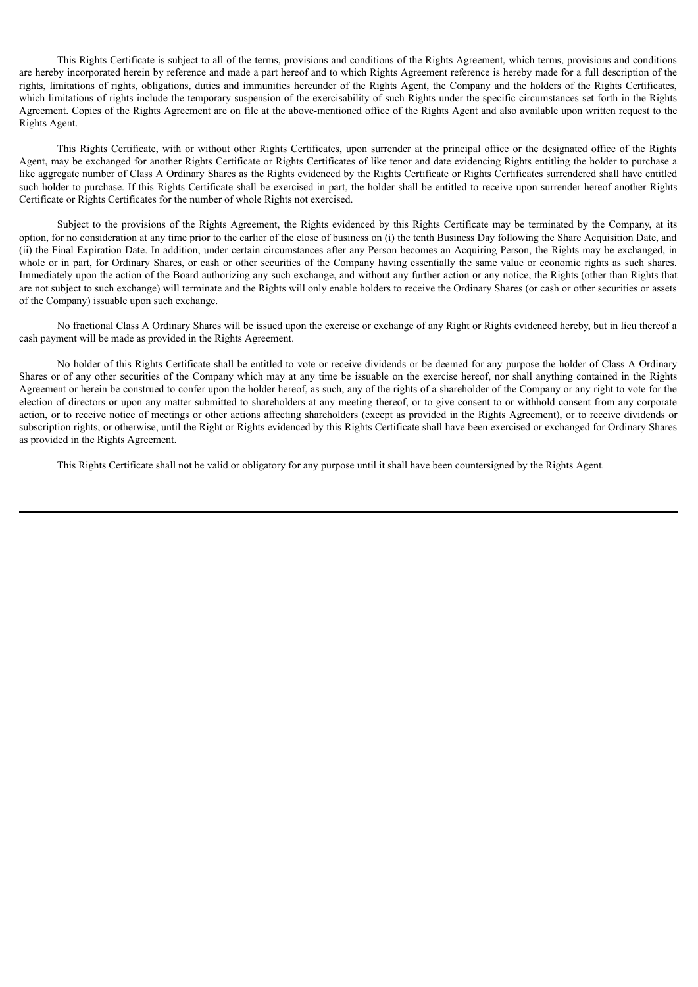This Rights Certificate is subject to all of the terms, provisions and conditions of the Rights Agreement, which terms, provisions and conditions are hereby incorporated herein by reference and made a part hereof and to which Rights Agreement reference is hereby made for a full description of the rights, limitations of rights, obligations, duties and immunities hereunder of the Rights Agent, the Company and the holders of the Rights Certificates, which limitations of rights include the temporary suspension of the exercisability of such Rights under the specific circumstances set forth in the Rights Agreement. Copies of the Rights Agreement are on file at the above-mentioned office of the Rights Agent and also available upon written request to the Rights Agent.

This Rights Certificate, with or without other Rights Certificates, upon surrender at the principal office or the designated office of the Rights Agent, may be exchanged for another Rights Certificate or Rights Certificates of like tenor and date evidencing Rights entitling the holder to purchase a like aggregate number of Class A Ordinary Shares as the Rights evidenced by the Rights Certificate or Rights Certificates surrendered shall have entitled such holder to purchase. If this Rights Certificate shall be exercised in part, the holder shall be entitled to receive upon surrender hereof another Rights Certificate or Rights Certificates for the number of whole Rights not exercised.

Subject to the provisions of the Rights Agreement, the Rights evidenced by this Rights Certificate may be terminated by the Company, at its option, for no consideration at any time prior to the earlier of the close of business on (i) the tenth Business Day following the Share Acquisition Date, and (ii) the Final Expiration Date. In addition, under certain circumstances after any Person becomes an Acquiring Person, the Rights may be exchanged, in whole or in part, for Ordinary Shares, or cash or other securities of the Company having essentially the same value or economic rights as such shares. Immediately upon the action of the Board authorizing any such exchange, and without any further action or any notice, the Rights (other than Rights that are not subject to such exchange) will terminate and the Rights will only enable holders to receive the Ordinary Shares (or cash or other securities or assets of the Company) issuable upon such exchange.

No fractional Class A Ordinary Shares will be issued upon the exercise or exchange of any Right or Rights evidenced hereby, but in lieu thereof a cash payment will be made as provided in the Rights Agreement.

No holder of this Rights Certificate shall be entitled to vote or receive dividends or be deemed for any purpose the holder of Class A Ordinary Shares or of any other securities of the Company which may at any time be issuable on the exercise hereof, nor shall anything contained in the Rights Agreement or herein be construed to confer upon the holder hereof, as such, any of the rights of a shareholder of the Company or any right to vote for the election of directors or upon any matter submitted to shareholders at any meeting thereof, or to give consent to or withhold consent from any corporate action, or to receive notice of meetings or other actions affecting shareholders (except as provided in the Rights Agreement), or to receive dividends or subscription rights, or otherwise, until the Right or Rights evidenced by this Rights Certificate shall have been exercised or exchanged for Ordinary Shares as provided in the Rights Agreement.

This Rights Certificate shall not be valid or obligatory for any purpose until it shall have been countersigned by the Rights Agent.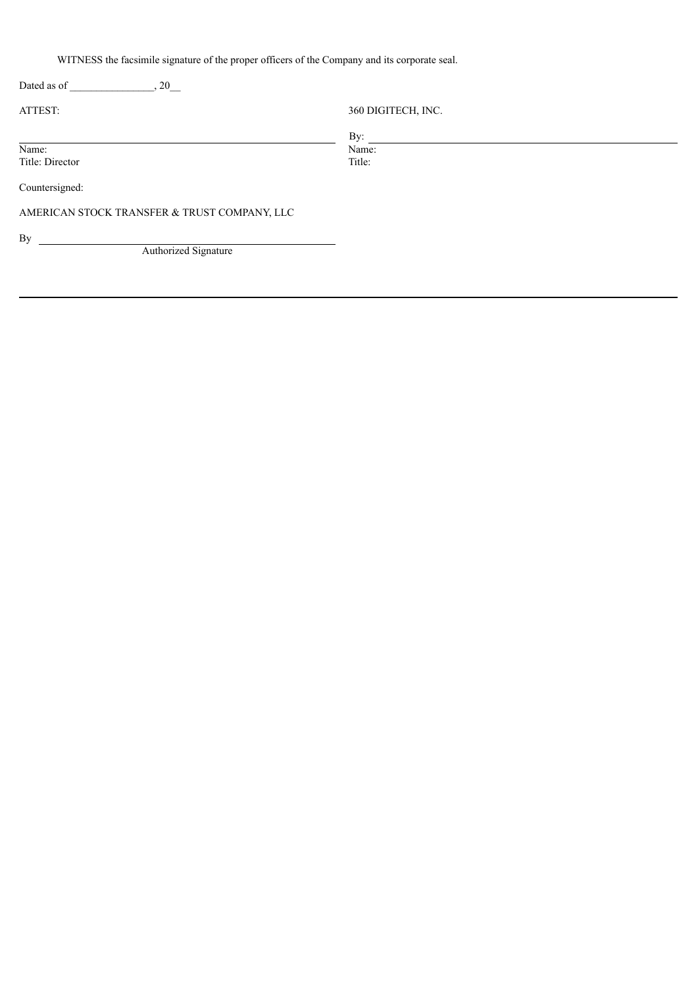WITNESS the facsimile signature of the proper officers of the Company and its corporate seal.

| , 20<br>Dated as of                          |                    |  |
|----------------------------------------------|--------------------|--|
| ATTEST:                                      | 360 DIGITECH, INC. |  |
|                                              | By:                |  |
| Name:                                        | Name:              |  |
| Title: Director                              | Title:             |  |
| Countersigned:                               |                    |  |
| AMERICAN STOCK TRANSFER & TRUST COMPANY, LLC |                    |  |
|                                              |                    |  |
| By                                           |                    |  |
| Authorized Signature                         |                    |  |
|                                              |                    |  |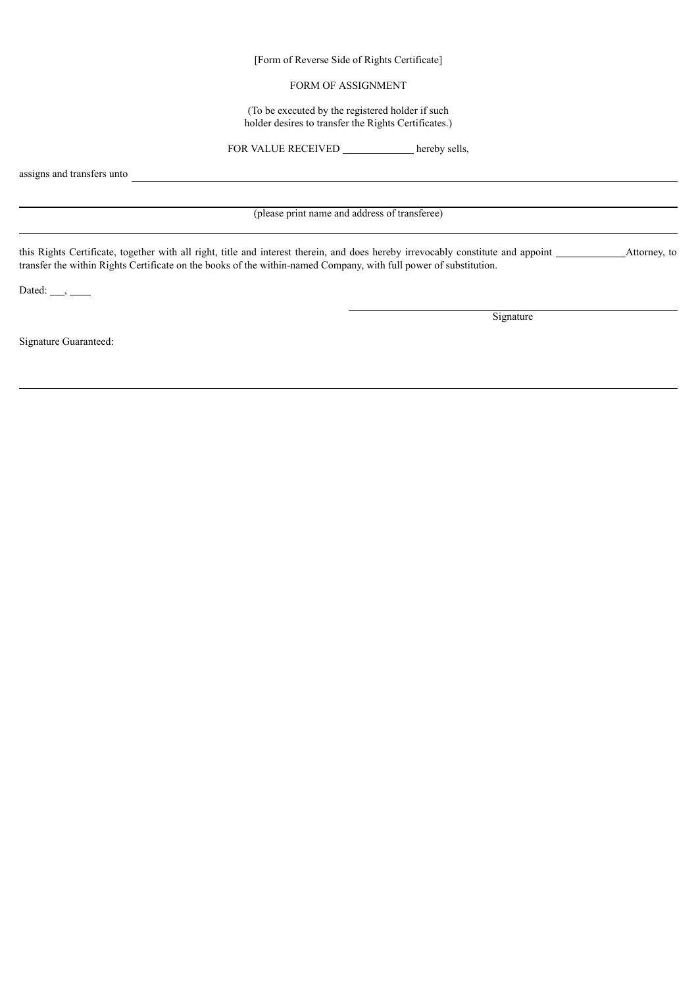[Form of Reverse Side of Rights Certificate]

# FORM OF ASSIGNMENT

(To be executed by the registered holder if such holder desires to transfer the Rights Certificates.)

FOR VALUE RECEIVED hereby sells,

assigns and transfers unto

(please print name and address of transferee)

this Rights Certificate, together with all right, title and interest therein, and does hereby irrevocably constitute and appoint Attorney, to transfer the within Rights Certificate on the books of the within-named Company, with full power of substitution.

Dated:  $\_\_\_\_\_\_\_\_\_\_\_\_\_\_\_\_\_\_\_$ 

Signature

Signature Guaranteed: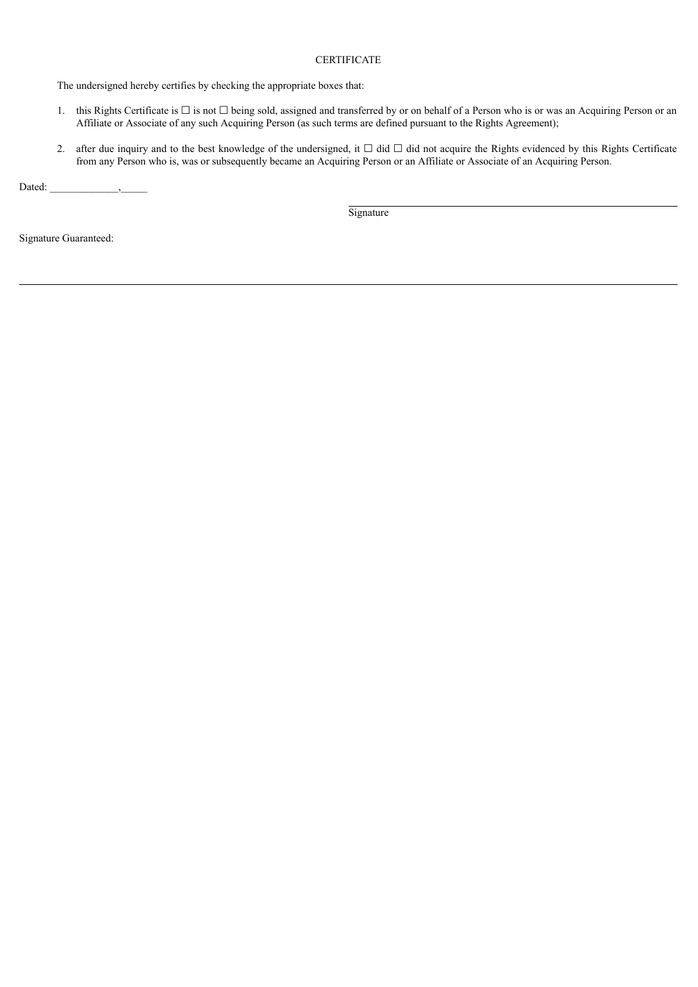# **CERTIFICATE**

The undersigned hereby certifies by checking the appropriate boxes that:

- 1. this Rights Certificate is ☐ is not ☐ being sold, assigned and transferred by or on behalf of a Person who is or was an Acquiring Person or an Affiliate or Associate of any such Acquiring Person (as such terms are defined pursuant to the Rights Agreement);
- 2. after due inquiry and to the best knowledge of the undersigned, it  $\Box$  did  $\Box$  did not acquire the Rights evidenced by this Rights Certificate from any Person who is, was or subsequently became an Acquiring Person or an Affiliate or Associate of an Acquiring Person.

Dated:  $\qquad \qquad$ ,

**Signature** 

Signature Guaranteed: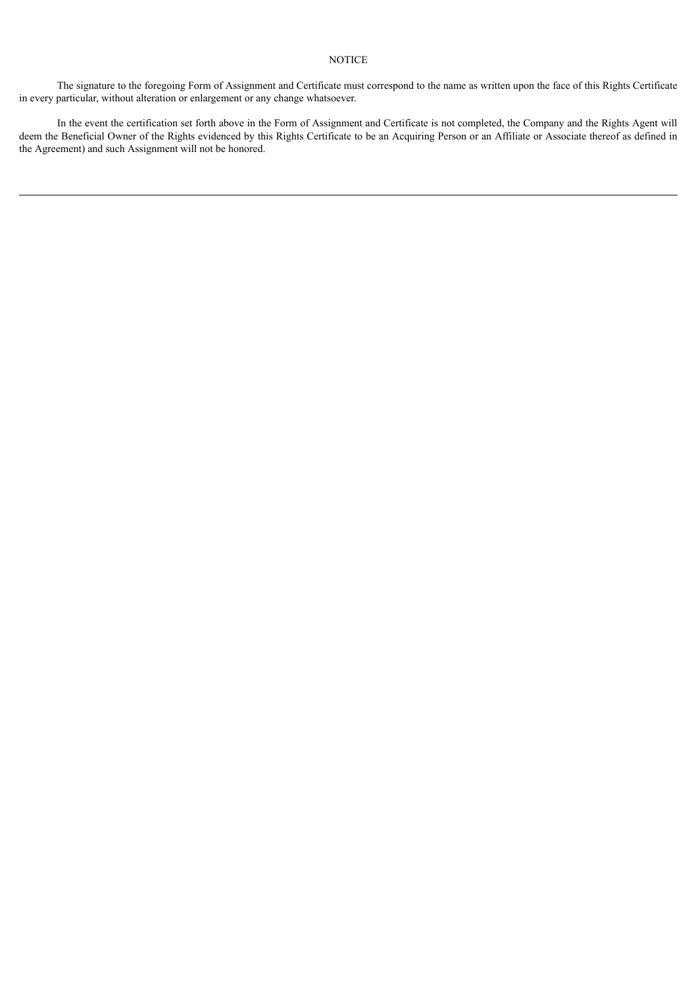# **NOTICE**

The signature to the foregoing Form of Assignment and Certificate must correspond to the name as written upon the face of this Rights Certificate in every particular, without alteration or enlargement or any change whatsoever.

In the event the certification set forth above in the Form of Assignment and Certificate is not completed, the Company and the Rights Agent will deem the Beneficial Owner of the Rights evidenced by this Rights Certificate to be an Acquiring Person or an Affiliate or Associate thereof as defined in the Agreement) and such Assignment will not be honored.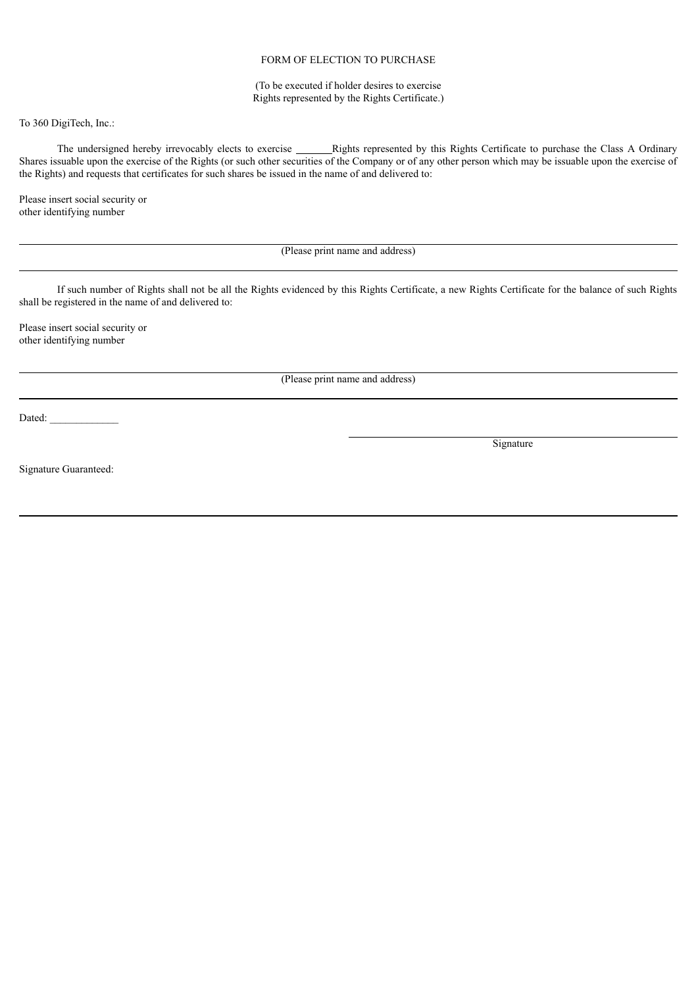# FORM OF ELECTION TO PURCHASE

# (To be executed if holder desires to exercise Rights represented by the Rights Certificate.)

To 360 DigiTech, Inc.:

The undersigned hereby irrevocably elects to exercise Rights represented by this Rights Certificate to purchase the Class A Ordinary Shares issuable upon the exercise of the Rights (or such other securities of the Company or of any other person which may be issuable upon the exercise of the Rights) and requests that certificates for such shares be issued in the name of and delivered to:

Please insert social security or other identifying number

(Please print name and address)

If such number of Rights shall not be all the Rights evidenced by this Rights Certificate, a new Rights Certificate for the balance of such Rights shall be registered in the name of and delivered to:

Please insert social security or other identifying number

(Please print name and address)

Dated:

Signature

Signature Guaranteed: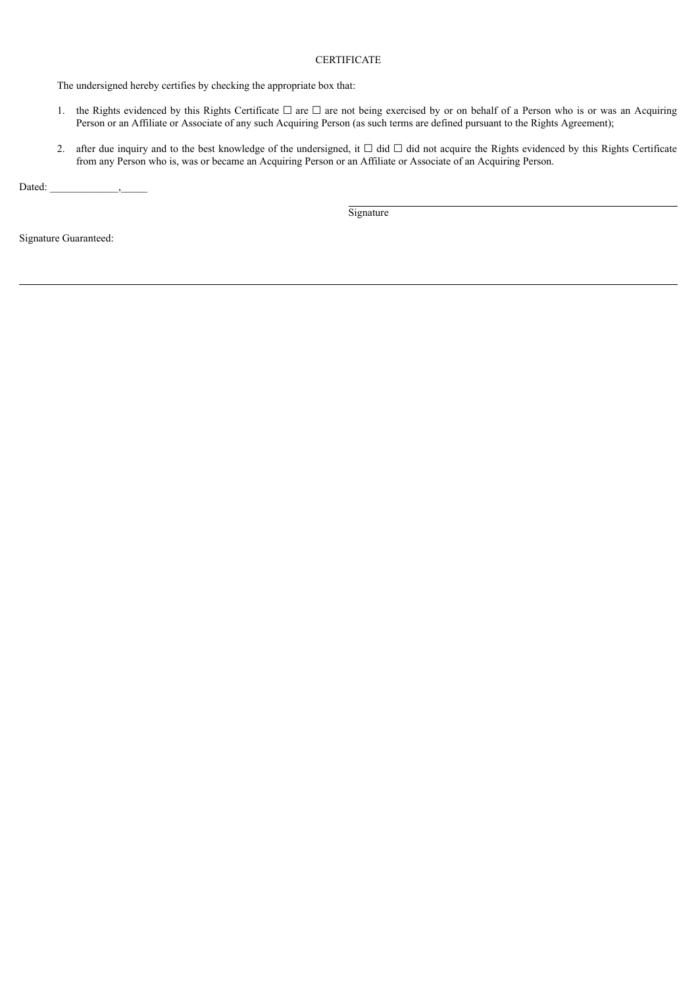# **CERTIFICATE**

The undersigned hereby certifies by checking the appropriate box that:

- 1. the Rights evidenced by this Rights Certificate  $□$  are  $□$  are not being exercised by or on behalf of a Person who is or was an Acquiring Person or an Affiliate or Associate of any such Acquiring Person (as such terms are defined pursuant to the Rights Agreement);
- 2. after due inquiry and to the best knowledge of the undersigned, it  $\Box$  did  $\Box$  did not acquire the Rights evidenced by this Rights Certificate from any Person who is, was or became an Acquiring Person or an Affiliate or Associate of an Acquiring Person.

Dated:  $\qquad \qquad$ ,

Signature

Signature Guaranteed: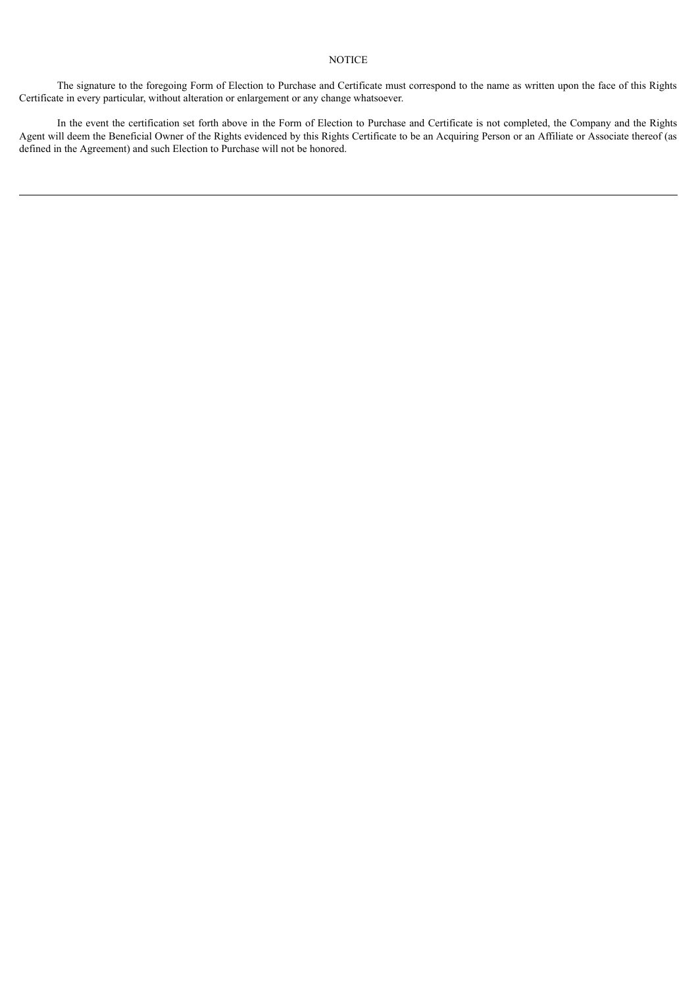# **NOTICE**

The signature to the foregoing Form of Election to Purchase and Certificate must correspond to the name as written upon the face of this Rights Certificate in every particular, without alteration or enlargement or any change whatsoever.

In the event the certification set forth above in the Form of Election to Purchase and Certificate is not completed, the Company and the Rights Agent will deem the Beneficial Owner of the Rights evidenced by this Rights Certificate to be an Acquiring Person or an Affiliate or Associate thereof (as defined in the Agreement) and such Election to Purchase will not be honored.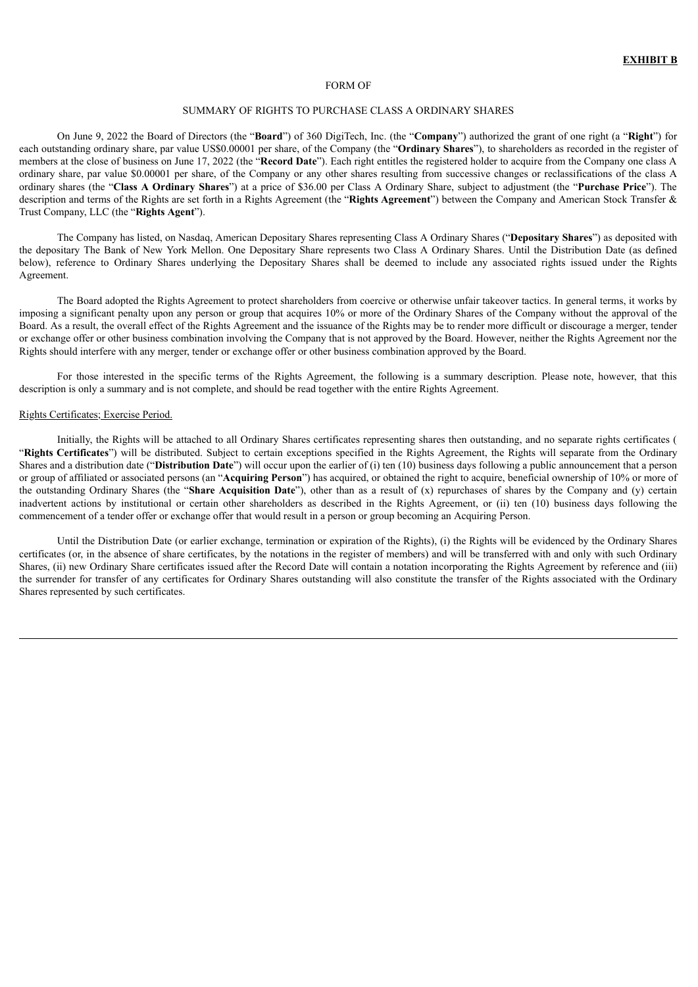#### FORM OF

# SUMMARY OF RIGHTS TO PURCHASE CLASS A ORDINARY SHARES

On June 9, 2022 the Board of Directors (the "**Board**") of 360 DigiTech, Inc. (the "**Company**") authorized the grant of one right (a "**Right**") for each outstanding ordinary share, par value US\$0.00001 per share, of the Company (the "**Ordinary Shares**"), to shareholders as recorded in the register of members at the close of business on June 17, 2022 (the "**Record Date**"). Each right entitles the registered holder to acquire from the Company one class A ordinary share, par value \$0.00001 per share, of the Company or any other shares resulting from successive changes or reclassifications of the class A ordinary shares (the "**Class A Ordinary Shares**") at a price of \$36.00 per Class A Ordinary Share, subject to adjustment (the "**Purchase Price**"). The description and terms of the Rights are set forth in a Rights Agreement (the "**Rights Agreement**") between the Company and American Stock Transfer & Trust Company, LLC (the "**Rights Agent**").

The Company has listed, on Nasdaq, American Depositary Shares representing Class A Ordinary Shares ("**Depositary Shares**") as deposited with the depositary The Bank of New York Mellon. One Depositary Share represents two Class A Ordinary Shares. Until the Distribution Date (as defined below), reference to Ordinary Shares underlying the Depositary Shares shall be deemed to include any associated rights issued under the Rights Agreement.

The Board adopted the Rights Agreement to protect shareholders from coercive or otherwise unfair takeover tactics. In general terms, it works by imposing a significant penalty upon any person or group that acquires 10% or more of the Ordinary Shares of the Company without the approval of the Board. As a result, the overall effect of the Rights Agreement and the issuance of the Rights may be to render more difficult or discourage a merger, tender or exchange offer or other business combination involving the Company that is not approved by the Board. However, neither the Rights Agreement nor the Rights should interfere with any merger, tender or exchange offer or other business combination approved by the Board.

For those interested in the specific terms of the Rights Agreement, the following is a summary description. Please note, however, that this description is only a summary and is not complete, and should be read together with the entire Rights Agreement.

#### Rights Certificates; Exercise Period.

Initially, the Rights will be attached to all Ordinary Shares certificates representing shares then outstanding, and no separate rights certificates ( "**Rights Certificates**") will be distributed. Subject to certain exceptions specified in the Rights Agreement, the Rights will separate from the Ordinary Shares and a distribution date ("**Distribution Date**") will occur upon the earlier of (i) ten (10) business days following a public announcement that a person or group of affiliated or associated persons (an "**Acquiring Person**") has acquired, or obtained the right to acquire, beneficial ownership of 10% or more of the outstanding Ordinary Shares (the "**Share Acquisition Date**"), other than as a result of (x) repurchases of shares by the Company and (y) certain inadvertent actions by institutional or certain other shareholders as described in the Rights Agreement, or (ii) ten (10) business days following the commencement of a tender offer or exchange offer that would result in a person or group becoming an Acquiring Person.

Until the Distribution Date (or earlier exchange, termination or expiration of the Rights), (i) the Rights will be evidenced by the Ordinary Shares certificates (or, in the absence of share certificates, by the notations in the register of members) and will be transferred with and only with such Ordinary Shares, (ii) new Ordinary Share certificates issued after the Record Date will contain a notation incorporating the Rights Agreement by reference and (iii) the surrender for transfer of any certificates for Ordinary Shares outstanding will also constitute the transfer of the Rights associated with the Ordinary Shares represented by such certificates.